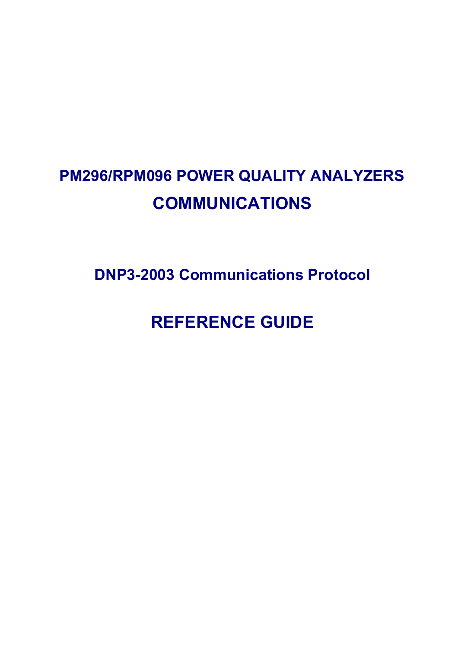# **PM296/RPM096 POWER QUALITY ANALYZERS COMMUNICATIONS**

**DNP3-2003 Communications Protocol** 

## **REFERENCE GUIDE**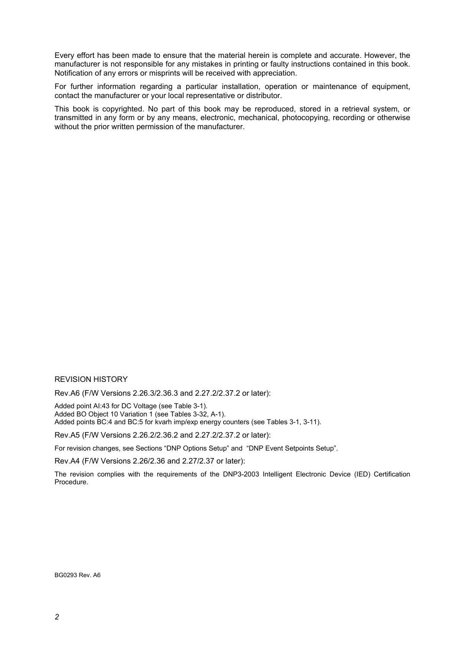Every effort has been made to ensure that the material herein is complete and accurate. However, the manufacturer is not responsible for any mistakes in printing or faulty instructions contained in this book. Notification of any errors or misprints will be received with appreciation.

For further information regarding a particular installation, operation or maintenance of equipment, contact the manufacturer or your local representative or distributor.

This book is copyrighted. No part of this book may be reproduced, stored in a retrieval system, or transmitted in any form or by any means, electronic, mechanical, photocopying, recording or otherwise without the prior written permission of the manufacturer.

REVISION HISTORY

Rev.A6 (F/W Versions 2.26.3/2.36.3 and 2.27.2/2.37.2 or later):

Added point AI:43 for DC Voltage (see Table 3-1). Added BO Object 10 Variation 1 (see Tables 3-32, A-1). Added points BC:4 and BC:5 for kvarh imp/exp energy counters (see Tables 3-1, 3-11).

Rev.A5 (F/W Versions 2.26.2/2.36.2 and 2.27.2/2.37.2 or later):

For revision changes, see Sections "DNP Options Setup" and "DNP Event Setpoints Setup".

Rev.A4 (F/W Versions 2.26/2.36 and 2.27/2.37 or later):

The revision complies with the requirements of the DNP3-2003 Intelligent Electronic Device (IED) Certification Procedure.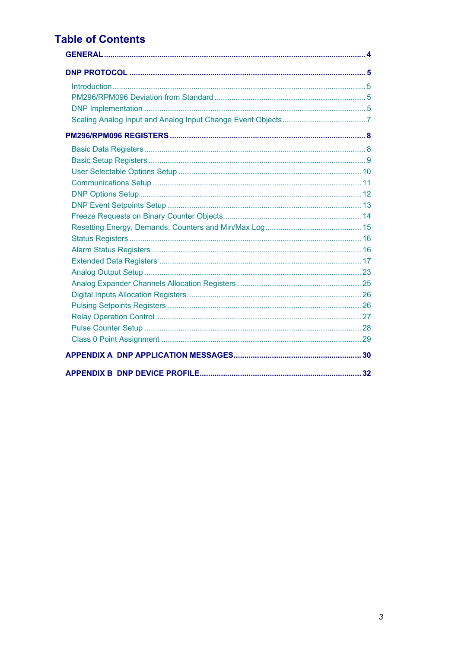## **Table of Contents**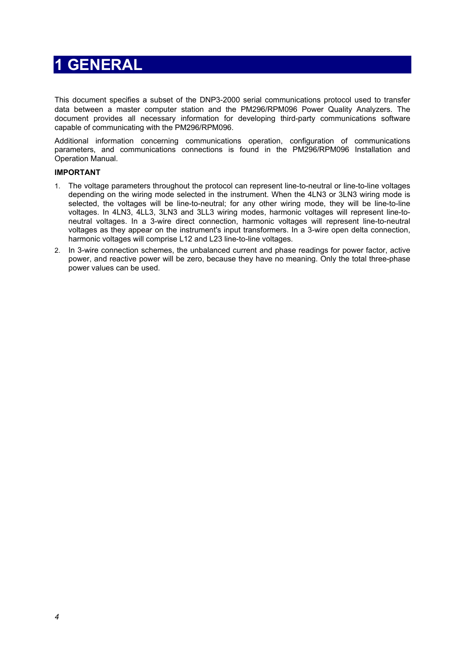## **1 GENERAL**

<span id="page-3-0"></span>This document specifies a subset of the DNP3-2000 serial communications protocol used to transfer data between a master computer station and the PM296/RPM096 Power Quality Analyzers. The document provides all necessary information for developing third-party communications software capable of communicating with the PM296/RPM096.

Additional information concerning communications operation, configuration of communications parameters, and communications connections is found in the PM296/RPM096 Installation and Operation Manual.

#### **IMPORTANT**

- 1. The voltage parameters throughout the protocol can represent line-to-neutral or line-to-line voltages depending on the wiring mode selected in the instrument. When the 4LN3 or 3LN3 wiring mode is selected, the voltages will be line-to-neutral; for any other wiring mode, they will be line-to-line voltages. In 4LN3, 4LL3, 3LN3 and 3LL3 wiring modes, harmonic voltages will represent line-toneutral voltages. In a 3-wire direct connection, harmonic voltages will represent line-to-neutral voltages as they appear on the instrument's input transformers. In a 3-wire open delta connection, harmonic voltages will comprise L12 and L23 line-to-line voltages.
- 2. In 3-wire connection schemes, the unbalanced current and phase readings for power factor, active power, and reactive power will be zero, because they have no meaning. Only the total three-phase power values can be used.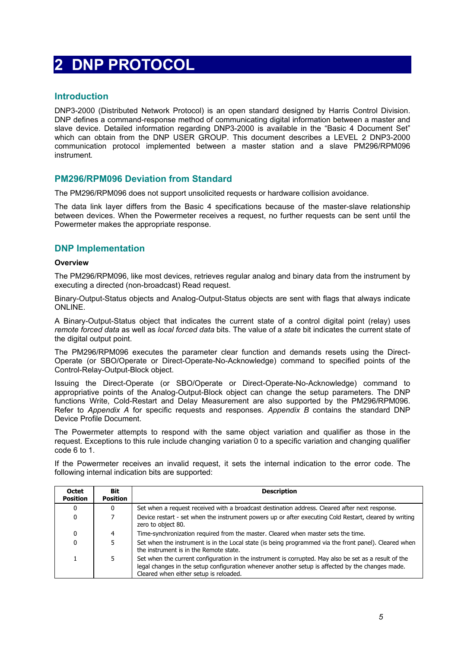## **2 DNP PROTOCOL**

## <span id="page-4-1"></span><span id="page-4-0"></span>**Introduction**

DNP3-2000 (Distributed Network Protocol) is an open standard designed by Harris Control Division. DNP defines a command-response method of communicating digital information between a master and slave device. Detailed information regarding DNP3-2000 is available in the "Basic 4 Document Set" which can obtain from the DNP USER GROUP. This document describes a LEVEL 2 DNP3-2000 communication protocol implemented between a master station and a slave PM296/RPM096 instrument*.*

## <span id="page-4-2"></span>**PM296/RPM096 Deviation from Standard**

The PM296/RPM096 does not support unsolicited requests or hardware collision avoidance.

The data link layer differs from the Basic 4 specifications because of the master-slave relationship between devices. When the Powermeter receives a request, no further requests can be sent until the Powermeter makes the appropriate response.

## <span id="page-4-3"></span>**DNP Implementation**

#### **Overview**

The PM296/RPM096, like most devices, retrieves regular analog and binary data from the instrument by executing a directed (non-broadcast) Read request.

Binary-Output-Status objects and Analog-Output-Status objects are sent with flags that always indicate ONLINE.

A Binary-Output-Status object that indicates the current state of a control digital point (relay) uses *remote forced data* as well as *local forced data* bits. The value of a *state* bit indicates the current state of the digital output point.

The PM296/RPM096 executes the parameter clear function and demands resets using the Direct-Operate (or SBO/Operate or Direct-Operate-No-Acknowledge) command to specified points of the Control-Relay-Output-Block object.

Issuing the Direct-Operate (or SBO/Operate or Direct-Operate-No-Acknowledge) command to appropriative points of the Analog-Output-Block object can change the setup parameters. The DNP functions Write, Cold-Restart and Delay Measurement are also supported by the PM296/RPM096. Refer to *Appendix A* for specific requests and responses. *Appendix B* contains the standard DNP Device Profile Document.

The Powermeter attempts to respond with the same object variation and qualifier as those in the request. Exceptions to this rule include changing variation 0 to a specific variation and changing qualifier code 6 to 1.

If the Powermeter receives an invalid request, it sets the internal indication to the error code. The following internal indication bits are supported:

| <b>Octet</b><br><b>Position</b> | Bit<br><b>Position</b> | <b>Description</b>                                                                                                                                                                                                                                  |
|---------------------------------|------------------------|-----------------------------------------------------------------------------------------------------------------------------------------------------------------------------------------------------------------------------------------------------|
| 0                               | 0                      | Set when a request received with a broadcast destination address. Cleared after next response.                                                                                                                                                      |
| 0                               |                        | Device restart - set when the instrument powers up or after executing Cold Restart, cleared by writing<br>zero to object 80.                                                                                                                        |
| 0                               | 4                      | Time-synchronization required from the master. Cleared when master sets the time.                                                                                                                                                                   |
| 0                               |                        | Set when the instrument is in the Local state (is being programmed via the front panel). Cleared when<br>the instrument is in the Remote state.                                                                                                     |
|                                 | 5.                     | Set when the current configuration in the instrument is corrupted. May also be set as a result of the<br>legal changes in the setup configuration whenever another setup is affected by the changes made.<br>Cleared when either setup is reloaded. |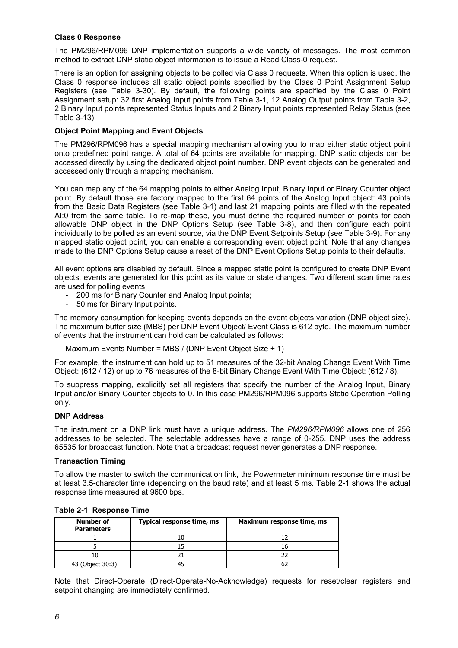#### **Class 0 Response**

The PM296/RPM096 DNP implementation supports a wide variety of messages. The most common method to extract DNP static object information is to issue a Read Class-0 request.

There is an option for assigning objects to be polled via Class 0 requests. When this option is used, the Class 0 response includes all static object points specified by the Class 0 Point Assignment Setup Registers (see Table 3-30). By default, the following points are specified by the Class 0 Point Assignment setup: 32 first Analog Input points from Table 3-1, 12 Analog Output points from Table 3-2, 2 Binary Input points represented Status Inputs and 2 Binary Input points represented Relay Status (see Table 3-13).

### **Object Point Mapping and Event Objects**

The PM296/RPM096 has a special mapping mechanism allowing you to map either static object point onto predefined point range. A total of 64 points are available for mapping. DNP static objects can be accessed directly by using the dedicated object point number. DNP event objects can be generated and accessed only through a mapping mechanism.

You can map any of the 64 mapping points to either Analog Input, Binary Input or Binary Counter object point. By default those are factory mapped to the first 64 points of the Analog Input object: 43 points from the Basic Data Registers (see Table 3-1) and last 21 mapping points are filled with the repeated AI:0 from the same table. To re-map these, you must define the required number of points for each allowable DNP object in the DNP Options Setup (see Table 3-8), and then configure each point individually to be polled as an event source, via the DNP Event Setpoints Setup (see Table 3-9). For any mapped static object point, you can enable a corresponding event object point. Note that any changes made to the DNP Options Setup cause a reset of the DNP Event Options Setup points to their defaults.

All event options are disabled by default. Since a mapped static point is configured to create DNP Event objects, events are generated for this point as its value or state changes. Two different scan time rates are used for polling events:

- 200 ms for Binary Counter and Analog Input points;
- 50 ms for Binary Input points.

The memory consumption for keeping events depends on the event objects variation (DNP object size). The maximum buffer size (MBS) per DNP Event Object/ Event Class is 612 byte. The maximum number of events that the instrument can hold can be calculated as follows:

Maximum Events Number = MBS / (DNP Event Object Size + 1)

For example, the instrument can hold up to 51 measures of the 32-bit Analog Change Event With Time Object: (612 / 12) or up to 76 measures of the 8-bit Binary Change Event With Time Object: (612 / 8).

To suppress mapping, explicitly set all registers that specify the number of the Analog Input, Binary Input and/or Binary Counter objects to 0. In this case PM296/RPM096 supports Static Operation Polling only.

### **DNP Address**

The instrument on a DNP link must have a unique address. The *PM296/RPM096* allows one of 256 addresses to be selected. The selectable addresses have a range of 0-255. DNP uses the address 65535 for broadcast function. Note that a broadcast request never generates a DNP response.

#### **Transaction Timing**

To allow the master to switch the communication link, the Powermeter minimum response time must be at least 3.5-character time (depending on the baud rate) and at least 5 ms. Table 2-1 shows the actual response time measured at 9600 bps.

| <b>Number of</b><br><b>Parameters</b> | Typical response time, ms | Maximum response time, ms |
|---------------------------------------|---------------------------|---------------------------|
|                                       |                           |                           |
|                                       |                           |                           |
|                                       |                           |                           |
| 43 (Object 30:3)                      |                           |                           |

#### **Table 2-1 Response Time**

Note that Direct-Operate (Direct-Operate-No-Acknowledge) requests for reset/clear registers and setpoint changing are immediately confirmed.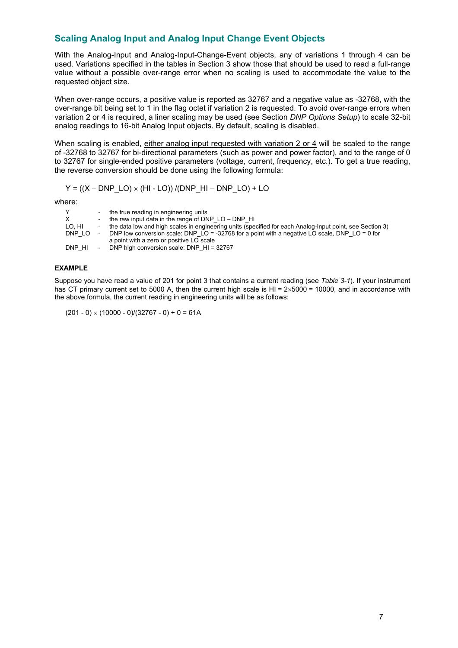## <span id="page-6-0"></span>**Scaling Analog Input and Analog Input Change Event Objects**

With the Analog-Input and Analog-Input-Change-Event objects, any of variations 1 through 4 can be used. Variations specified in the tables in Section 3 show those that should be used to read a full-range value without a possible over-range error when no scaling is used to accommodate the value to the requested object size.

When over-range occurs, a positive value is reported as 32767 and a negative value as -32768, with the over-range bit being set to 1 in the flag octet if variation 2 is requested. To avoid over-range errors when variation 2 or 4 is required, a liner scaling may be used (see Section *DNP Options Setup*) to scale 32-bit analog readings to 16-bit Analog Input objects. By default, scaling is disabled.

When scaling is enabled, either analog input requested with variation 2 or 4 will be scaled to the range of -32768 to 32767 for bi-directional parameters (such as power and power factor), and to the range of 0 to 32767 for single-ended positive parameters (voltage, current, frequency, etc.). To get a true reading, the reverse conversion should be done using the following formula:

 $Y = ((X - DNP LO) \times (HI - LO)) / (DNP HI - DNP LO) + LO$ 

where:

|        | - the true reading in engineering units                                                                    |
|--------|------------------------------------------------------------------------------------------------------------|
| х      | - the raw input data in the range of DNP $LO - DNP$ HI                                                     |
| LO. HI | - the data low and high scales in engineering units (specified for each Analog-Input point, see Section 3) |
| DNP LO | - DNP low conversion scale: DNP LO = -32768 for a point with a negative LO scale, DNP LO = 0 for           |
|        | a point with a zero or positive LO scale                                                                   |
| DNP HI | - DNP high conversion scale: DNP HI = 32767                                                                |
|        |                                                                                                            |

#### **EXAMPLE**

Suppose you have read a value of 201 for point 3 that contains a current reading (see *Table 3-1*). If your instrument has CT primary current set to 5000 A, then the current high scale is HI =  $2 \times 5000 = 10000$ , and in accordance with the above formula, the current reading in engineering units will be as follows:

 $(201 - 0) \times (10000 - 0)/(32767 - 0) + 0 = 61A$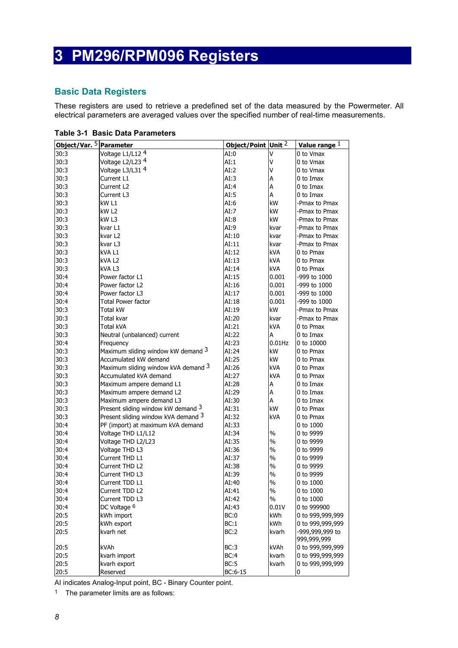## **3 PM296/RPM096 Registers**

## <span id="page-7-1"></span><span id="page-7-0"></span>**Basic Data Registers**

These registers are used to retrieve a predefined set of the data measured by the Powermeter. All electrical parameters are averaged values over the specified number of real-time measurements.

| Object/Var. $5$ Parameter |                                     | Object/Point Unit 2 |               | Value range 1                  |
|---------------------------|-------------------------------------|---------------------|---------------|--------------------------------|
| 30:3                      | Voltage L1/L12 4                    | AI:0                | V             | 0 to Vmax                      |
| 30:3                      | Voltage L2/L23 <sup>4</sup>         | AI:1                | V             | 0 to Vmax                      |
| 30:3                      | Voltage L3/L31 <sup>4</sup>         | AI:2                | ٧             | 0 to Vmax                      |
| 30:3                      | Current L1                          | AI:3                | A             | 0 to Imax                      |
| 30:3                      | Current L <sub>2</sub>              | AI:4                | A             | 0 to Imax                      |
| 30:3                      | Current L3                          | AI:5                | A             | 0 to Imax                      |
| 30:3                      | kW L1                               | AI:6                | kW            | -Pmax to Pmax                  |
|                           | kW <sub>L2</sub>                    | AI:7                | kW            | -Pmax to Pmax                  |
| 30:3                      | kW <sub>L3</sub>                    | AI:8                | kW            | -Pmax to Pmax                  |
| 30:3<br>30:3              |                                     | AI:9                |               |                                |
| 30:3                      | kvar L1<br>kvar L2                  | AI:10               | kvar<br>kvar  | -Pmax to Pmax<br>-Pmax to Pmax |
| 30:3                      |                                     |                     |               | -Pmax to Pmax                  |
|                           | kvar L3                             | AI:11               | kvar          |                                |
| 30:3                      | kVA L1                              | AI:12               | <b>kVA</b>    | 0 to Pmax                      |
| 30:3                      | kVA L2                              | AI:13               | kVA           | 0 to Pmax                      |
| 30:3                      | kVA L3                              | AI:14               | <b>kVA</b>    | 0 to Pmax                      |
| 30:4                      | Power factor L1                     | AI:15               | 0.001         | -999 to 1000                   |
| 30:4                      | Power factor L2                     | AI:16               | 0.001         | -999 to 1000                   |
| 30:4                      | Power factor L3                     | AI:17               | 0.001         | -999 to 1000                   |
| 30:4                      | <b>Total Power factor</b>           | AI:18               | 0.001         | -999 to 1000                   |
| 30:3                      | <b>Total kW</b>                     | AI:19               | kW            | -Pmax to Pmax                  |
| 30:3                      | Total kvar                          | AI:20               | kvar          | -Pmax to Pmax                  |
| 30:3                      | Total kVA                           | AI:21               | kVA           | 0 to Pmax                      |
| 30:3                      | Neutral (unbalanced) current        | AI:22               | А             | 0 to Imax                      |
| 30:4                      | Frequency                           | AI:23               | $0.01$ Hz     | 0 to 10000                     |
| 30:3                      | Maximum sliding window kW demand 3  | AI:24               | kW            | 0 to Pmax                      |
| 30:3                      | Accumulated kW demand               | AI:25               | kW            | 0 to Pmax                      |
| 30:3                      | Maximum sliding window kVA demand 3 | AI:26               | <b>kVA</b>    | 0 to Pmax                      |
| 30:3                      | Accumulated kVA demand              | AI:27               | kVA           | 0 to Pmax                      |
| 30:3                      | Maximum ampere demand L1            | AI:28               | A             | 0 to Imax                      |
| 30:3                      | Maximum ampere demand L2            | AI:29               | А             | 0 to Imax                      |
| 30:3                      | Maximum ampere demand L3            | AI:30               | А             | 0 to Imax                      |
| 30:3                      | Present sliding window kW demand 3  | AI:31               | kW            | 0 to Pmax                      |
| 30:3                      | Present sliding window kVA demand 3 | AI:32               | <b>kVA</b>    | 0 to Pmax                      |
| 30:4                      | PF (import) at maximum kVA demand   | AI:33               |               | 0 to 1000                      |
| 30:4                      | Voltage THD L1/L12                  | AI:34               | $\%$          | 0 to 9999                      |
| 30:4                      | Voltage THD L2/L23                  | AI:35               | $\frac{0}{0}$ | 0 to 9999                      |
| 30:4                      | Voltage THD L3                      | AI:36               | $\%$          | 0 to 9999                      |
| 30:4                      | Current THD L1                      | AI:37               | $\frac{0}{0}$ | 0 to 9999                      |
| 30:4                      | Current THD L2                      | AI:38               | $\frac{0}{0}$ | 0 to 9999                      |
| 30:4                      | Current THD L3                      | AI:39               | %             | 0 to 9999                      |
| 30:4                      | Current TDD L1                      | AI:40               | $\%$          | $0$ to $1000\,$                |
| 30:4                      | Current TDD L2                      | AI:41               | $\%$          | 0 to 1000                      |
| 30:4                      | Current TDD L3                      | AI:42               | $\%$          | 0 to 1000                      |
| 30:4                      | DC Voltage 6                        | AI:43               | 0.01V         | 0 to 999900                    |
| 20:5                      | kWh import                          | BC:0                | kWh           | 0 to 999,999,999               |
| 20:5                      | kWh export                          | BC:1                | kWh           | 0 to 999,999,999               |
| 20:5                      | kvarh net                           | BC:2                | kvarh         | -999,999,999 to<br>999,999,999 |
| 20:5                      | kVAh                                | BC:3                | kVAh          | 0 to 999,999,999               |
| 20:5                      | kvarh import                        | BC:4                | kvarh         | 0 to 999,999,999               |
| 20:5                      | kvarh export                        | BC:5                | kvarh         | 0 to 999,999,999               |
| 20:5                      | Reserved                            | BC:6-15             |               | 0                              |

**Table 3-1 Basic Data Parameters** 

AI indicates Analog-Input point, BC - Binary Counter point.

1 The parameter limits are as follows: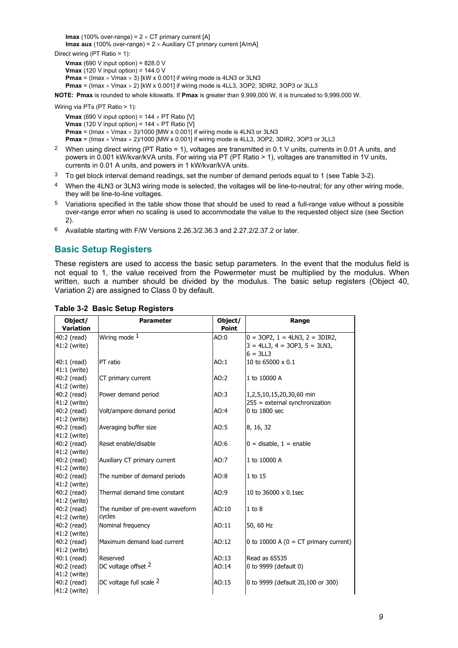**Imax** (100% over-range) =  $2 \times CT$  primary current [A] **Imax aux** (100% over-range) =  $2 \times$  Auxiliary CT primary current [A/mA] Direct wiring (PT Ratio = 1):

**Vmax** (690 V input option) = 828.0 V **Vmax** (120 V input option) = 144.0 V **Pmax** = (Imax  $\times$  Vmax  $\times$  3) [kW x 0.001] if wiring mode is 4LN3 or 3LN3 **Pmax** = (Imax  $\times$  Vmax  $\times$  2) [kW  $\times$  0.001] if wiring mode is 4LL3, 3OP2, 3DIR2, 3OP3 or 3LL3

**NOTE: Pmax** is rounded to whole kilowatts. If **Pmax** is greater than 9,999,000 W, it is truncated to 9,999,000 W.

Wiring via PTs (PT Ratio > 1):

```
Vmax (690 V input option) = 144 \times PT Ratio [V]
Vmax (120 V input option) = 144 \times PT Ratio [V]
Pmax = (Imax \times Vmax \times 3)/1000 [MW x 0.001] if wiring mode is 4LN3 or 3LN3
Pmax = (Imax \times Vmax \times 2)/1000 [MW \times 0.001] if wiring mode is 4LL3, 3OP2, 3DIR2, 3OP3 or 3LL3
```
- 2 When using direct wiring (PT Ratio = 1), voltages are transmitted in 0.1 V units, currents in 0.01 A units, and powers in 0.001 kW/kvar/kVA units. For wiring via PT (PT Ratio > 1), voltages are transmitted in 1V units, currents in 0.01 A units, and powers in 1 kW/kvar/kVA units.
- 3 To get block interval demand readings, set the number of demand periods equal to 1 (see Table 3-2).
- 4 When the 4LN3 or 3LN3 wiring mode is selected, the voltages will be line-to-neutral; for any other wiring mode, they will be line-to-line voltages.
- 5 Variations specified in the table show those that should be used to read a full-range value without a possible over-range error when no scaling is used to accommodate the value to the requested object size (see Section 2).
- 6 Available starting with F/W Versions 2.26.3/2.36.3 and 2.27.2/2.37.2 or later.

## <span id="page-8-0"></span>**Basic Setup Registers**

These registers are used to access the basic setup parameters. In the event that the modulus field is not equal to 1, the value received from the Powermeter must be multiplied by the modulus. When written, such a number should be divided by the modulus. The basic setup registers (Object 40, Variation 2) are assigned to Class 0 by default.

| Object/          | <b>Parameter</b><br>Object/      |              | Range                                    |
|------------------|----------------------------------|--------------|------------------------------------------|
| <b>Variation</b> |                                  | <b>Point</b> |                                          |
| 40:2 (read)      | Wiring mode 1                    | AO:0         | $0 = 30P2$ , $1 = 4LN3$ , $2 = 3DIR2$ ,  |
| 41:2 (write)     |                                  |              | $3 = 4LL3$ , $4 = 3OP3$ , $5 = 3LN3$ ,   |
|                  |                                  |              | $6 = 3LL3$                               |
| 40:1 (read)      | PT ratio                         | AO:1         | 10 to 65000 x 0.1                        |
| 41:1 (write)     |                                  |              |                                          |
| 40:2 (read)      | CT primary current               | AO:2         | 1 to 10000 A                             |
| 41:2 (write)     |                                  |              |                                          |
| 40:2 (read)      | Power demand period              | AO:3         | 1,2,5,10,15,20,30,60 min                 |
| 41:2 (write)     |                                  |              | $255$ = external synchronization         |
| 40:2 (read)      | Volt/ampere demand period        | AO:4         | 0 to 1800 sec                            |
| 41:2 (write)     |                                  |              |                                          |
| 40:2 (read)      | Averaging buffer size            | AO:5         | 8, 16, 32                                |
| 41:2 (write)     |                                  |              |                                          |
| 40:2 (read)      | Reset enable/disable             | AO:6         | $0 =$ disable, $1 =$ enable              |
| 41:2 (write)     |                                  |              |                                          |
| 40:2 (read)      | Auxiliary CT primary current     | AO:7         | 1 to 10000 A                             |
| 41:2 (write)     |                                  |              |                                          |
| 40:2 (read)      | The number of demand periods     | AO:8         | 1 to 15                                  |
| 41:2 (write)     |                                  |              |                                          |
| 40:2 (read)      | Thermal demand time constant     | AO:9         | 10 to 36000 x 0.1sec                     |
| 41:2 (write)     |                                  |              |                                          |
| 40:2 (read)      | The number of pre-event waveform | AO:10        | $1$ to $8$                               |
| 41:2 (write)     | cycles                           |              |                                          |
| 40:2 (read)      | Nominal frequency                | AO:11        | 50, 60 Hz                                |
| 41:2 (write)     |                                  |              |                                          |
| 40:2 (read)      | Maximum demand load current      | AO:12        | 0 to 10000 A ( $0 = CT$ primary current) |
| 41:2 (write)     |                                  |              |                                          |
| 40:1 (read)      | Reserved                         | AO:13        | Read as 65535                            |
| 40:2 (read)      | DC voltage offset 2              | AO:14        | 0 to 9999 (default 0)                    |
| 41:2 (write)     |                                  |              |                                          |
| 40:2 (read)      | DC voltage full scale 2          | AO:15        | 0 to 9999 (default 20,100 or 300)        |
| 41:2 (write)     |                                  |              |                                          |

### **Table 3-2 Basic Setup Registers**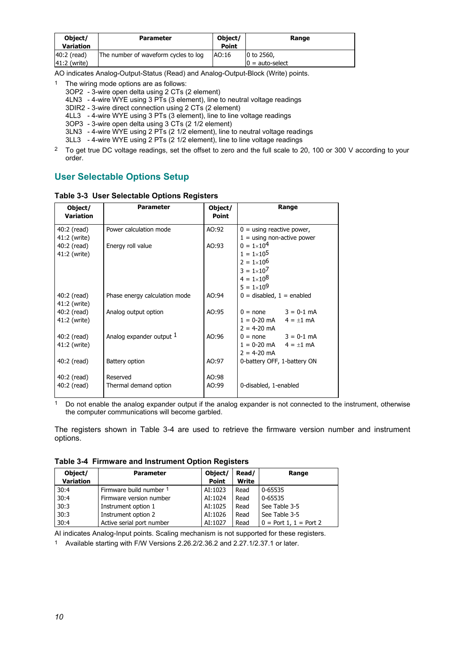| Object/<br>Variation | <b>Parameter</b>                     | Object/<br>Point | Range             |
|----------------------|--------------------------------------|------------------|-------------------|
| 40:2 (read)          | The number of waveform cycles to log | AO:16            | $ 0 \t{to} 2560 $ |
| $ 41:2$ (write)      |                                      |                  | $0 =$ auto-select |

AO indicates Analog-Output-Status (Read) and Analog-Output-Block (Write) points.

- 1 The wiring mode options are as follows:
	- 3OP2 3-wire open delta using 2 CTs (2 element)
	- 4LN3 4-wire WYE using 3 PTs (3 element), line to neutral voltage readings
	- 3DIR2 3-wire direct connection using 2 CTs (2 element)
	- 4LL3 4-wire WYE using 3 PTs (3 element), line to line voltage readings
	- 3OP3 3-wire open delta using 3 CTs (2 1/2 element)
	- 3LN3 4-wire WYE using 2 PTs (2 1/2 element), line to neutral voltage readings
	- 3LL3 4-wire WYE using 2 PTs (2 1/2 element), line to line voltage readings
- <sup>2</sup> To get true DC voltage readings, set the offset to zero and the full scale to 20, 100 or 300 V according to your order.

## <span id="page-9-0"></span>**User Selectable Options Setup**

**Table 3-3 User Selectable Options Registers** 

| Object/<br><b>Variation</b> | <b>Parameter</b>                  | Object/<br><b>Point</b> | Range                                                                                                                                      |
|-----------------------------|-----------------------------------|-------------------------|--------------------------------------------------------------------------------------------------------------------------------------------|
| 40:2 (read)<br>41:2 (write) | Power calculation mode            | AO:92                   | $0 =$ using reactive power,<br>$1 =$ using non-active power                                                                                |
| 40:2 (read)<br>41:2 (write) | Energy roll value                 | AO:93                   | $0 = 1 \times 10^{4}$<br>$1 = 1 \times 10^5$<br>$2 = 1 \times 10^6$<br>$3 = 1 \times 10^{7}$<br>$4 = 1 \times 10^8$<br>$5 = 1 \times 10^9$ |
| 40:2 (read)<br>41:2 (write) | Phase energy calculation mode     | AO:94                   | $0 =$ disabled, $1 =$ enabled                                                                                                              |
| 40:2 (read)<br>41:2 (write) | Analog output option              | AO:95                   | $0 = none$ $3 = 0.1$ mA<br>$1 = 0-20$ mA $4 = \pm 1$ mA<br>$2 = 4-20$ mA                                                                   |
| 40:2 (read)<br>41:2 (write) | Analog expander output 1          | AO:96                   | $0 = none$ $3 = 0.1$ mA<br>$1 = 0-20$ mA $4 = +1$ mA<br>$2 = 4-20$ mA                                                                      |
| 40:2 (read)                 | Battery option                    | AO:97                   | 0-battery OFF, 1-battery ON                                                                                                                |
| 40:2 (read)<br>40:2 (read)  | Reserved<br>Thermal demand option | AO:98<br>AO:99          | 0-disabled, 1-enabled                                                                                                                      |

<sup>1</sup> Do not enable the analog expander output if the analog expander is not connected to the instrument, otherwise the computer communications will become garbled.

The registers shown in Table 3*-*4 are used to retrieve the firmware version number and instrument options.

| Table 3-4 Firmware and Instrument Option Registers |  |  |  |  |  |
|----------------------------------------------------|--|--|--|--|--|
|----------------------------------------------------|--|--|--|--|--|

| Object/          | <b>Parameter</b>          | Object/      | Read/ | Range                    |
|------------------|---------------------------|--------------|-------|--------------------------|
| <b>Variation</b> |                           | <b>Point</b> | Write |                          |
| 30:4             | Firmware build number 1   | AI:1023      | Read  | 0-65535                  |
| 30:4             | Firmware version number   | AI:1024      | Read  | 0-65535                  |
| 30:3             | Instrument option 1       | AI:1025      | Read  | See Table 3-5            |
| 30:3             | Instrument option 2       | AI:1026      | Read  | See Table 3-5            |
| 30:4             | Active serial port number | AI:1027      | Read  | $0 =$ Port 1, 1 = Port 2 |

AI indicates Analog-Input points. Scaling mechanism is not supported for these registers.

1 Available starting with F/W Versions 2.26.2/2.36.2 and 2.27.1/2.37.1 or later.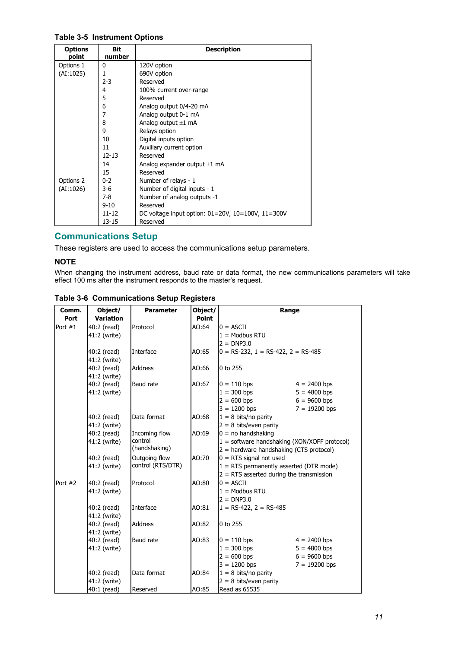### **Table 3-5 Instrument Options**

| <b>Options</b><br>point | Bit<br>number | <b>Description</b>                                        |
|-------------------------|---------------|-----------------------------------------------------------|
| Options 1               | 0             | 120V option                                               |
| (AI:1025)               | 1             | 690V option                                               |
|                         | 2-3           | Reserved                                                  |
|                         | 4             | 100% current over-range                                   |
|                         | 5             | Reserved                                                  |
|                         | 6             | Analog output 0/4-20 mA                                   |
|                         | 7             | Analog output 0-1 mA                                      |
|                         | 8             | Analog output $\pm 1$ mA                                  |
|                         | 9             | Relays option                                             |
|                         | 10            | Digital inputs option                                     |
|                         | 11            | Auxiliary current option                                  |
|                         | $12 - 13$     | Reserved                                                  |
|                         | 14            | Analog expander output $\pm 1$ mA                         |
|                         | 15            | Reserved                                                  |
| Options 2               | $0 - 2$       | Number of relays - 1                                      |
| (AI:1026)               | $3-6$         | Number of digital inputs - 1                              |
|                         | $7-8$         | Number of analog outputs -1                               |
|                         | $9 - 10$      | Reserved                                                  |
|                         | $11 - 12$     | DC voltage input option: $01=20V$ , $10=100V$ , $11=300V$ |
|                         | 13-15         | Reserved                                                  |

## <span id="page-10-0"></span>**Communications Setup**

These registers are used to access the communications setup parameters.

#### **NOTE**

When changing the instrument address, baud rate or data format, the new communications parameters will take effect 100 ms after the instrument responds to the master's request.

| Comm.<br>Port                | Object/<br><b>Variation</b> | <b>Parameter</b>  | Object/<br>Point     | Range                                          |                 |
|------------------------------|-----------------------------|-------------------|----------------------|------------------------------------------------|-----------------|
| Port $#1$                    | 40:2 (read)                 | Protocol          | AO:64                | $0 = ASCII$                                    |                 |
|                              | 41:2 (write)                |                   |                      | $1 =$ Modbus RTU                               |                 |
|                              |                             |                   |                      | $2 = DNP3.0$                                   |                 |
|                              | 40:2 (read)                 | Interface         | AO:65                | $0 = RS-232$ , $1 = RS-422$ , $2 = RS-485$     |                 |
|                              | 41:2 (write)                |                   |                      |                                                |                 |
|                              | 40:2 (read)                 | <b>Address</b>    | AO:66                | 0 to 255                                       |                 |
|                              | 41:2 (write)                |                   |                      |                                                |                 |
|                              | 40:2 (read)                 | <b>Baud</b> rate  | AO:67                | $0 = 110$ bps                                  | $4 = 2400$ bps  |
|                              | 41:2 (write)                |                   |                      | $1 = 300$ bps                                  | $5 = 4800$ bps  |
|                              |                             |                   |                      | $2 = 600$ bps                                  | $6 = 9600$ bps  |
|                              |                             |                   |                      | $3 = 1200$ bps                                 | $7 = 19200$ bps |
|                              | 40:2 (read)                 | Data format       | AO:68                | $1 = 8$ bits/no parity                         |                 |
|                              | 41:2 (write)                |                   |                      | $2 = 8$ bits/even parity                       |                 |
| 40:2 (read)<br>Incoming flow |                             | AO:69             | $0 = no$ handshaking |                                                |                 |
|                              | 41:2 (write)                | control           |                      | $1 =$ software handshaking (XON/XOFF protocol) |                 |
|                              |                             | (handshaking)     |                      | $2 =$ hardware handshaking (CTS protocol)      |                 |
|                              | 40:2 (read)                 | Outgoing flow     | AO:70                | $0 = RTS$ signal not used                      |                 |
|                              | 41:2 (write)                | control (RTS/DTR) |                      | $1 =$ RTS permanently asserted (DTR mode)      |                 |
|                              |                             |                   |                      | $2 = RTS$ asserted during the transmission     |                 |
| Port #2                      | 40:2 (read)                 | Protocol          | AO:80                | $0 = ASCII$                                    |                 |
|                              | 41:2 (write)                |                   |                      | $1 =$ Modbus RTU                               |                 |
|                              |                             |                   |                      | $2 = DNP3.0$                                   |                 |
|                              | 40:2 (read)                 | Interface         | AO:81                | $1 = RS-422$ , $2 = RS-485$                    |                 |
|                              | 41:2 (write)                |                   |                      |                                                |                 |
|                              | 40:2 (read)                 | <b>Address</b>    | AO:82                | 0 to 255                                       |                 |
|                              | 41:2 (write)                |                   |                      |                                                |                 |
|                              | 40:2 (read)                 | Baud rate         | AO:83                | $0 = 110$ bps                                  | $4 = 2400$ bps  |
|                              | 41:2 (write)                |                   |                      | $1 = 300$ bps                                  | $5 = 4800$ bps  |
|                              |                             |                   |                      | $2 = 600$ bps                                  | $6 = 9600$ bps  |
|                              |                             |                   |                      | $3 = 1200$ bps                                 | $7 = 19200$ bps |
|                              | 40:2 (read)                 | Data format       | AO:84                | $1 = 8$ bits/no parity                         |                 |
|                              | 41:2 (write)                |                   |                      | $2 = 8$ bits/even parity                       |                 |
|                              | 40:1 (read)                 | Reserved          | AO:85                | Read as 65535                                  |                 |

**Table 3-6 Communications Setup Registers**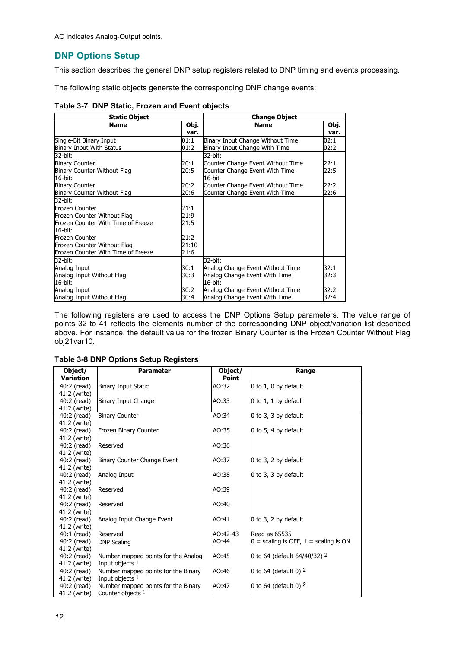## <span id="page-11-0"></span>**DNP Options Setup**

This section describes the general DNP setup registers related to DNP timing and events processing.

The following static objects generate the corresponding DNP change events:

| <b>Static Object</b>               |       | <b>Change Object</b>              |      |  |  |
|------------------------------------|-------|-----------------------------------|------|--|--|
| <b>Name</b>                        | Obj.  | <b>Name</b>                       | Obj. |  |  |
|                                    | var.  |                                   | var. |  |  |
| Single-Bit Binary Input            | 01:1  | Binary Input Change Without Time  | 02:1 |  |  |
| Binary Input With Status           | 01:2  | Binary Input Change With Time     | 02:2 |  |  |
| 32-bit:                            |       | 32-bit:                           |      |  |  |
| <b>Binary Counter</b>              | 20:1  | Counter Change Event Without Time | 22:1 |  |  |
| Binary Counter Without Flag        | 20:5  | Counter Change Event With Time    | 22:5 |  |  |
| 16-bit:                            |       | 16-bit                            |      |  |  |
| <b>Binary Counter</b>              | 20:2  | Counter Change Event Without Time | 22:2 |  |  |
| Binary Counter Without Flag        | 20:6  | Counter Change Event With Time    | 22:6 |  |  |
| 32-bit:                            |       |                                   |      |  |  |
| <b>Frozen Counter</b>              | 21:1  |                                   |      |  |  |
| Frozen Counter Without Flag        | 21:9  |                                   |      |  |  |
| Frozen Counter With Time of Freeze | 21:5  |                                   |      |  |  |
| 16-bit:                            |       |                                   |      |  |  |
| <b>Frozen Counter</b>              | 21:2  |                                   |      |  |  |
| Frozen Counter Without Flag        | 21:10 |                                   |      |  |  |
| Frozen Counter With Time of Freeze | 21:6  |                                   |      |  |  |
| 32-bit:                            |       | 32-bit:                           |      |  |  |
| Analog Input                       | 30:1  | Analog Change Event Without Time  | 32:1 |  |  |
| Analog Input Without Flag          | 30:3  | Analog Change Event With Time     | 32:3 |  |  |
| 16-bit:                            |       | 16-bit:                           |      |  |  |
| Analog Input                       | 30:2  | Analog Change Event Without Time  | 32:2 |  |  |
| Analog Input Without Flag          | 30:4  | Analog Change Event With Time     | 32:4 |  |  |

The following registers are used to access the DNP Options Setup parameters. The value range of points 32 to 41 reflects the elements number of the corresponding DNP object/variation list described above. For instance, the default value for the frozen Binary Counter is the Frozen Counter Without Flag obj21var10.

### **Table 3-8 DNP Options Setup Registers**

| Object/       | <b>Parameter</b>                    | Object/      | Range                                     |
|---------------|-------------------------------------|--------------|-------------------------------------------|
| Variation     |                                     | <b>Point</b> |                                           |
| 40:2 (read)   | <b>Binary Input Static</b>          | AO:32        | 0 to 1, 0 by default                      |
| 41:2 (write)  |                                     |              |                                           |
| 40:2 (read)   | <b>Binary Input Change</b>          | AO:33        | 0 to 1, 1 by default                      |
| 41:2 (write)  |                                     |              |                                           |
| 40:2 (read)   | <b>Binary Counter</b>               | AO:34        | 0 to 3, 3 by default                      |
| 41:2 (write)  |                                     |              |                                           |
| 40:2 (read)   | Frozen Binary Counter               | AO:35        | 0 to 5, 4 by default                      |
| 41:2 (write)  |                                     |              |                                           |
| 40:2 (read)   | Reserved                            | AO:36        |                                           |
| 41:2 (write)  |                                     |              |                                           |
| 40:2 (read)   | Binary Counter Change Event         | AO:37        | 0 to 3, 2 by default                      |
| 41:2 (write)  |                                     |              |                                           |
| 40:2 (read)   | Analog Input                        | AO:38        | 0 to 3, 3 by default                      |
| 41:2 (write)  |                                     |              |                                           |
| 40:2 (read)   | Reserved                            | AO:39        |                                           |
| 41:2 (write)  |                                     |              |                                           |
| 40:2 (read)   | Reserved                            | AO:40        |                                           |
| 41:2 (write)  |                                     |              |                                           |
| 40:2 (read)   | Analog Input Change Event           | AO:41        | 0 to 3, 2 by default                      |
| 41:2 (write)  |                                     |              |                                           |
| $40:1$ (read) | Reserved                            | AO:42-43     | Read as 65535                             |
| 40:2 (read)   | <b>DNP Scaling</b>                  | AO:44        | $0 =$ scaling is OFF, $1 =$ scaling is ON |
| 41:2 (write)  |                                     |              |                                           |
| 40:2 (read)   | Number mapped points for the Analog | AO:45        | 0 to 64 (default 64/40/32) <sup>2</sup>   |
| 41:2 (write)  | Input objects $1$                   |              |                                           |
| 40:2 (read)   | Number mapped points for the Binary | AO:46        | 0 to 64 (default 0) $2$                   |
| 41:2 (write)  | Input objects $1$                   |              |                                           |
| 40:2 (read)   | Number mapped points for the Binary | AO:47        | 0 to 64 (default 0) 2                     |
| 41:2 (write)  | Counter objects 1                   |              |                                           |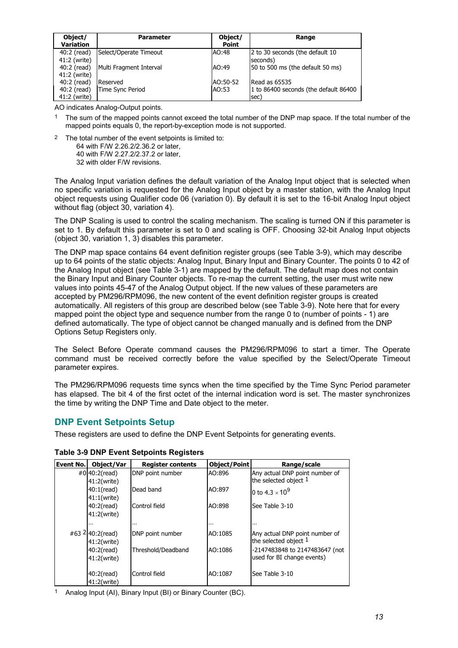| Object/<br><b>Variation</b> | <b>Parameter</b>        | Object/<br><b>Point</b> | Range                                 |
|-----------------------------|-------------------------|-------------------------|---------------------------------------|
| 40:2 (read)                 | Select/Operate Timeout  | AO:48                   | 2 to 30 seconds (the default 10       |
| 41:2 (write)                |                         |                         | seconds)                              |
| 40:2 (read)                 | Multi Fragment Interval | AO:49                   | 50 to 500 ms (the default 50 ms)      |
| 41:2 (write)                |                         |                         |                                       |
| 40:2 (read)                 | Reserved                | AO:50-52                | Read as 65535                         |
| 40:2 (read)                 | Time Sync Period        | AO:53                   | 1 to 86400 seconds (the default 86400 |
| 41:2 (write)                |                         |                         | (sec                                  |

AO indicates Analog-Output points.

1 The sum of the mapped points cannot exceed the total number of the DNP map space. If the total number of the mapped points equals 0, the report-by-exception mode is not supported.

2 The total number of the event setpoints is limited to:

64 with F/W 2.26.2/2.36.2 or later,

40 with F/W 2.27.2/2.37.2 or later,

32 with older F/W revisions.

The Analog Input variation defines the default variation of the Analog Input object that is selected when no specific variation is requested for the Analog Input object by a master station, with the Analog Input object requests using Qualifier code 06 (variation 0). By default it is set to the 16-bit Analog Input object without flag (object 30, variation 4).

The DNP Scaling is used to control the scaling mechanism. The scaling is turned ON if this parameter is set to 1. By default this parameter is set to 0 and scaling is OFF. Choosing 32-bit Analog Input objects (object 30, variation 1, 3) disables this parameter.

The DNP map space contains 64 event definition register groups (see Table 3-9), which may describe up to 64 points of the static objects: Analog Input, Binary Input and Binary Counter. The points 0 to 42 of the Analog Input object (see Table 3-1) are mapped by the default. The default map does not contain the Binary Input and Binary Counter objects. To re-map the current setting, the user must write new values into points 45-47 of the Analog Output object. If the new values of these parameters are accepted by PM296/RPM096, the new content of the event definition register groups is created automatically. All registers of this group are described below (see Table 3-9). Note here that for every mapped point the object type and sequence number from the range 0 to (number of points - 1) are defined automatically. The type of object cannot be changed manually and is defined from the DNP Options Setup Registers only.

The Select Before Operate command causes the PM296/RPM096 to start a timer. The Operate command must be received correctly before the value specified by the Select/Operate Timeout parameter expires.

The PM296/RPM096 requests time syncs when the time specified by the Time Sync Period parameter has elapsed. The bit 4 of the first octet of the internal indication word is set. The master synchronizes the time by writing the DNP Time and Date object to the meter.

## <span id="page-12-0"></span>**DNP Event Setpoints Setup**

These registers are used to define the DNP Event Setpoints for generating events.

| Event No. | Object/Var          | <b>Register contents</b> | <b>Object/Point</b> | Range/scale                    |
|-----------|---------------------|--------------------------|---------------------|--------------------------------|
|           | #0 40:2(read)       | DNP point number         | AO:896              | Any actual DNP point number of |
|           | 41:2(write)         |                          |                     | the selected object 1          |
|           | $40:1$ (read)       | Dead band                | AO:897              | 0 to $4.3 \times 10^9$         |
|           | 41:1(write)         |                          |                     |                                |
|           | $40:2$ (read)       | Control field            | AO:898              | See Table 3-10                 |
|           | 41:2(write)         |                          |                     |                                |
|           | $\cdots$            |                          | $\cdots$            |                                |
|           | #63 $2 40:2$ (read) | DNP point number         | AO:1085             | Any actual DNP point number of |
|           | 41:2(write)         |                          |                     | the selected object $1$        |
|           | $40:2$ (read)       | Threshold/Deadband       | AO:1086             | -2147483848 to 2147483647 (not |
|           | 41:2(write)         |                          |                     | used for BI change events)     |
|           |                     |                          |                     |                                |
|           | $40:2$ (read)       | Control field            | AO:1087             | See Table 3-10                 |
|           | 41:2(write)         |                          |                     |                                |

### **Table 3-9 DNP Event Setpoints Registers**

1 Analog Input (AI), Binary Input (BI) or Binary Counter (BC).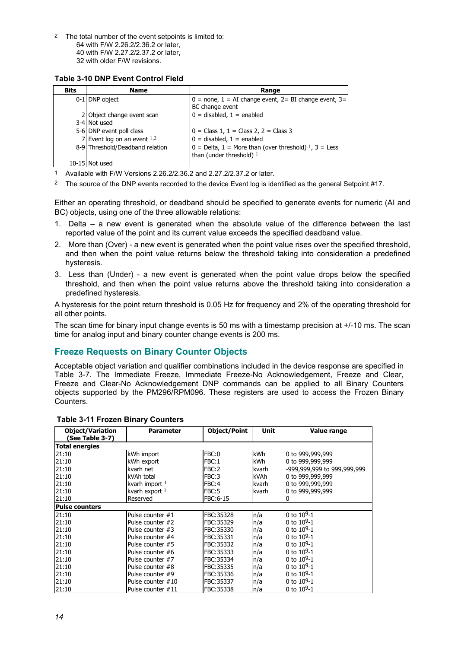2 The total number of the event setpoints is limited to: 64 with F/W 2.26.2/2.36.2 or later, 40 with F/W 2.27.2/2.37.2 or later, 32 with older F/W revisions.

## **Table 3-10 DNP Event Control Field**

| <b>Bits</b> | <b>Name</b>                     | Range                                                             |
|-------------|---------------------------------|-------------------------------------------------------------------|
|             | 0-1 DNP object                  | $0 =$ none, $1 = AI$ change event, $2 = BI$ change event, $3 =  $ |
|             |                                 | BC change event                                                   |
|             | 2 Object change event scan      | $0 =$ disabled, $1 =$ enabled                                     |
|             | 3-4 Not used                    |                                                                   |
|             | 5-6 DNP event poll class        | $0 = Class 1, 1 = Class 2, 2 = Class 3$                           |
|             | 7 Event log on an event $1,2$   | $0 =$ disabled, $1 =$ enabled                                     |
|             | 8-9 Threshold/Deadband relation | $0 =$ Delta, 1 = More than (over threshold) $1, 3 =$ Less         |
|             |                                 | than (under threshold) $1$                                        |
|             | 10-15 Not used                  |                                                                   |

1 Available with F/W Versions 2.26.2/2.36.2 and 2.27.2/2.37.2 or later.

<sup>2</sup> The source of the DNP events recorded to the device Event log is identified as the general Setpoint #17.

Either an operating threshold, or deadband should be specified to generate events for numeric (AI and BC) objects, using one of the three allowable relations:

- 1. Delta a new event is generated when the absolute value of the difference between the last reported value of the point and its current value exceeds the specified deadband value.
- 2. More than (Over) a new event is generated when the point value rises over the specified threshold, and then when the point value returns below the threshold taking into consideration a predefined hysteresis.
- 3. Less than (Under) a new event is generated when the point value drops below the specified threshold, and then when the point value returns above the threshold taking into consideration a predefined hysteresis.

A hysteresis for the point return threshold is 0.05 Hz for frequency and 2% of the operating threshold for all other points.

The scan time for binary input change events is 50 ms with a timestamp precision at +/-10 ms. The scan time for analog input and binary counter change events is 200 ms.

## <span id="page-13-0"></span>**Freeze Requests on Binary Counter Objects**

Acceptable object variation and qualifier combinations included in the device response are specified in Table 3-7. The Immediate Freeze, Immediate Freeze-No Acknowledgement, Freeze and Clear, Freeze and Clear-No Acknowledgement DNP commands can be applied to all Binary Counters objects supported by the PM296/RPM096. These registers are used to access the Frozen Binary Counters.

| <b>Object/Variation</b> | <b>Parameter</b>  | Object/Point | Unit  | Value range                 |
|-------------------------|-------------------|--------------|-------|-----------------------------|
| (See Table 3-7)         |                   |              |       |                             |
| Total energies          |                   |              |       |                             |
| 21:10                   | kWh import        | FBC:0        | kWh   | 0 to 999,999,999            |
| 21:10                   | kWh export        | FBC:1        | kWh   | 0 to 999,999,999            |
| 21:10                   | kvarh net         | FBC:2        | kvarh | -999,999,999 to 999,999,999 |
| 21:10                   | kVAh total        | FBC:3        | kVAh  | 0 to 999,999,999            |
| 21:10                   | kvarh import $1$  | FBC:4        | kvarh | 0 to 999,999,999            |
| 21:10                   | kvarh export $1$  | FBC:5        | kvarh | 0 to 999,999,999            |
| 21:10                   | Reserved          | FBC:6-15     |       | 0                           |
| <b>Pulse counters</b>   |                   |              |       |                             |
| 21:10                   | Pulse counter #1  | FBC:35328    | n/a   | $10$ to 10 <sup>9</sup> -1  |
| 21:10                   | Pulse counter #2  | FBC:35329    | n/a   | 0 to $10^{9} - 1$           |
| 21:10                   | Pulse counter #3  | FBC:35330    | n/a   | 0 to $10^{9-1}$             |
| 21:10                   | Pulse counter #4  | FBC:35331    | n/a   | 0 to $10^{9} - 1$           |
| 21:10                   | Pulse counter #5  | FBC:35332    | n/a   | 0 to $10^{9} - 1$           |
| 21:10                   | Pulse counter #6  | FBC:35333    | n/a   | 0 to $10^{9} - 1$           |
| 21:10                   | Pulse counter #7  | FBC:35334    | n/a   | 0 to $10^{9-1}$             |
| 21:10                   | Pulse counter #8  | FBC:35335    | n/a   | 0 to $10^{9} - 1$           |
| 21:10                   | Pulse counter #9  | FBC:35336    | n/a   | 10 to 10 <sup>9</sup> -1    |
| 21:10                   | Pulse counter #10 | FBC:35337    | n/a   | 0 to $10^{9-1}$             |
| 21:10                   | Pulse counter #11 | FBC:35338    | n/a   | 0 to $10^{9-1}$             |

#### **Table 3-11 Frozen Binary Counters**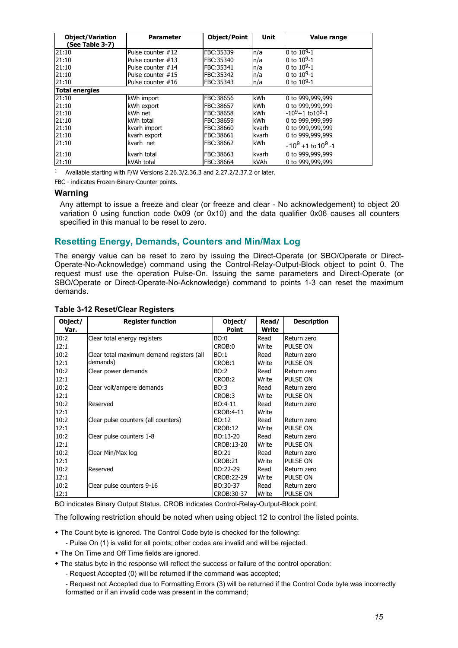| <b>Object/Variation</b><br>(See Table 3-7) | <b>Parameter</b>  | <b>Object/Point</b> | Unit       | Value range                              |
|--------------------------------------------|-------------------|---------------------|------------|------------------------------------------|
| 21:10                                      | Pulse counter #12 | FBC:35339           | n/a        | 0 to $10^{9} - 1$                        |
| 21:10                                      | Pulse counter #13 | FBC:35340           | n/a        | 0 to $10^{9} - 1$                        |
| 21:10                                      | Pulse counter #14 | FBC:35341           | n/a        | 0 to $10^{9} - 1$                        |
| 21:10                                      | Pulse counter #15 | FBC:35342           | n/a        | 0 to $10^{9} - 1$                        |
| 21:10                                      | Pulse counter #16 | FBC:35343           | n/a        | 0 to $10^{9} - 1$                        |
| Total energies                             |                   |                     |            |                                          |
| 21:10                                      | kWh import        | FBC:38656           | <b>kWh</b> | 0 to 999,999,999                         |
| 21:10                                      | kWh export        | FBC:38657           | <b>kWh</b> | 0 to 999,999,999                         |
| 21:10                                      | kWh net           | FBC:38658           | <b>kWh</b> | -10 <sup>9</sup> +1 to10 <sup>9</sup> -1 |
| 21:10                                      | kWh total         | FBC:38659           | <b>kWh</b> | 0 to 999,999,999                         |
| 21:10                                      | kvarh import      | FBC:38660           | kvarh      | 0 to 999,999,999                         |
| 21:10                                      | kvarh export      | FBC:38661           | kvarh      | 0 to 999,999,999                         |
| 21:10                                      | kvarh net         | FBC:38662           | kWh        | $-10^9$ +1 to 10 <sup>9</sup> -1         |
| 21:10                                      | kvarh total       | FBC:38663           | kvarh      | 0 to 999,999,999                         |
| 21:10                                      | kVAh total        | FBC:38664           | kVAh       | 0 to 999,999,999                         |

<sup>1</sup> Available starting with F/W Versions 2.26.3/2.36.3 and 2.27.2/2.37.2 or later.

FBC - indicates Frozen-Binary-Counter points.

#### **Warning**

Any attempt to issue a freeze and clear (or freeze and clear - No acknowledgement) to object 20 variation 0 using function code 0x09 (or 0x10) and the data qualifier 0x06 causes all counters specified in this manual to be reset to zero.

## <span id="page-14-0"></span>**Resetting Energy, Demands, Counters and Min/Max Log**

The energy value can be reset to zero by issuing the Direct-Operate (or SBO/Operate or Direct-Operate-No-Acknowledge) command using the Control-Relay-Output-Block object to point 0. The request must use the operation Pulse-On. Issuing the same parameters and Direct-Operate (or SBO/Operate or Direct-Operate-No-Acknowledge) command to points 1-3 can reset the maximum demands.

| Object/<br>Var. | <b>Register function</b>                  | Object/<br><b>Point</b> | Read/<br>Write | <b>Description</b> |
|-----------------|-------------------------------------------|-------------------------|----------------|--------------------|
| 10:2            | Clear total energy registers              | BO:0                    | Read           | Return zero        |
| 12:1            |                                           | CROB:0                  | Write          | <b>PULSE ON</b>    |
| 10:2            | Clear total maximum demand registers (all | BO:1                    | Read           | Return zero        |
| 12:1            | demands)                                  | CROB:1                  | Write          | <b>PULSE ON</b>    |
| 10:2            | Clear power demands                       | BO:2                    | Read           | Return zero        |
| 12:1            |                                           | CROB:2                  | Write          | Pulse on           |
| 10:2            | Clear volt/ampere demands                 | BO:3                    | Read           | Return zero        |
| 12:1            |                                           | CROB:3                  | Write          | <b>PULSE ON</b>    |
| 10:2            | Reserved                                  | $BO:4-11$               | Read           | Return zero        |
| 12:1            |                                           | CROB:4-11               | Write          |                    |
| 10:2            | Clear pulse counters (all counters)       | BO:12                   | Read           | Return zero        |
| 12:1            |                                           | CROB:12                 | Write          | <b>PULSE ON</b>    |
| 10:2            | Clear pulse counters 1-8                  | BO:13-20                | Read           | Return zero        |
| 12:1            |                                           | CROB:13-20              | Write          | <b>PULSE ON</b>    |
| 10:2            | Clear Min/Max log                         | BO:21                   | Read           | Return zero        |
| 12:1            |                                           | CROB:21                 | Write          | <b>PULSE ON</b>    |
| 10:2            | Reserved                                  | BO:22-29                | Read           | Return zero        |
| 12:1            |                                           | CROB:22-29              | Write          | <b>PULSE ON</b>    |
| 10:2            | Clear pulse counters 9-16                 | BO:30-37                | Read           | Return zero        |
| 12:1            |                                           | CROB: 30-37             | Write          | <b>PULSE ON</b>    |

#### **Table 3-12 Reset/Clear Registers**

BO indicates Binary Output Status. CROB indicates Control-Relay-Output-Block point.

The following restriction should be noted when using object 12 to control the listed points.

- The Count byte is ignored. The Control Code byte is checked for the following:
	- Pulse On (1) is valid for all points; other codes are invalid and will be rejected.
- The On Time and Off Time fields are ignored.
- The status byte in the response will reflect the success or failure of the control operation:
	- Request Accepted (0) will be returned if the command was accepted;
	- Request not Accepted due to Formatting Errors (3) will be returned if the Control Code byte was incorrectly formatted or if an invalid code was present in the command;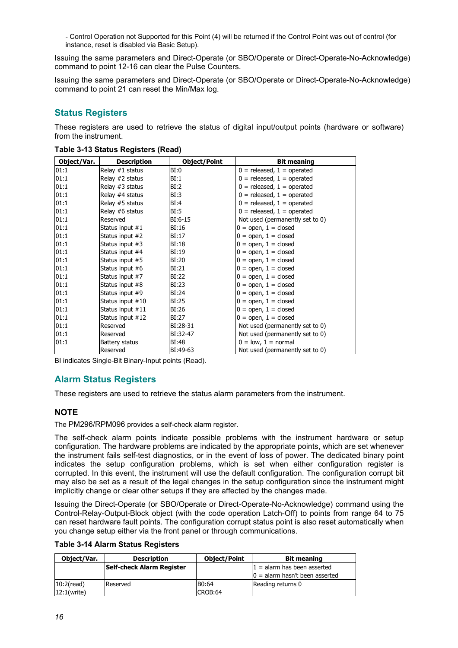- Control Operation not Supported for this Point (4) will be returned if the Control Point was out of control (for instance, reset is disabled via Basic Setup).

Issuing the same parameters and Direct-Operate (or SBO/Operate or Direct-Operate-No-Acknowledge) command to point 12-16 can clear the Pulse Counters.

Issuing the same parameters and Direct-Operate (or SBO/Operate or Direct-Operate-No-Acknowledge) command to point 21 can reset the Min/Max log.

## <span id="page-15-0"></span>**Status Registers**

These registers are used to retrieve the status of digital input/output points (hardware or software) from the instrument.

| Object/Var. | <b>Description</b> | <b>Object/Point</b> | <b>Bit meaning</b>              |
|-------------|--------------------|---------------------|---------------------------------|
| 01:1        | Relay $#1$ status  | BI:0                | $0 =$ released, $1 =$ operated  |
| 01:1        | Relay #2 status    | BI:1                | $0 =$ released, $1 =$ operated  |
| 01:1        | Relay #3 status    | BI:2                | $0 =$ released, $1 =$ operated  |
| 01:1        | Relay #4 status    | BI:3                | $0 =$ released, $1 =$ operated  |
| 01:1        | Relay #5 status    | BI:4                | $0 =$ released, $1 =$ operated  |
| 01:1        | Relay #6 status    | BI:5                | $0 =$ released, $1 =$ operated  |
| 01:1        | Reserved           | $BI:6-15$           | Not used (permanently set to 0) |
| 01:1        | Status input #1    | BI:16               | $0 =$ open, $1 =$ closed        |
| 01:1        | Status input #2    | BI:17               | $0 =$ open, $1 =$ closed        |
| 01:1        | Status input #3    | BI:18               | $0 =$ open, $1 =$ closed        |
| 01:1        | Status input #4    | BI:19               | $0 =$ open, $1 =$ closed        |
| 01:1        | Status input #5    | BI:20               | $0 =$ open, $1 =$ closed        |
| 01:1        | Status input #6    | BI:21               | $0 =$ open, $1 =$ closed        |
| 01:1        | Status input #7    | BI:22               | $0 =$ open, $1 =$ closed        |
| 01:1        | Status input #8    | BI:23               | $0 =$ open, $1 =$ closed        |
| 01:1        | Status input #9    | BI:24               | $0 =$ open, $1 =$ closed        |
| 01:1        | Status input #10   | BI:25               | $0 =$ open, $1 =$ closed        |
| 01:1        | Status input #11   | BI:26               | $0 =$ open, $1 =$ closed        |
| 01:1        | Status input #12   | BI:27               | $0 =$ open, $1 =$ closed        |
| 01:1        | Reserved           | BI:28-31            | Not used (permanently set to 0) |
| 01:1        | Reserved           | BI:32-47            | Not used (permanently set to 0) |
| 01:1        | Battery status     | BI:48               | $0 = low, 1 = normal$           |
|             | Reserved           | BI:49-63            | Not used (permanently set to 0) |

**Table 3-13 Status Registers (Read)**

BI indicates Single-Bit Binary-Input points (Read).

## <span id="page-15-1"></span>**Alarm Status Registers**

These registers are used to retrieve the status alarm parameters from the instrument.

## **NOTE**

The PM296/RPM096 provides a self-check alarm register.

The self-check alarm points indicate possible problems with the instrument hardware or setup configuration. The hardware problems are indicated by the appropriate points, which are set whenever the instrument fails self-test diagnostics, or in the event of loss of power. The dedicated binary point indicates the setup configuration problems, which is set when either configuration register is corrupted. In this event, the instrument will use the default configuration. The configuration corrupt bit may also be set as a result of the legal changes in the setup configuration since the instrument might implicitly change or clear other setups if they are affected by the changes made.

Issuing the Direct-Operate (or SBO/Operate or Direct-Operate-No-Acknowledge) command using the Control-Relay-Output-Block object (with the code operation Latch-Off) to points from range 64 to 75 can reset hardware fault points. The configuration corrupt status point is also reset automatically when you change setup either via the front panel or through communications.

**Table 3-14 Alarm Status Registers** 

| Object/Var.   | <b>Description</b>        | <b>Object/Point</b> | <b>Bit meaning</b>                |
|---------------|---------------------------|---------------------|-----------------------------------|
|               | Self-check Alarm Register |                     | $1 =$ alarm has been asserted     |
|               |                           |                     | $10 =$ alarm hasn't been asserted |
| $10:2$ (read) | Reserved                  | B0:64               | Reading returns 0                 |
| 12:1(write)   |                           | ICROB:64            |                                   |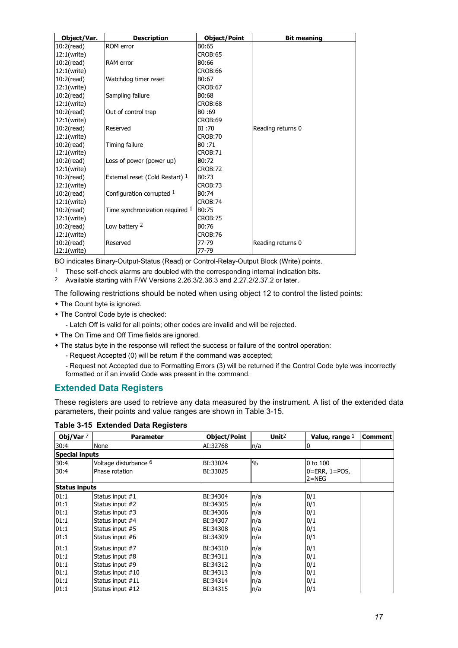| Object/Var.   | <b>Description</b>              | <b>Object/Point</b> | <b>Bit meaning</b> |
|---------------|---------------------------------|---------------------|--------------------|
| $10:2$ (read) | <b>ROM</b> error                | B0:65               |                    |
| 12:1(write)   |                                 | CROB:65             |                    |
| $10:2$ (read) | <b>RAM</b> error                | B0:66               |                    |
| 12:1(write)   |                                 | CROB:66             |                    |
| $10:2$ (read) | Watchdog timer reset            | B0:67               |                    |
| 12:1(write)   |                                 | <b>CROB:67</b>      |                    |
| $10:2$ (read) | Sampling failure                | B0:68               |                    |
| 12:1(write)   |                                 | CROB:68             |                    |
| $10:2$ (read) | Out of control trap             | B0:69               |                    |
| 12:1(write)   |                                 | CROB:69             |                    |
| $10:2$ (read) | Reserved                        | BI:70               | Reading returns 0  |
| 12:1(write)   |                                 | <b>CROB:70</b>      |                    |
| $10:2$ (read) | Timing failure                  | B0:71               |                    |
| 12:1(write)   |                                 | <b>CROB:71</b>      |                    |
| $10:2$ (read) | Loss of power (power up)        | B0:72               |                    |
| 12:1(write)   |                                 | <b>CROB:72</b>      |                    |
| $10:2$ (read) | External reset (Cold Restart) 1 | B0:73               |                    |
| 12:1(write)   |                                 | <b>CROB:73</b>      |                    |
| $10:2$ (read) | Configuration corrupted 1       | B0:74               |                    |
| 12:1(write)   |                                 | CROB:74             |                    |
| $10:2$ (read) | Time synchronization required 1 | B0:75               |                    |
| 12:1(write)   |                                 | CROB:75             |                    |
| $10:2$ (read) | Low battery 2                   | B0:76               |                    |
| 12:1(write)   |                                 | CROB:76             |                    |
| $10:2$ (read) | Reserved                        | 77-79               | Reading returns 0  |
| 12:1(write)   |                                 | 77-79               |                    |

BO indicates Binary-Output-Status (Read) or Control-Relay-Output Block (Write) points.

- <sup>1</sup> These self-check alarms are doubled with the corresponding internal indication bits.
- 2 Available starting with F/W Versions 2.26.3/2.36.3 and 2.27.2/2.37.2 or later.

The following restrictions should be noted when using object 12 to control the listed points:

- The Count byte is ignored.
- The Control Code byte is checked:
	- Latch Off is valid for all points; other codes are invalid and will be rejected.
- The On Time and Off Time fields are ignored.
- The status byte in the response will reflect the success or failure of the control operation:
	- Request Accepted (0) will be return if the command was accepted;
	- Request not Accepted due to Formatting Errors (3) will be returned if the Control Code byte was incorrectly formatted or if an invalid Code was present in the command.

## <span id="page-16-0"></span>**Extended Data Registers**

These registers are used to retrieve any data measured by the instrument. A list of the extended data parameters, their points and value ranges are shown in Table 3-15.

| <b>Table 3-15 Extended Data Registers</b> |  |  |
|-------------------------------------------|--|--|
|                                           |  |  |

| Obj/Var $7$           | <b>Parameter</b>                 | <b>Object/Point</b> | Unit $2$      | Value, range $1$ | Comment |
|-----------------------|----------------------------------|---------------------|---------------|------------------|---------|
| 30:4                  | None                             | AI:32768            | n/a           | 10               |         |
| <b>Special inputs</b> |                                  |                     |               |                  |         |
| 30:4                  | Voltage disturbance <sup>6</sup> | BI:33024            | $\frac{0}{0}$ | $0$ to $100$     |         |
| 30:4                  | Phase rotation                   | BI:33025            |               | 0=ERR, 1=POS,    |         |
|                       |                                  |                     |               | $2 = NEG$        |         |
| <b>Status inputs</b>  |                                  |                     |               |                  |         |
| 01:1                  | Status input $#1$                | BI:34304            | n/a           | 0/1              |         |
| 01:1                  | Status input #2                  | BI:34305            | n/a           | 0/1              |         |
| 01:1                  | Status input #3                  | BI:34306            | n/a           | 0/1              |         |
| 01:1                  | Status input #4                  | BI:34307            | n/a           | 0/1              |         |
| 01:1                  | Status input #5                  | BI:34308            | n/a           | 0/1              |         |
| 01:1                  | Status input #6                  | BI:34309            | n/a           | 0/1              |         |
| 01:1                  | Status input #7                  | BI:34310            | n/a           | 0/1              |         |
| 01:1                  | Status input #8                  | BI:34311            | n/a           | 0/1              |         |
| 01:1                  | Status input #9                  | BI:34312            | n/a           | 0/1              |         |
| 01:1                  | Status input #10                 | BI:34313            | n/a           | 0/1              |         |
| 01:1                  | Status input #11                 | BI:34314            | n/a           | 0/1              |         |
| 01:1                  | Status input #12                 | BI:34315            | n/a           | 0/1              |         |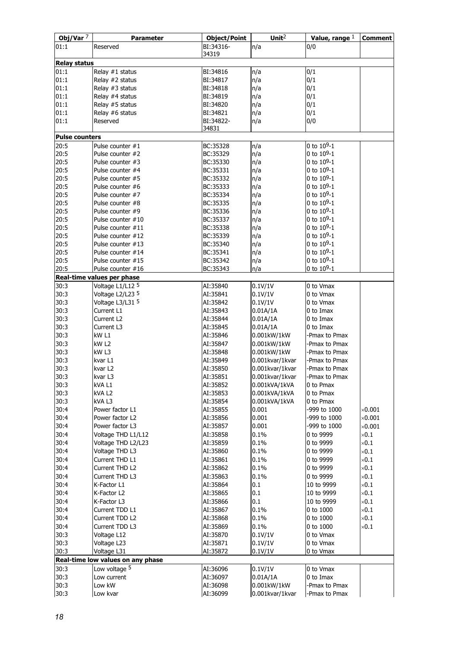| Obj/Var $^7$          | <b>Parameter</b>                  | <b>Object/Point</b>  | Unit $2$               | Value, range 1            | <b>Comment</b> |
|-----------------------|-----------------------------------|----------------------|------------------------|---------------------------|----------------|
| 01:1                  | Reserved                          | BI:34316-            | n/a                    | 0/0                       |                |
|                       |                                   | 34319                |                        |                           |                |
| <b>Relay status</b>   |                                   |                      |                        |                           |                |
| 01:1                  | Relay #1 status                   | BI:34816             | n/a                    | 0/1                       |                |
| 01:1                  | Relay #2 status                   | BI:34817             | n/a                    | 0/1                       |                |
| 01:1                  | Relay #3 status                   | BI:34818             | n/a                    | 0/1                       |                |
| 01:1                  | Relay #4 status                   | BI:34819             | n/a                    | 0/1                       |                |
| 01:1                  | Relay #5 status                   | BI:34820             | n/a                    | 0/1                       |                |
| 01:1                  | Relay #6 status                   | BI:34821             | n/a                    | 0/1                       |                |
| 01:1                  | Reserved                          | BI:34822-<br>34831   | n/a                    | 0/0                       |                |
| <b>Pulse counters</b> |                                   |                      |                        |                           |                |
|                       | Pulse counter #1                  |                      |                        | 0 to $10^{9} - 1$         |                |
| 20:5<br>20:5          | Pulse counter #2                  | BC:35328<br>BC:35329 | n/a<br>n/a             | 0 to $10^{9-1}$           |                |
| 20:5                  | Pulse counter #3                  | BC:35330             | n/a                    | 0 to $10^{9-1}$           |                |
| 20:5                  | Pulse counter #4                  | BC:35331             | n/a                    | 0 to $10^{9} - 1$         |                |
| 20:5                  | Pulse counter #5                  | BC:35332             | n/a                    | 0 to $10^{9-1}$           |                |
| 20:5                  | Pulse counter #6                  | BC:35333             | n/a                    | 0 to $10^{9-1}$           |                |
| 20:5                  | Pulse counter #7                  | BC:35334             | n/a                    | 0 to $10^{9} - 1$         |                |
| 20:5                  | Pulse counter #8                  | BC:35335             | n/a                    | 0 to $10^{9-1}$           |                |
| 20:5                  | Pulse counter #9                  | BC:35336             | n/a                    | 0 to $10^{9-1}$           |                |
| 20:5                  | Pulse counter #10                 | BC:35337             | n/a                    | 0 to $10^{9} - 1$         |                |
| 20:5                  | Pulse counter #11                 | BC:35338             | n/a                    | 0 to $10^{9-1}$           |                |
| 20:5                  | Pulse counter #12                 | BC:35339             | n/a                    | 0 to $10^{9-1}$           |                |
| 20:5                  | Pulse counter #13                 | BC:35340             | n/a                    | 0 to $10^{9} - 1$         |                |
| 20:5                  | Pulse counter #14                 | BC:35341             | n/a                    | 0 to $10^{9-1}$           |                |
| 20:5                  | Pulse counter #15                 | BC:35342             | n/a                    | 0 to $10^{9} - 1$         |                |
| 20:5                  | Pulse counter #16                 | BC:35343             | n/a                    | 0 to $10^{9-1}$           |                |
|                       | Real-time values per phase        |                      |                        |                           |                |
| 30:3                  | Voltage L1/L12 5                  | AI:35840             | 0.1V/1V                | 0 to Vmax                 |                |
| 30:3                  | Voltage L2/L23 5                  | AI:35841             | 0.1V/1V                | 0 to Vmax                 |                |
| 30:3                  | Voltage L3/L31 5                  | AI:35842             | 0.1V/1V                | 0 to Vmax                 |                |
| 30:3                  | Current L1                        | AI:35843             | 0.01A/1A               | 0 to Imax                 |                |
| 30:3                  | Current L2                        | AI:35844             | 0.01A/1A               | 0 to Imax                 |                |
| 30:3                  | Current L3                        | AI:35845             | 0.01A/1A               | 0 to Imax                 |                |
| 30:3                  | kW L1                             | AI:35846             | 0.001kW/1kW            | -Pmax to Pmax             |                |
| 30:3                  | kW L2                             | AI:35847             | 0.001kW/1kW            | -Pmax to Pmax             |                |
| 30:3                  | kW <sub>L3</sub>                  | AI:35848             | 0.001kW/1kW            | Pmax to Pmax              |                |
| 30:3                  | kvar L1                           | AI:35849             | 0.001kvar/1kvar        | -Pmax to Pmax             |                |
| 30:3                  | kvar L2                           | AI:35850             | 0.001kvar/1kvar        | -Pmax to Pmax             |                |
| 30:3                  | kvar L3                           | AI:35851             | 0.001kvar/1kvar        | -Pmax to Pmax             |                |
| 30:3                  | kVA L1                            | AI:35852             | 0.001kVA/1kVA          | 0 to Pmax                 |                |
| 30:3                  | kVA L2                            | AI:35853             | 0.001kVA/1kVA          | 0 to Pmax                 |                |
| 30:3<br>30:4          | kVA L3<br>Power factor L1         | AI:35854<br>AI:35855 | 0.001kVA/1kVA<br>0.001 | 0 to Pmax<br>-999 to 1000 | $\times 0.001$ |
| 30:4                  | Power factor L2                   | AI:35856             | 0.001                  | -999 to 1000              | $\times 0.001$ |
| 30:4                  | Power factor L3                   | AI:35857             | 0.001                  | -999 to 1000              | $\times 0.001$ |
| 30:4                  | Voltage THD L1/L12                | AI:35858             | 0.1%                   | 0 to 9999                 | $\times 0.1$   |
| 30:4                  | Voltage THD L2/L23                | AI:35859             | 0.1%                   | 0 to 9999                 | $\times 0.1$   |
| 30:4                  | Voltage THD L3                    | AI:35860             | 0.1%                   | 0 to 9999                 | $\times 0.1$   |
| 30:4                  | Current THD L1                    | AI:35861             | 0.1%                   | 0 to 9999                 | $\times 0.1$   |
| 30:4                  | Current THD L2                    | AI:35862             | 0.1%                   | 0 to 9999                 | $\times 0.1$   |
| 30:4                  | Current THD L3                    | AI:35863             | 0.1%                   | 0 to 9999                 | $\times 0.1$   |
| 30:4                  | K-Factor L1                       | AI:35864             | 0.1                    | 10 to 9999                | $\times 0.1$   |
| 30:4                  | K-Factor L2                       | AI:35865             | 0.1                    | 10 to 9999                | $\times 0.1$   |
| 30:4                  | K-Factor L3                       | AI:35866             | 0.1                    | 10 to 9999                | $\times 0.1$   |
| 30:4                  | Current TDD L1                    | AI:35867             | 0.1%                   | 0 to 1000                 | $\times 0.1$   |
| 30:4                  | Current TDD L2                    | AI:35868             | 0.1%                   | 0 to 1000                 | $\times 0.1$   |
| 30:4                  | Current TDD L3                    | AI:35869             | 0.1%                   | 0 to 1000                 | $\times 0.1$   |
| 30:3                  | Voltage L12                       | AI:35870             | 0.1V/1V                | 0 to Vmax                 |                |
| 30:3                  | Voltage L23                       | AI:35871             | 0.1V/1V                | 0 to Vmax                 |                |
| 30:3                  | Voltage L31                       | AI:35872             | 0.1V/1V                | 0 to Vmax                 |                |
|                       | Real-time low values on any phase |                      |                        |                           |                |
| 30:3                  | Low voltage 5                     | AI:36096             | 0.1V/1V                | 0 to Vmax                 |                |
| 30:3                  | Low current                       | AI:36097             | 0.01A/1A               | 0 to Imax                 |                |
| 30:3                  | Low kW                            | AI:36098             | 0.001kW/1kW            | -Pmax to Pmax             |                |
| 30:3                  | Low kvar                          | AI:36099             | 0.001kvar/1kvar        | -Pmax to Pmax             |                |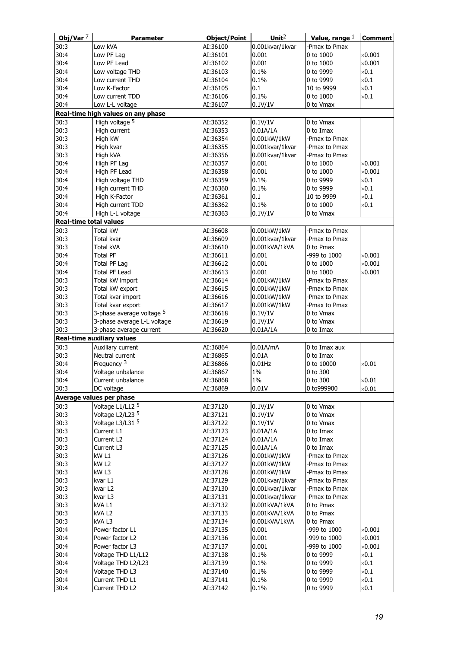| Obj/Var $7$                   | <b>Parameter</b>                                       | <b>Object/Point</b>  | Unit $2$                   | Value, range $1$               | <b>Comment</b> |
|-------------------------------|--------------------------------------------------------|----------------------|----------------------------|--------------------------------|----------------|
| 30:3                          | Low kVA                                                | AI:36100             | 0.001kvar/1kvar            | -Pmax to Pmax                  |                |
| 30:4                          | Low PF Lag                                             | AI:36101             | 0.001                      | 0 to 1000                      | $\times 0.001$ |
| 30:4                          | Low PF Lead                                            | AI:36102             | 0.001                      | 0 to 1000                      | $\times 0.001$ |
| 30:4                          | Low voltage THD                                        | AI:36103             | 0.1%                       | 0 to 9999                      | $\times 0.1$   |
| 30:4                          | Low current THD                                        | AI:36104             | 0.1%                       | 0 to 9999                      | $\times 0.1$   |
| 30:4                          | Low K-Factor                                           | AI:36105             | 0.1                        | 10 to 9999                     | $\times 0.1$   |
| 30:4                          | Low current TDD                                        | AI:36106             | 0.1%                       | 0 to 1000                      | $\times 0.1$   |
| 30:4                          | Low L-L voltage                                        | AI:36107             | 0.1V/1V                    | 0 to Vmax                      |                |
|                               | Real-time high values on any phase                     |                      |                            |                                |                |
| 30:3<br>30:3                  | High voltage 5<br>High current                         | AI:36352<br>AI:36353 | 0.1V/1V                    | 0 to Vmax<br>0 to Imax         |                |
| 30:3                          | High kW                                                | AI:36354             | 0.01A/1A<br>0.001kW/1kW    | -Pmax to Pmax                  |                |
| 30:3                          | High kvar                                              | AI:36355             | 0.001kvar/1kvar            | -Pmax to Pmax                  |                |
| 30:3                          | High kVA                                               | AI:36356             | 0.001kvar/1kvar            | -Pmax to Pmax                  |                |
| 30:4                          | High PF Lag                                            | AI:36357             | 0.001                      | 0 to 1000                      | $\times 0.001$ |
| 30:4                          | High PF Lead                                           | AI:36358             | 0.001                      | 0 to 1000                      | $\times 0.001$ |
| 30:4                          | High voltage THD                                       | AI:36359             | 0.1%                       | 0 to 9999                      | $\times 0.1$   |
| 30:4                          | High current THD                                       | AI:36360             | 0.1%                       | 0 to 9999                      | $\times 0.1$   |
| 30:4                          | High K-Factor                                          | AI:36361             | 0.1                        | 10 to 9999                     | $\times 0.1$   |
| 30:4                          | High current TDD                                       | AI:36362             | 0.1%                       | 0 to 1000                      | $\times 0.1$   |
| 30:4                          | High L-L voltage                                       | AI:36363             | 0.1V/1V                    | 0 to Vmax                      |                |
| <b>Real-time total values</b> |                                                        |                      |                            |                                |                |
| 30:3                          | <b>Total kW</b>                                        | AI:36608             | 0.001kW/1kW                | -Pmax to Pmax                  |                |
| 30:3                          | Total kvar                                             | AI:36609             | 0.001kvar/1kvar            | -Pmax to Pmax                  |                |
| 30:3                          | <b>Total kVA</b>                                       | AI:36610             | 0.001kVA/1kVA              | 0 to Pmax                      |                |
| 30:4                          | <b>Total PF</b>                                        | AI:36611             | 0.001                      | -999 to 1000                   | $\times 0.001$ |
| 30:4                          | Total PF Lag                                           | AI:36612             | 0.001                      | 0 to 1000                      | $\times 0.001$ |
| 30:4                          | <b>Total PF Lead</b>                                   | AI:36613             | 0.001                      | 0 to 1000                      | $\times 0.001$ |
| 30:3                          | Total kW import                                        | AI:36614             | 0.001kW/1kW                | -Pmax to Pmax                  |                |
| 30:3                          | Total kW export                                        | AI:36615             | 0.001kW/1kW                | -Pmax to Pmax                  |                |
| 30:3                          | Total kvar import                                      | AI:36616             | 0.001kW/1kW                | -Pmax to Pmax                  |                |
| 30:3                          | Total kvar export                                      | AI:36617             | 0.001kW/1kW                | -Pmax to Pmax                  |                |
| 30:3<br>30:3                  | 3-phase average voltage 5                              | AI:36618             | 0.1V/1V                    | 0 to Vmax<br>0 to Vmax         |                |
| 30:3                          | 3-phase average L-L voltage<br>3-phase average current | AI:36619<br>AI:36620 | 0.1V/1V<br>0.01A/1A        | 0 to Imax                      |                |
|                               | <b>Real-time auxiliary values</b>                      |                      |                            |                                |                |
| 30:3                          | Auxiliary current                                      | AI:36864             | 0.01A/mA                   | 0 to Imax aux                  |                |
| 30:3                          | Neutral current                                        | AI:36865             | 0.01A                      | 0 to Imax                      |                |
| 30:4                          | Frequency 3                                            | AI:36866             | $0.01$ Hz                  | 0 to 10000                     | $\times 0.01$  |
| 30:4                          | Voltage unbalance                                      | AI:36867             | $1\%$                      | 0 to 300                       |                |
| 30:4                          | Current unbalance                                      | AI:36868             | 1%                         | 0 to 300                       | $\times 0.01$  |
| 30:3                          | DC voltage                                             | AI:36869             | 0.01V                      | 0 to999900                     | $\times 0.01$  |
|                               | Average values per phase                               |                      |                            |                                |                |
| 30:3                          | Voltage L1/L12 <sup>5</sup>                            | AI:37120             | 0.1V/1V                    | 0 to Vmax                      |                |
| 30:3                          | Voltage L2/L23 5                                       | AI:37121             | 0.1V/1V                    | 0 to Vmax                      |                |
| 30:3                          | Voltage L3/L31 <sup>5</sup>                            | AI:37122             | 0.1V/1V                    | 0 to Vmax                      |                |
| 30:3                          | Current L1                                             | AI:37123             | 0.01A/1A                   | 0 to Imax                      |                |
| 30:3                          | Current L2                                             | AI:37124             | 0.01A/1A                   | 0 to Imax                      |                |
| 30:3                          | Current L3                                             | AI:37125             | 0.01A/1A                   | 0 to Imax                      |                |
| 30:3<br>30:3                  | kW L1<br>kW <sub>L2</sub>                              | AI:37126             | 0.001kW/1kW                | -Pmax to Pmax<br>-Pmax to Pmax |                |
| 30:3                          | kW L3                                                  | AI:37127<br>AI:37128 | 0.001kW/1kW<br>0.001kW/1kW | -Pmax to Pmax                  |                |
| 30:3                          | kvar L1                                                | AI:37129             | 0.001kvar/1kvar            | -Pmax to Pmax                  |                |
| 30:3                          | kvar L2                                                | AI:37130             | 0.001kvar/1kvar            | -Pmax to Pmax                  |                |
| 30:3                          | kvar L3                                                | AI:37131             | 0.001kvar/1kvar            | -Pmax to Pmax                  |                |
| 30:3                          | kVA L1                                                 | AI:37132             | 0.001kVA/1kVA              | 0 to Pmax                      |                |
| 30:3                          | kVA L2                                                 | AI:37133             | 0.001kVA/1kVA              | 0 to Pmax                      |                |
| 30:3                          | kVA L3                                                 | AI:37134             | 0.001kVA/1kVA              | 0 to Pmax                      |                |
| 30:4                          | Power factor L1                                        | AI:37135             | 0.001                      | -999 to 1000                   | $\times 0.001$ |
| 30:4                          | Power factor L2                                        | AI:37136             | 0.001                      | -999 to 1000                   | $\times 0.001$ |
| 30:4                          | Power factor L3                                        | AI:37137             | 0.001                      | -999 to 1000                   | $\times 0.001$ |
| 30:4                          | Voltage THD L1/L12                                     | AI:37138             | 0.1%                       | 0 to 9999                      | $\times 0.1$   |
| 30:4                          | Voltage THD L2/L23                                     | AI:37139             | 0.1%                       | 0 to 9999                      | $\times 0.1$   |
| 30:4                          | Voltage THD L3                                         | AI:37140             | 0.1%                       | 0 to 9999                      | $\times 0.1$   |
| 30:4                          | Current THD L1                                         | AI:37141             | 0.1%                       | 0 to 9999                      | $\times 0.1$   |
| 30:4                          | Current THD L2                                         | AI:37142             | 0.1%                       | 0 to 9999                      | $\times 0.1$   |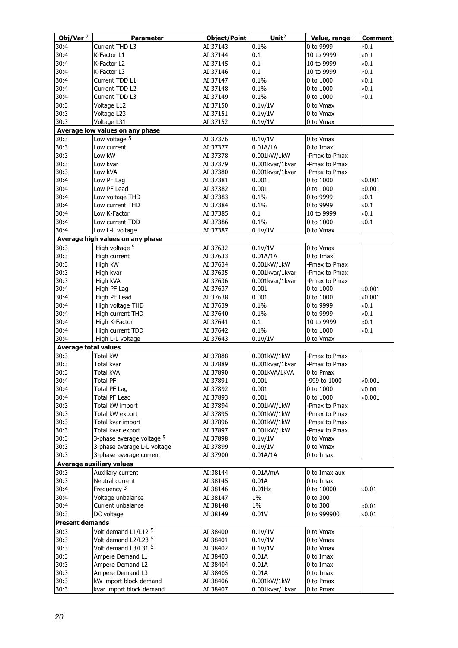| Obj/Var $7$                 | <b>Parameter</b>                     | <b>Object/Point</b>  | Unit $2$            | Value, range $1$           | <b>Comment</b> |
|-----------------------------|--------------------------------------|----------------------|---------------------|----------------------------|----------------|
| 30:4                        | Current THD L3                       | AI:37143             | 0.1%                | 0 to 9999                  | $\times 0.1$   |
| 30:4                        | K-Factor L1                          | AI:37144             | 0.1                 | 10 to 9999                 | $\times 0.1$   |
| 30:4                        | K-Factor L2                          | AI:37145             | 0.1                 | 10 to 9999                 | $\times 0.1$   |
| 30:4                        | K-Factor L3                          | AI:37146             | 0.1                 | 10 to 9999                 | $\times 0.1$   |
| 30:4                        | Current TDD L1                       | AI:37147             | 0.1%                | 0 to 1000                  | $\times 0.1$   |
| 30:4                        | Current TDD L2                       | AI:37148             | 0.1%                | 0 to 1000                  | $\times 0.1$   |
| 30:4                        | Current TDD L3                       | AI:37149             | 0.1%                | 0 to 1000                  | $\times 0.1$   |
| 30:3                        | Voltage L12                          | AI:37150             | 0.1V/1V             | 0 to Vmax                  |                |
| 30:3                        | Voltage L23                          | AI:37151             | 0.1V/1V             | 0 to Vmax                  |                |
| 30:3                        | Voltage L31                          | AI:37152             | 0.1V/1V             | 0 to Vmax                  |                |
|                             | Average low values on any phase      |                      |                     |                            |                |
| 30:3                        | Low voltage 5                        | AI:37376             | 0.1V/1V             | 0 to Vmax                  |                |
| 30:3                        | Low current                          | AI:37377             | 0.01A/1A            | 0 to Imax                  |                |
| 30:3                        | Low kW                               | AI:37378             | 0.001kW/1kW         | -Pmax to Pmax              |                |
| 30:3                        | Low kvar                             | AI:37379             | 0.001kvar/1kvar     | -Pmax to Pmax              |                |
| 30:3                        | Low kVA                              | AI:37380             | 0.001kvar/1kvar     | -Pmax to Pmax              |                |
| 30:4                        | Low PF Lag                           | AI:37381             | 0.001               | 0 to 1000                  | $\times 0.001$ |
| 30:4                        | Low PF Lead                          | AI:37382             | 0.001               | 0 to 1000                  | $\times$ 0.001 |
| 30:4                        | Low voltage THD                      | AI:37383             | 0.1%                | 0 to 9999                  | $\times 0.1$   |
| 30:4                        | Low current THD                      | AI:37384             | 0.1%                | 0 to 9999                  | $\times 0.1$   |
| 30:4                        | Low K-Factor                         | AI:37385             | 0.1                 | 10 to 9999                 | $\times 0.1$   |
| 30:4                        | Low current TDD                      | AI:37386             | 0.1%                | 0 to 1000                  | $\times 0.1$   |
| 30:4                        | Low L-L voltage                      | AI:37387             | 0.1V/1V             | 0 to Vmax                  |                |
|                             | Average high values on any phase     |                      |                     |                            |                |
| 30:3                        | High voltage 5                       | AI:37632             | 0.1V/1V             | 0 to Vmax                  |                |
| 30:3                        | High current                         | AI:37633             | 0.01A/1A            | 0 to Imax                  |                |
| 30:3                        | High kW                              | AI:37634             | 0.001kW/1kW         | -Pmax to Pmax              |                |
| 30:3                        | High kvar                            | AI:37635             | 0.001kvar/1kvar     | -Pmax to Pmax              |                |
| 30:3                        | High kVA                             | AI:37636             | 0.001kvar/1kvar     | -Pmax to Pmax              |                |
| 30:4                        | High PF Lag                          | AI:37637             | 0.001               | 0 to 1000                  | $\times 0.001$ |
| 30:4                        | High PF Lead                         | AI:37638             | 0.001               | 0 to 1000                  | $\times 0.001$ |
| 30:4                        | High voltage THD                     | AI:37639             | 0.1%                | 0 to 9999                  | $\times 0.1$   |
| 30:4                        | High current THD                     | AI:37640             | 0.1%                | 0 to 9999                  | $\times 0.1$   |
| 30:4                        | High K-Factor                        | AI:37641             | 0.1                 | 10 to 9999                 | $\times 0.1$   |
| 30:4                        | High current TDD                     | AI:37642             | 0.1%                | 0 to 1000                  | $\times 0.1$   |
| 30:4                        | High L-L voltage                     | AI:37643             | 0.1V/1V             | 0 to Vmax                  |                |
| <b>Average total values</b> |                                      |                      |                     |                            |                |
| 30:3                        | Total kW                             | AI:37888             | 0.001kW/1kW         | -Pmax to Pmax              |                |
| 30:3                        | Total kvar                           | AI:37889             | 0.001kvar/1kvar     | -Pmax to Pmax              |                |
| 30:3                        | Total kVA                            | AI:37890             | 0.001kVA/1kVA       | 0 to Pmax                  |                |
| 30:4                        | <b>Total PF</b>                      | AI:37891             | 0.001               | -999 to 1000               | $\times 0.001$ |
| 30:4                        | Total PF Lag                         | AI:37892             | 0.001               | 0 to 1000                  | $\times 0.001$ |
| 30:4                        | <b>Total PF Lead</b>                 | AI:37893             | 0.001               | 0 to 1000                  | $\times 0.001$ |
| 30:3                        | Total kW import                      | AI:37894             | 0.001kW/1kW         | -Pmax to Pmax              |                |
| 30:3                        | Total kW export                      | AI:37895             | 0.001kW/1kW         | -Pmax to Pmax              |                |
| 30:3                        | Total kvar import                    | AI:37896             | 0.001kW/1kW         | -Pmax to Pmax              |                |
| 30:3                        | Total kvar export                    | AI:37897             | 0.001kW/1kW         | -Pmax to Pmax              |                |
| 30:3                        | 3-phase average voltage 5            | AI:37898             | 0.1V/1V             | 0 to Vmax                  |                |
| 30:3<br>30:3                | 3-phase average L-L voltage          | AI:37899             | 0.1V/1V<br>0.01A/1A | 0 to Vmax<br>0 to Imax     |                |
|                             | 3-phase average current              | AI:37900             |                     |                            |                |
|                             | <b>Average auxiliary values</b>      |                      |                     |                            |                |
| 30:3                        | Auxiliary current<br>Neutral current | AI:38144             | 0.01A/mA            | 0 to Imax aux<br>0 to Imax |                |
| 30:3                        |                                      | AI:38145             | 0.01A               |                            |                |
| 30:4                        | Frequency <sup>3</sup>               | AI:38146             | $0.01$ Hz           | 0 to 10000                 | $\times 0.01$  |
| 30:4                        | Voltage unbalance                    | AI:38147             | $1\%$               | 0 to 300                   |                |
| 30:4                        | Current unbalance<br>DC voltage      | AI:38148             | $1\%$               | 0 to 300                   | $\times 0.01$  |
| 30:3                        |                                      | AI:38149             | 0.01V               | 0 to 999900                | $\times 0.01$  |
| <b>Present demands</b>      |                                      |                      |                     |                            |                |
| 30:3                        | Volt demand L1/L12 5                 | AI:38400             | 0.1V/1V             | 0 to Vmax                  |                |
| 30:3                        | Volt demand L2/L23 5                 | AI:38401             | 0.1V/1V             | 0 to Vmax                  |                |
| 30:3                        | Volt demand L3/L31 5                 | AI:38402             | 0.1V/1V             | 0 to Vmax                  |                |
| 30:3                        | Ampere Demand L1                     | AI:38403             | 0.01A               | 0 to Imax<br>0 to Imax     |                |
| 30:3<br>30:3                | Ampere Demand L2<br>Ampere Demand L3 | AI:38404<br>AI:38405 | 0.01A<br>0.01A      | 0 to Imax                  |                |
| 30:3                        | kW import block demand               | AI:38406             | 0.001kW/1kW         | 0 to Pmax                  |                |
| 30:3                        | kvar import block demand             | AI:38407             | 0.001kvar/1kvar     | 0 to Pmax                  |                |
|                             |                                      |                      |                     |                            |                |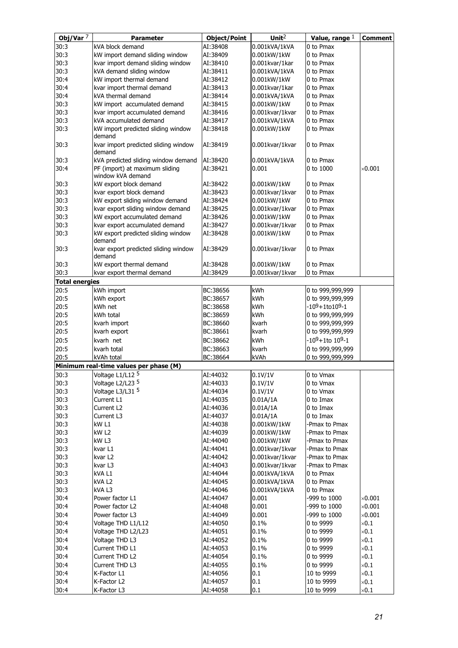| Obj/Var $7$           | Parameter                                           | <b>Object/Point</b> | Unit <sup>2</sup> | Value, range $1$        | <b>Comment</b> |
|-----------------------|-----------------------------------------------------|---------------------|-------------------|-------------------------|----------------|
| 30:3                  | kVA block demand                                    | AI:38408            | 0.001kVA/1kVA     | 0 to Pmax               |                |
| 30:3                  | kW import demand sliding window                     | AI:38409            | 0.001kW/1kW       | 0 to Pmax               |                |
| 30:3                  | kvar import demand sliding window                   | AI:38410            | 0.001kvar/1kar    | 0 to Pmax               |                |
| 30:3                  | kVA demand sliding window                           | AI:38411            | 0.001kVA/1kVA     | 0 to Pmax               |                |
| 30:4                  | kW import thermal demand                            | AI:38412            | 0.001kW/1kW       | 0 to Pmax               |                |
| 30:4                  | kvar import thermal demand                          | AI:38413            | 0.001kvar/1kar    | 0 to Pmax               |                |
| 30:4                  | kVA thermal demand                                  | AI:38414            | 0.001kVA/1kVA     | 0 to Pmax               |                |
| 30:3                  | kW import accumulated demand                        | AI:38415            | 0.001kW/1kW       | 0 to Pmax               |                |
| 30:3                  | kvar import accumulated demand                      | AI:38416            | 0.001kvar/1kvar   | 0 to Pmax               |                |
| 30:3                  | kVA accumulated demand                              | AI:38417            | 0.001kVA/1kVA     | 0 to Pmax               |                |
| 30:3                  | kW import predicted sliding window<br>demand        | AI:38418            | 0.001kW/1kW       | 0 to Pmax               |                |
| 30:3                  | kvar import predicted sliding window<br>demand      | AI:38419            | 0.001kvar/1kvar   | 0 to Pmax               |                |
| 30:3                  | kVA predicted sliding window demand                 | AI:38420            | 0.001kVA/1kVA     | 0 to Pmax               |                |
| 30:4                  | PF (import) at maximum sliding<br>window kVA demand | AI:38421            | 0.001             | 0 to 1000               | $\times$ 0.001 |
| 30:3                  | kW export block demand                              | AI:38422            | 0.001kW/1kW       | 0 to Pmax               |                |
| 30:3                  | kvar export block demand                            | AI:38423            | 0.001kvar/1kvar   | 0 to Pmax               |                |
| 30:3                  | kW export sliding window demand                     | AI:38424            | 0.001kW/1kW       | 0 to Pmax               |                |
| 30:3                  | kvar export sliding window demand                   | AI:38425            | 0.001kvar/1kvar   | 0 to Pmax               |                |
| 30:3                  | kW export accumulated demand                        | AI:38426            | 0.001kW/1kW       | 0 to Pmax               |                |
| 30:3                  | kvar export accumulated demand                      | AI:38427            | 0.001kvar/1kvar   | 0 to Pmax               |                |
| 30:3                  | kW export predicted sliding window<br>demand        | AI:38428            | 0.001kW/1kW       | 0 to Pmax               |                |
| 30:3                  | kvar export predicted sliding window<br>demand      | AI:38429            | 0.001kvar/1kvar   | 0 to Pmax               |                |
| 30:3                  | kW export thermal demand                            | AI:38428            | 0.001kW/1kW       | 0 to Pmax               |                |
| 30:3                  | kvar export thermal demand                          | AI:38429            | 0.001kvar/1kvar   | 0 to Pmax               |                |
| <b>Total energies</b> |                                                     |                     |                   |                         |                |
| 20:5                  | kWh import                                          | BC:38656            | kWh               | 0 to 999,999,999        |                |
| 20:5                  | kWh export                                          | BC:38657            | kWh               | 0 to 999,999,999        |                |
| 20:5                  | kWh net                                             | BC:38658            | kWh               | $-109 + 1$ to $109 - 1$ |                |
| 20:5                  | kWh total                                           | BC:38659            | kWh               | 0 to 999,999,999        |                |
| 20:5                  | kvarh import                                        | BC:38660            | kvarh             | 0 to 999,999,999        |                |
| 20:5                  | kvarh export                                        | BC:38661            | kvarh             | 0 to 999,999,999        |                |
| 20:5                  | kvarh net                                           | BC:38662            | kWh               | $-109+1$ to $109-1$     |                |
| 20:5                  | kvarh total                                         | BC:38663            | kvarh             | 0 to 999,999,999        |                |
| 20:5                  | kVAh total                                          | BC:38664            | kVAh              | 0 to 999,999,999        |                |
|                       | Minimum real-time values per phase (M)              |                     |                   |                         |                |
| 30:3                  | Voltage L1/L12 5                                    | AI:44032            | 0.1V/1V           | 0 to Vmax               |                |
| 30:3                  | Voltage L2/L23 <sup>5</sup>                         | AI:44033            | 0.1V/1V           | 0 to Vmax               |                |
| 30:3                  | Voltage L3/L31 5                                    | AI:44034            | 0.1V/1V           | 0 to Vmax               |                |
| 30:3                  | Current L1                                          | AI:44035            | 0.01A/1A          | 0 to Imax               |                |
| 30:3                  | Current L2                                          | AI:44036            | 0.01A/1A          | 0 to Imax               |                |
| 30:3                  | Current L3                                          | AI:44037            | 0.01A/1A          | 0 to Imax               |                |
| 30:3                  | kW L1                                               | AI:44038            | 0.001kW/1kW       | -Pmax to Pmax           |                |
| 30:3                  | kW L2                                               | AI:44039            | 0.001kW/1kW       | -Pmax to Pmax           |                |
| 30:3                  | kW L3                                               | AI:44040            | 0.001kW/1kW       | -Pmax to Pmax           |                |
| 30:3                  | kvar L1                                             | AI:44041            | 0.001kvar/1kvar   | -Pmax to Pmax           |                |
| 30:3                  | kvar L2                                             | AI:44042            | 0.001kvar/1kvar   | -Pmax to Pmax           |                |
| 30:3                  | kvar L3                                             | AI:44043            | 0.001kvar/1kvar   | -Pmax to Pmax           |                |
| 30:3                  | kVA L1                                              | AI:44044            | 0.001kVA/1kVA     | 0 to Pmax               |                |
| 30:3                  | kVA L2                                              | AI:44045            | 0.001kVA/1kVA     | 0 to Pmax               |                |
| 30:3                  | kVA L3                                              | AI:44046            | 0.001kVA/1kVA     | 0 to Pmax               |                |
| 30:4                  | Power factor L1                                     | AI:44047            | 0.001             | -999 to 1000            | $\times 0.001$ |
| 30:4                  | Power factor L2                                     | AI:44048            | 0.001             | -999 to 1000            | $\times 0.001$ |
| 30:4                  | Power factor L3                                     | AI:44049            | 0.001             | -999 to 1000            | $\times 0.001$ |
| 30:4                  | Voltage THD L1/L12                                  | AI:44050            | 0.1%              | 0 to 9999               | $\times 0.1$   |
| 30:4                  | Voltage THD L2/L23                                  | AI:44051            | 0.1%              | 0 to 9999               | $\times 0.1$   |
| 30:4                  | Voltage THD L3                                      | AI:44052            | 0.1%              | 0 to 9999               | $\times 0.1$   |
| 30:4                  | Current THD L1                                      | AI:44053            | 0.1%              | 0 to 9999               | $\times 0.1$   |
| 30:4                  | Current THD L2                                      | AI:44054            | 0.1%              | 0 to 9999               | $\times 0.1$   |
| 30:4                  | Current THD L3                                      | AI:44055            | 0.1%              | 0 to 9999               | $\times 0.1$   |
| 30:4                  | K-Factor L1                                         | AI:44056            | 0.1               | 10 to 9999              | $\times 0.1$   |
| 30:4                  | K-Factor L2                                         | AI:44057            | 0.1               | 10 to 9999              | $\times 0.1$   |
| 30:4                  | K-Factor L3                                         | AI:44058            | 0.1               | 10 to 9999              | $\times 0.1$   |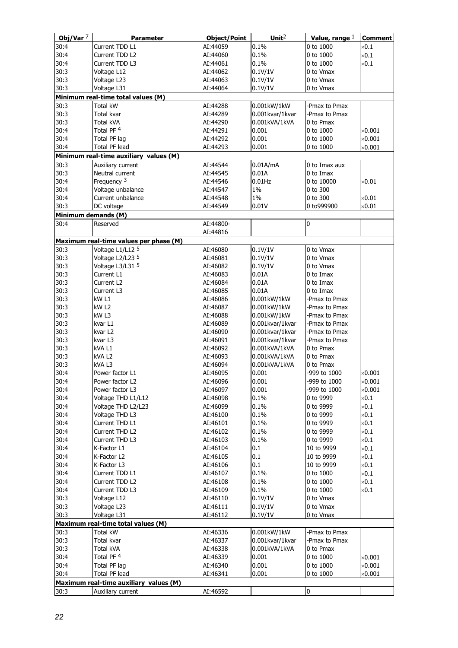| Current TDD L1<br>AI:44059<br>0.1%<br>0 to 1000<br>$\times 0.1$<br>0.1%<br>0 to 1000<br>$\times 0.1$<br>Current TDD L2<br>AI:44060<br>30:4<br>0.1%<br>0 to 1000<br>$\times 0.1$<br>Current TDD L3<br>AI:44061<br>30:3<br>Voltage L12<br>0.1V/1V<br>0 to Vmax<br>AI:44062<br>30:3<br>Voltage L23<br>0 to Vmax<br>AI:44063<br>0.1V/1V<br>30:3<br>Voltage L31<br>0 to Vmax<br>AI:44064<br>0.1V/1V<br>Minimum real-time total values (M)<br>Total kW<br>30:3<br>AI:44288<br>0.001kW/1kW<br>-Pmax to Pmax<br>30:3<br>0.001kvar/1kvar<br>Total kvar<br>AI:44289<br>-Pmax to Pmax<br>30:3<br>Total kVA<br>0.001kVA/1kVA<br>0 to Pmax<br>AI:44290<br>30:4<br>Total PF <sup>4</sup><br>0.001<br>0 to 1000<br>AI:44291<br>$\times 0.001$<br>0.001<br>$\times 0.001$<br>30:4<br>0 to 1000<br>Total PF lag<br>AI:44292<br>30:4<br>0.001<br>Total PF lead<br>AI:44293<br>0 to 1000<br>$\times 0.001$<br>Minimum real-time auxiliary values (M)<br>30:3<br>AI:44544<br>Auxiliary current<br>0.01A/mA<br>0 to Imax aux<br>30:3<br>0.01A<br>Neutral current<br>AI:44545<br>0 to Imax<br>Frequency <sup>3</sup><br>$0.01$ Hz<br>0 to 10000<br>$\times 0.01$<br>AI:44546<br>Voltage unbalance<br>1%<br>AI:44547<br>0 to 300<br>$1\%$<br>Current unbalance<br>0 to 300<br>$\times 0.01$<br>AI:44548<br>0 to999900<br>DC voltage<br>AI:44549<br>0.01V<br>$\times 0.01$<br>Minimum demands (M)<br>AI:44800-<br>$\bf{0}$<br>Reserved<br>AI:44816<br>Maximum real-time values per phase (M)<br>Voltage L1/L12 5<br>30:3<br>0.1V/1V<br>AI:46080<br>0 to Vmax<br>30:3<br>Voltage L2/L23 5<br>AI:46081<br>0.1V/1V<br>0 to Vmax<br>30:3<br>Voltage L3/L31 5<br>AI:46082<br>0.1V/1V<br>0 to Vmax<br>30:3<br>Current L1<br>0.01A<br>0 to Imax<br>AI:46083<br>30:3<br>0.01A<br>0 to Imax<br>Current L2<br>AI:46084<br>30:3<br>0.01A<br>0 to Imax<br>Current L3<br>AI:46085<br>30:3<br>kW L1<br>0.001kW/1kW<br>-Pmax to Pmax<br>AI:46086<br>kW L2<br>AI:46087<br>0.001kW/1kW<br>-Pmax to Pmax<br>kW L3<br>-Pmax to Pmax<br>AI:46088<br>0.001kW/1kW<br>0.001kvar/1kvar<br>-Pmax to Pmax<br>kvar L1<br>AI:46089<br>0.001kvar/1kvar<br>-Pmax to Pmax<br>kvar L2<br>AI:46090<br>30:3<br>AI:46091<br>0.001kvar/1kvar<br>-Pmax to Pmax<br>kvar L3<br>30:3<br>kVAL1<br>0 to Pmax<br>AI:46092<br>0.001kVA/1kVA<br>30:3<br>kVA L2<br>0.001kVA/1kVA<br>0 to Pmax<br>AI:46093<br>30:3<br>kVA L3<br>0.001kVA/1kVA<br>0 to Pmax<br>AI:46094<br>0.001<br>$\times 0.001$<br>30:4<br>-999 to 1000<br>Power factor L1<br>AI:46095<br>AI:46096<br>0.001<br>-999 to 1000<br>$\times 0.001$<br>30:4<br>Power factor L2<br>30:4<br>0.001<br>$\times 0.001$<br>Power factor L3<br>AI:46097<br>-999 to 1000<br>30:4<br>Voltage THD L1/L12<br>0.1%<br>0 to 9999<br>$\times 0.1$<br>AI:46098<br>30:4<br>Voltage THD L2/L23<br>0.1%<br>0 to 9999<br>$\times 0.1$<br>AI:46099<br>30:4<br>Voltage THD L3<br>0.1%<br>0 to 9999<br>$\times 0.1$<br>AI:46100<br>30:4<br>Current THD L1<br>AI:46101<br>0.1%<br>0 to 9999<br>$\times 0.1$<br>0.1%<br>Current THD L2<br>AI:46102<br>0 to 9999<br>$\times 0.1$<br>Current THD L3<br>AI:46103<br>0.1%<br>0 to 9999<br>$\times 0.1$<br>0.1<br>K-Factor L1<br>10 to 9999<br>$\times 0.1$<br>AI:46104<br>0.1<br>K-Factor L2<br>AI:46105<br>10 to 9999<br>$\times 0.1$<br>0.1<br>K-Factor L3<br>AI:46106<br>10 to 9999<br>$\times 0.1$<br>0.1%<br>Current TDD L1<br>0 to 1000<br>AI:46107<br>$\times 0.1$<br>30:4<br>0.1%<br>0 to 1000<br>Current TDD L2<br>AI:46108<br>$\times 0.1$<br>30:4<br>Current TDD L3<br>0.1%<br>0 to 1000<br>AI:46109<br>$\times 0.1$<br>30:3<br>Voltage L12<br>0.1V/1V<br>0 to Vmax<br>AI:46110<br>30:3<br>Voltage L23<br>AI:46111<br>0.1V/1V<br>0 to Vmax<br>30:3<br>Voltage L31<br>AI:46112<br>0.1V/1V<br>0 to Vmax<br>Maximum real-time total values (M)<br>Total kW<br>AI:46336<br>0.001kW/1kW<br>-Pmax to Pmax<br>30:3<br>0.001kvar/1kvar<br>30:3<br>Total kvar<br>AI:46337<br>-Pmax to Pmax<br>30:3<br>0 to Pmax<br>Total kVA<br>AI:46338<br>0.001kVA/1kVA<br>Total PF <sup>4</sup><br>0.001<br>$\times 0.001$<br>AI:46339<br>0 to 1000<br>0.001<br>Total PF lag<br>AI:46340<br>0 to 1000<br>$\times 0.001$<br>Total PF lead<br>0.001<br>0 to 1000<br>AI:46341<br>$\times 0.001$<br>Maximum real-time auxiliary values (M)<br>Auxiliary current<br>AI:46592<br>$\boldsymbol{0}$ | Obj/Var $^7$ | <b>Parameter</b> | <b>Object/Point</b> | Unit $2$ | Value, range $1$ | <b>Comment</b> |
|-------------------------------------------------------------------------------------------------------------------------------------------------------------------------------------------------------------------------------------------------------------------------------------------------------------------------------------------------------------------------------------------------------------------------------------------------------------------------------------------------------------------------------------------------------------------------------------------------------------------------------------------------------------------------------------------------------------------------------------------------------------------------------------------------------------------------------------------------------------------------------------------------------------------------------------------------------------------------------------------------------------------------------------------------------------------------------------------------------------------------------------------------------------------------------------------------------------------------------------------------------------------------------------------------------------------------------------------------------------------------------------------------------------------------------------------------------------------------------------------------------------------------------------------------------------------------------------------------------------------------------------------------------------------------------------------------------------------------------------------------------------------------------------------------------------------------------------------------------------------------------------------------------------------------------------------------------------------------------------------------------------------------------------------------------------------------------------------------------------------------------------------------------------------------------------------------------------------------------------------------------------------------------------------------------------------------------------------------------------------------------------------------------------------------------------------------------------------------------------------------------------------------------------------------------------------------------------------------------------------------------------------------------------------------------------------------------------------------------------------------------------------------------------------------------------------------------------------------------------------------------------------------------------------------------------------------------------------------------------------------------------------------------------------------------------------------------------------------------------------------------------------------------------------------------------------------------------------------------------------------------------------------------------------------------------------------------------------------------------------------------------------------------------------------------------------------------------------------------------------------------------------------------------------------------------------------------------------------------------------------------------------------------------------------------------------------------------------------------------------------------------------------------------------------------------------------------------------------------------------------------------------------------------------------------------------------------------------------------------------------------------------------------------------------------------------------------------------------------------------------------------------------------------------------------------------------------------------------------------------------------------------------------------------|--------------|------------------|---------------------|----------|------------------|----------------|
|                                                                                                                                                                                                                                                                                                                                                                                                                                                                                                                                                                                                                                                                                                                                                                                                                                                                                                                                                                                                                                                                                                                                                                                                                                                                                                                                                                                                                                                                                                                                                                                                                                                                                                                                                                                                                                                                                                                                                                                                                                                                                                                                                                                                                                                                                                                                                                                                                                                                                                                                                                                                                                                                                                                                                                                                                                                                                                                                                                                                                                                                                                                                                                                                                                                                                                                                                                                                                                                                                                                                                                                                                                                                                                                                                                                                                                                                                                                                                                                                                                                                                                                                                                                                                                                                                           | 30:4         |                  |                     |          |                  |                |
|                                                                                                                                                                                                                                                                                                                                                                                                                                                                                                                                                                                                                                                                                                                                                                                                                                                                                                                                                                                                                                                                                                                                                                                                                                                                                                                                                                                                                                                                                                                                                                                                                                                                                                                                                                                                                                                                                                                                                                                                                                                                                                                                                                                                                                                                                                                                                                                                                                                                                                                                                                                                                                                                                                                                                                                                                                                                                                                                                                                                                                                                                                                                                                                                                                                                                                                                                                                                                                                                                                                                                                                                                                                                                                                                                                                                                                                                                                                                                                                                                                                                                                                                                                                                                                                                                           | 30:4         |                  |                     |          |                  |                |
|                                                                                                                                                                                                                                                                                                                                                                                                                                                                                                                                                                                                                                                                                                                                                                                                                                                                                                                                                                                                                                                                                                                                                                                                                                                                                                                                                                                                                                                                                                                                                                                                                                                                                                                                                                                                                                                                                                                                                                                                                                                                                                                                                                                                                                                                                                                                                                                                                                                                                                                                                                                                                                                                                                                                                                                                                                                                                                                                                                                                                                                                                                                                                                                                                                                                                                                                                                                                                                                                                                                                                                                                                                                                                                                                                                                                                                                                                                                                                                                                                                                                                                                                                                                                                                                                                           |              |                  |                     |          |                  |                |
|                                                                                                                                                                                                                                                                                                                                                                                                                                                                                                                                                                                                                                                                                                                                                                                                                                                                                                                                                                                                                                                                                                                                                                                                                                                                                                                                                                                                                                                                                                                                                                                                                                                                                                                                                                                                                                                                                                                                                                                                                                                                                                                                                                                                                                                                                                                                                                                                                                                                                                                                                                                                                                                                                                                                                                                                                                                                                                                                                                                                                                                                                                                                                                                                                                                                                                                                                                                                                                                                                                                                                                                                                                                                                                                                                                                                                                                                                                                                                                                                                                                                                                                                                                                                                                                                                           |              |                  |                     |          |                  |                |
|                                                                                                                                                                                                                                                                                                                                                                                                                                                                                                                                                                                                                                                                                                                                                                                                                                                                                                                                                                                                                                                                                                                                                                                                                                                                                                                                                                                                                                                                                                                                                                                                                                                                                                                                                                                                                                                                                                                                                                                                                                                                                                                                                                                                                                                                                                                                                                                                                                                                                                                                                                                                                                                                                                                                                                                                                                                                                                                                                                                                                                                                                                                                                                                                                                                                                                                                                                                                                                                                                                                                                                                                                                                                                                                                                                                                                                                                                                                                                                                                                                                                                                                                                                                                                                                                                           |              |                  |                     |          |                  |                |
|                                                                                                                                                                                                                                                                                                                                                                                                                                                                                                                                                                                                                                                                                                                                                                                                                                                                                                                                                                                                                                                                                                                                                                                                                                                                                                                                                                                                                                                                                                                                                                                                                                                                                                                                                                                                                                                                                                                                                                                                                                                                                                                                                                                                                                                                                                                                                                                                                                                                                                                                                                                                                                                                                                                                                                                                                                                                                                                                                                                                                                                                                                                                                                                                                                                                                                                                                                                                                                                                                                                                                                                                                                                                                                                                                                                                                                                                                                                                                                                                                                                                                                                                                                                                                                                                                           |              |                  |                     |          |                  |                |
|                                                                                                                                                                                                                                                                                                                                                                                                                                                                                                                                                                                                                                                                                                                                                                                                                                                                                                                                                                                                                                                                                                                                                                                                                                                                                                                                                                                                                                                                                                                                                                                                                                                                                                                                                                                                                                                                                                                                                                                                                                                                                                                                                                                                                                                                                                                                                                                                                                                                                                                                                                                                                                                                                                                                                                                                                                                                                                                                                                                                                                                                                                                                                                                                                                                                                                                                                                                                                                                                                                                                                                                                                                                                                                                                                                                                                                                                                                                                                                                                                                                                                                                                                                                                                                                                                           |              |                  |                     |          |                  |                |
|                                                                                                                                                                                                                                                                                                                                                                                                                                                                                                                                                                                                                                                                                                                                                                                                                                                                                                                                                                                                                                                                                                                                                                                                                                                                                                                                                                                                                                                                                                                                                                                                                                                                                                                                                                                                                                                                                                                                                                                                                                                                                                                                                                                                                                                                                                                                                                                                                                                                                                                                                                                                                                                                                                                                                                                                                                                                                                                                                                                                                                                                                                                                                                                                                                                                                                                                                                                                                                                                                                                                                                                                                                                                                                                                                                                                                                                                                                                                                                                                                                                                                                                                                                                                                                                                                           |              |                  |                     |          |                  |                |
|                                                                                                                                                                                                                                                                                                                                                                                                                                                                                                                                                                                                                                                                                                                                                                                                                                                                                                                                                                                                                                                                                                                                                                                                                                                                                                                                                                                                                                                                                                                                                                                                                                                                                                                                                                                                                                                                                                                                                                                                                                                                                                                                                                                                                                                                                                                                                                                                                                                                                                                                                                                                                                                                                                                                                                                                                                                                                                                                                                                                                                                                                                                                                                                                                                                                                                                                                                                                                                                                                                                                                                                                                                                                                                                                                                                                                                                                                                                                                                                                                                                                                                                                                                                                                                                                                           |              |                  |                     |          |                  |                |
|                                                                                                                                                                                                                                                                                                                                                                                                                                                                                                                                                                                                                                                                                                                                                                                                                                                                                                                                                                                                                                                                                                                                                                                                                                                                                                                                                                                                                                                                                                                                                                                                                                                                                                                                                                                                                                                                                                                                                                                                                                                                                                                                                                                                                                                                                                                                                                                                                                                                                                                                                                                                                                                                                                                                                                                                                                                                                                                                                                                                                                                                                                                                                                                                                                                                                                                                                                                                                                                                                                                                                                                                                                                                                                                                                                                                                                                                                                                                                                                                                                                                                                                                                                                                                                                                                           |              |                  |                     |          |                  |                |
|                                                                                                                                                                                                                                                                                                                                                                                                                                                                                                                                                                                                                                                                                                                                                                                                                                                                                                                                                                                                                                                                                                                                                                                                                                                                                                                                                                                                                                                                                                                                                                                                                                                                                                                                                                                                                                                                                                                                                                                                                                                                                                                                                                                                                                                                                                                                                                                                                                                                                                                                                                                                                                                                                                                                                                                                                                                                                                                                                                                                                                                                                                                                                                                                                                                                                                                                                                                                                                                                                                                                                                                                                                                                                                                                                                                                                                                                                                                                                                                                                                                                                                                                                                                                                                                                                           |              |                  |                     |          |                  |                |
|                                                                                                                                                                                                                                                                                                                                                                                                                                                                                                                                                                                                                                                                                                                                                                                                                                                                                                                                                                                                                                                                                                                                                                                                                                                                                                                                                                                                                                                                                                                                                                                                                                                                                                                                                                                                                                                                                                                                                                                                                                                                                                                                                                                                                                                                                                                                                                                                                                                                                                                                                                                                                                                                                                                                                                                                                                                                                                                                                                                                                                                                                                                                                                                                                                                                                                                                                                                                                                                                                                                                                                                                                                                                                                                                                                                                                                                                                                                                                                                                                                                                                                                                                                                                                                                                                           |              |                  |                     |          |                  |                |
|                                                                                                                                                                                                                                                                                                                                                                                                                                                                                                                                                                                                                                                                                                                                                                                                                                                                                                                                                                                                                                                                                                                                                                                                                                                                                                                                                                                                                                                                                                                                                                                                                                                                                                                                                                                                                                                                                                                                                                                                                                                                                                                                                                                                                                                                                                                                                                                                                                                                                                                                                                                                                                                                                                                                                                                                                                                                                                                                                                                                                                                                                                                                                                                                                                                                                                                                                                                                                                                                                                                                                                                                                                                                                                                                                                                                                                                                                                                                                                                                                                                                                                                                                                                                                                                                                           |              |                  |                     |          |                  |                |
|                                                                                                                                                                                                                                                                                                                                                                                                                                                                                                                                                                                                                                                                                                                                                                                                                                                                                                                                                                                                                                                                                                                                                                                                                                                                                                                                                                                                                                                                                                                                                                                                                                                                                                                                                                                                                                                                                                                                                                                                                                                                                                                                                                                                                                                                                                                                                                                                                                                                                                                                                                                                                                                                                                                                                                                                                                                                                                                                                                                                                                                                                                                                                                                                                                                                                                                                                                                                                                                                                                                                                                                                                                                                                                                                                                                                                                                                                                                                                                                                                                                                                                                                                                                                                                                                                           |              |                  |                     |          |                  |                |
|                                                                                                                                                                                                                                                                                                                                                                                                                                                                                                                                                                                                                                                                                                                                                                                                                                                                                                                                                                                                                                                                                                                                                                                                                                                                                                                                                                                                                                                                                                                                                                                                                                                                                                                                                                                                                                                                                                                                                                                                                                                                                                                                                                                                                                                                                                                                                                                                                                                                                                                                                                                                                                                                                                                                                                                                                                                                                                                                                                                                                                                                                                                                                                                                                                                                                                                                                                                                                                                                                                                                                                                                                                                                                                                                                                                                                                                                                                                                                                                                                                                                                                                                                                                                                                                                                           |              |                  |                     |          |                  |                |
|                                                                                                                                                                                                                                                                                                                                                                                                                                                                                                                                                                                                                                                                                                                                                                                                                                                                                                                                                                                                                                                                                                                                                                                                                                                                                                                                                                                                                                                                                                                                                                                                                                                                                                                                                                                                                                                                                                                                                                                                                                                                                                                                                                                                                                                                                                                                                                                                                                                                                                                                                                                                                                                                                                                                                                                                                                                                                                                                                                                                                                                                                                                                                                                                                                                                                                                                                                                                                                                                                                                                                                                                                                                                                                                                                                                                                                                                                                                                                                                                                                                                                                                                                                                                                                                                                           | 30:4         |                  |                     |          |                  |                |
|                                                                                                                                                                                                                                                                                                                                                                                                                                                                                                                                                                                                                                                                                                                                                                                                                                                                                                                                                                                                                                                                                                                                                                                                                                                                                                                                                                                                                                                                                                                                                                                                                                                                                                                                                                                                                                                                                                                                                                                                                                                                                                                                                                                                                                                                                                                                                                                                                                                                                                                                                                                                                                                                                                                                                                                                                                                                                                                                                                                                                                                                                                                                                                                                                                                                                                                                                                                                                                                                                                                                                                                                                                                                                                                                                                                                                                                                                                                                                                                                                                                                                                                                                                                                                                                                                           | 30:4         |                  |                     |          |                  |                |
|                                                                                                                                                                                                                                                                                                                                                                                                                                                                                                                                                                                                                                                                                                                                                                                                                                                                                                                                                                                                                                                                                                                                                                                                                                                                                                                                                                                                                                                                                                                                                                                                                                                                                                                                                                                                                                                                                                                                                                                                                                                                                                                                                                                                                                                                                                                                                                                                                                                                                                                                                                                                                                                                                                                                                                                                                                                                                                                                                                                                                                                                                                                                                                                                                                                                                                                                                                                                                                                                                                                                                                                                                                                                                                                                                                                                                                                                                                                                                                                                                                                                                                                                                                                                                                                                                           | 30:4         |                  |                     |          |                  |                |
|                                                                                                                                                                                                                                                                                                                                                                                                                                                                                                                                                                                                                                                                                                                                                                                                                                                                                                                                                                                                                                                                                                                                                                                                                                                                                                                                                                                                                                                                                                                                                                                                                                                                                                                                                                                                                                                                                                                                                                                                                                                                                                                                                                                                                                                                                                                                                                                                                                                                                                                                                                                                                                                                                                                                                                                                                                                                                                                                                                                                                                                                                                                                                                                                                                                                                                                                                                                                                                                                                                                                                                                                                                                                                                                                                                                                                                                                                                                                                                                                                                                                                                                                                                                                                                                                                           | 30:3         |                  |                     |          |                  |                |
|                                                                                                                                                                                                                                                                                                                                                                                                                                                                                                                                                                                                                                                                                                                                                                                                                                                                                                                                                                                                                                                                                                                                                                                                                                                                                                                                                                                                                                                                                                                                                                                                                                                                                                                                                                                                                                                                                                                                                                                                                                                                                                                                                                                                                                                                                                                                                                                                                                                                                                                                                                                                                                                                                                                                                                                                                                                                                                                                                                                                                                                                                                                                                                                                                                                                                                                                                                                                                                                                                                                                                                                                                                                                                                                                                                                                                                                                                                                                                                                                                                                                                                                                                                                                                                                                                           |              |                  |                     |          |                  |                |
|                                                                                                                                                                                                                                                                                                                                                                                                                                                                                                                                                                                                                                                                                                                                                                                                                                                                                                                                                                                                                                                                                                                                                                                                                                                                                                                                                                                                                                                                                                                                                                                                                                                                                                                                                                                                                                                                                                                                                                                                                                                                                                                                                                                                                                                                                                                                                                                                                                                                                                                                                                                                                                                                                                                                                                                                                                                                                                                                                                                                                                                                                                                                                                                                                                                                                                                                                                                                                                                                                                                                                                                                                                                                                                                                                                                                                                                                                                                                                                                                                                                                                                                                                                                                                                                                                           | 30:4         |                  |                     |          |                  |                |
|                                                                                                                                                                                                                                                                                                                                                                                                                                                                                                                                                                                                                                                                                                                                                                                                                                                                                                                                                                                                                                                                                                                                                                                                                                                                                                                                                                                                                                                                                                                                                                                                                                                                                                                                                                                                                                                                                                                                                                                                                                                                                                                                                                                                                                                                                                                                                                                                                                                                                                                                                                                                                                                                                                                                                                                                                                                                                                                                                                                                                                                                                                                                                                                                                                                                                                                                                                                                                                                                                                                                                                                                                                                                                                                                                                                                                                                                                                                                                                                                                                                                                                                                                                                                                                                                                           |              |                  |                     |          |                  |                |
|                                                                                                                                                                                                                                                                                                                                                                                                                                                                                                                                                                                                                                                                                                                                                                                                                                                                                                                                                                                                                                                                                                                                                                                                                                                                                                                                                                                                                                                                                                                                                                                                                                                                                                                                                                                                                                                                                                                                                                                                                                                                                                                                                                                                                                                                                                                                                                                                                                                                                                                                                                                                                                                                                                                                                                                                                                                                                                                                                                                                                                                                                                                                                                                                                                                                                                                                                                                                                                                                                                                                                                                                                                                                                                                                                                                                                                                                                                                                                                                                                                                                                                                                                                                                                                                                                           |              |                  |                     |          |                  |                |
|                                                                                                                                                                                                                                                                                                                                                                                                                                                                                                                                                                                                                                                                                                                                                                                                                                                                                                                                                                                                                                                                                                                                                                                                                                                                                                                                                                                                                                                                                                                                                                                                                                                                                                                                                                                                                                                                                                                                                                                                                                                                                                                                                                                                                                                                                                                                                                                                                                                                                                                                                                                                                                                                                                                                                                                                                                                                                                                                                                                                                                                                                                                                                                                                                                                                                                                                                                                                                                                                                                                                                                                                                                                                                                                                                                                                                                                                                                                                                                                                                                                                                                                                                                                                                                                                                           |              |                  |                     |          |                  |                |
|                                                                                                                                                                                                                                                                                                                                                                                                                                                                                                                                                                                                                                                                                                                                                                                                                                                                                                                                                                                                                                                                                                                                                                                                                                                                                                                                                                                                                                                                                                                                                                                                                                                                                                                                                                                                                                                                                                                                                                                                                                                                                                                                                                                                                                                                                                                                                                                                                                                                                                                                                                                                                                                                                                                                                                                                                                                                                                                                                                                                                                                                                                                                                                                                                                                                                                                                                                                                                                                                                                                                                                                                                                                                                                                                                                                                                                                                                                                                                                                                                                                                                                                                                                                                                                                                                           |              |                  |                     |          |                  |                |
|                                                                                                                                                                                                                                                                                                                                                                                                                                                                                                                                                                                                                                                                                                                                                                                                                                                                                                                                                                                                                                                                                                                                                                                                                                                                                                                                                                                                                                                                                                                                                                                                                                                                                                                                                                                                                                                                                                                                                                                                                                                                                                                                                                                                                                                                                                                                                                                                                                                                                                                                                                                                                                                                                                                                                                                                                                                                                                                                                                                                                                                                                                                                                                                                                                                                                                                                                                                                                                                                                                                                                                                                                                                                                                                                                                                                                                                                                                                                                                                                                                                                                                                                                                                                                                                                                           |              |                  |                     |          |                  |                |
|                                                                                                                                                                                                                                                                                                                                                                                                                                                                                                                                                                                                                                                                                                                                                                                                                                                                                                                                                                                                                                                                                                                                                                                                                                                                                                                                                                                                                                                                                                                                                                                                                                                                                                                                                                                                                                                                                                                                                                                                                                                                                                                                                                                                                                                                                                                                                                                                                                                                                                                                                                                                                                                                                                                                                                                                                                                                                                                                                                                                                                                                                                                                                                                                                                                                                                                                                                                                                                                                                                                                                                                                                                                                                                                                                                                                                                                                                                                                                                                                                                                                                                                                                                                                                                                                                           |              |                  |                     |          |                  |                |
|                                                                                                                                                                                                                                                                                                                                                                                                                                                                                                                                                                                                                                                                                                                                                                                                                                                                                                                                                                                                                                                                                                                                                                                                                                                                                                                                                                                                                                                                                                                                                                                                                                                                                                                                                                                                                                                                                                                                                                                                                                                                                                                                                                                                                                                                                                                                                                                                                                                                                                                                                                                                                                                                                                                                                                                                                                                                                                                                                                                                                                                                                                                                                                                                                                                                                                                                                                                                                                                                                                                                                                                                                                                                                                                                                                                                                                                                                                                                                                                                                                                                                                                                                                                                                                                                                           |              |                  |                     |          |                  |                |
|                                                                                                                                                                                                                                                                                                                                                                                                                                                                                                                                                                                                                                                                                                                                                                                                                                                                                                                                                                                                                                                                                                                                                                                                                                                                                                                                                                                                                                                                                                                                                                                                                                                                                                                                                                                                                                                                                                                                                                                                                                                                                                                                                                                                                                                                                                                                                                                                                                                                                                                                                                                                                                                                                                                                                                                                                                                                                                                                                                                                                                                                                                                                                                                                                                                                                                                                                                                                                                                                                                                                                                                                                                                                                                                                                                                                                                                                                                                                                                                                                                                                                                                                                                                                                                                                                           |              |                  |                     |          |                  |                |
|                                                                                                                                                                                                                                                                                                                                                                                                                                                                                                                                                                                                                                                                                                                                                                                                                                                                                                                                                                                                                                                                                                                                                                                                                                                                                                                                                                                                                                                                                                                                                                                                                                                                                                                                                                                                                                                                                                                                                                                                                                                                                                                                                                                                                                                                                                                                                                                                                                                                                                                                                                                                                                                                                                                                                                                                                                                                                                                                                                                                                                                                                                                                                                                                                                                                                                                                                                                                                                                                                                                                                                                                                                                                                                                                                                                                                                                                                                                                                                                                                                                                                                                                                                                                                                                                                           | 30:3         |                  |                     |          |                  |                |
|                                                                                                                                                                                                                                                                                                                                                                                                                                                                                                                                                                                                                                                                                                                                                                                                                                                                                                                                                                                                                                                                                                                                                                                                                                                                                                                                                                                                                                                                                                                                                                                                                                                                                                                                                                                                                                                                                                                                                                                                                                                                                                                                                                                                                                                                                                                                                                                                                                                                                                                                                                                                                                                                                                                                                                                                                                                                                                                                                                                                                                                                                                                                                                                                                                                                                                                                                                                                                                                                                                                                                                                                                                                                                                                                                                                                                                                                                                                                                                                                                                                                                                                                                                                                                                                                                           | 30:3         |                  |                     |          |                  |                |
|                                                                                                                                                                                                                                                                                                                                                                                                                                                                                                                                                                                                                                                                                                                                                                                                                                                                                                                                                                                                                                                                                                                                                                                                                                                                                                                                                                                                                                                                                                                                                                                                                                                                                                                                                                                                                                                                                                                                                                                                                                                                                                                                                                                                                                                                                                                                                                                                                                                                                                                                                                                                                                                                                                                                                                                                                                                                                                                                                                                                                                                                                                                                                                                                                                                                                                                                                                                                                                                                                                                                                                                                                                                                                                                                                                                                                                                                                                                                                                                                                                                                                                                                                                                                                                                                                           | 30:3         |                  |                     |          |                  |                |
|                                                                                                                                                                                                                                                                                                                                                                                                                                                                                                                                                                                                                                                                                                                                                                                                                                                                                                                                                                                                                                                                                                                                                                                                                                                                                                                                                                                                                                                                                                                                                                                                                                                                                                                                                                                                                                                                                                                                                                                                                                                                                                                                                                                                                                                                                                                                                                                                                                                                                                                                                                                                                                                                                                                                                                                                                                                                                                                                                                                                                                                                                                                                                                                                                                                                                                                                                                                                                                                                                                                                                                                                                                                                                                                                                                                                                                                                                                                                                                                                                                                                                                                                                                                                                                                                                           | 30:3         |                  |                     |          |                  |                |
|                                                                                                                                                                                                                                                                                                                                                                                                                                                                                                                                                                                                                                                                                                                                                                                                                                                                                                                                                                                                                                                                                                                                                                                                                                                                                                                                                                                                                                                                                                                                                                                                                                                                                                                                                                                                                                                                                                                                                                                                                                                                                                                                                                                                                                                                                                                                                                                                                                                                                                                                                                                                                                                                                                                                                                                                                                                                                                                                                                                                                                                                                                                                                                                                                                                                                                                                                                                                                                                                                                                                                                                                                                                                                                                                                                                                                                                                                                                                                                                                                                                                                                                                                                                                                                                                                           |              |                  |                     |          |                  |                |
|                                                                                                                                                                                                                                                                                                                                                                                                                                                                                                                                                                                                                                                                                                                                                                                                                                                                                                                                                                                                                                                                                                                                                                                                                                                                                                                                                                                                                                                                                                                                                                                                                                                                                                                                                                                                                                                                                                                                                                                                                                                                                                                                                                                                                                                                                                                                                                                                                                                                                                                                                                                                                                                                                                                                                                                                                                                                                                                                                                                                                                                                                                                                                                                                                                                                                                                                                                                                                                                                                                                                                                                                                                                                                                                                                                                                                                                                                                                                                                                                                                                                                                                                                                                                                                                                                           |              |                  |                     |          |                  |                |
|                                                                                                                                                                                                                                                                                                                                                                                                                                                                                                                                                                                                                                                                                                                                                                                                                                                                                                                                                                                                                                                                                                                                                                                                                                                                                                                                                                                                                                                                                                                                                                                                                                                                                                                                                                                                                                                                                                                                                                                                                                                                                                                                                                                                                                                                                                                                                                                                                                                                                                                                                                                                                                                                                                                                                                                                                                                                                                                                                                                                                                                                                                                                                                                                                                                                                                                                                                                                                                                                                                                                                                                                                                                                                                                                                                                                                                                                                                                                                                                                                                                                                                                                                                                                                                                                                           |              |                  |                     |          |                  |                |
|                                                                                                                                                                                                                                                                                                                                                                                                                                                                                                                                                                                                                                                                                                                                                                                                                                                                                                                                                                                                                                                                                                                                                                                                                                                                                                                                                                                                                                                                                                                                                                                                                                                                                                                                                                                                                                                                                                                                                                                                                                                                                                                                                                                                                                                                                                                                                                                                                                                                                                                                                                                                                                                                                                                                                                                                                                                                                                                                                                                                                                                                                                                                                                                                                                                                                                                                                                                                                                                                                                                                                                                                                                                                                                                                                                                                                                                                                                                                                                                                                                                                                                                                                                                                                                                                                           |              |                  |                     |          |                  |                |
|                                                                                                                                                                                                                                                                                                                                                                                                                                                                                                                                                                                                                                                                                                                                                                                                                                                                                                                                                                                                                                                                                                                                                                                                                                                                                                                                                                                                                                                                                                                                                                                                                                                                                                                                                                                                                                                                                                                                                                                                                                                                                                                                                                                                                                                                                                                                                                                                                                                                                                                                                                                                                                                                                                                                                                                                                                                                                                                                                                                                                                                                                                                                                                                                                                                                                                                                                                                                                                                                                                                                                                                                                                                                                                                                                                                                                                                                                                                                                                                                                                                                                                                                                                                                                                                                                           |              |                  |                     |          |                  |                |
|                                                                                                                                                                                                                                                                                                                                                                                                                                                                                                                                                                                                                                                                                                                                                                                                                                                                                                                                                                                                                                                                                                                                                                                                                                                                                                                                                                                                                                                                                                                                                                                                                                                                                                                                                                                                                                                                                                                                                                                                                                                                                                                                                                                                                                                                                                                                                                                                                                                                                                                                                                                                                                                                                                                                                                                                                                                                                                                                                                                                                                                                                                                                                                                                                                                                                                                                                                                                                                                                                                                                                                                                                                                                                                                                                                                                                                                                                                                                                                                                                                                                                                                                                                                                                                                                                           |              |                  |                     |          |                  |                |
|                                                                                                                                                                                                                                                                                                                                                                                                                                                                                                                                                                                                                                                                                                                                                                                                                                                                                                                                                                                                                                                                                                                                                                                                                                                                                                                                                                                                                                                                                                                                                                                                                                                                                                                                                                                                                                                                                                                                                                                                                                                                                                                                                                                                                                                                                                                                                                                                                                                                                                                                                                                                                                                                                                                                                                                                                                                                                                                                                                                                                                                                                                                                                                                                                                                                                                                                                                                                                                                                                                                                                                                                                                                                                                                                                                                                                                                                                                                                                                                                                                                                                                                                                                                                                                                                                           |              |                  |                     |          |                  |                |
|                                                                                                                                                                                                                                                                                                                                                                                                                                                                                                                                                                                                                                                                                                                                                                                                                                                                                                                                                                                                                                                                                                                                                                                                                                                                                                                                                                                                                                                                                                                                                                                                                                                                                                                                                                                                                                                                                                                                                                                                                                                                                                                                                                                                                                                                                                                                                                                                                                                                                                                                                                                                                                                                                                                                                                                                                                                                                                                                                                                                                                                                                                                                                                                                                                                                                                                                                                                                                                                                                                                                                                                                                                                                                                                                                                                                                                                                                                                                                                                                                                                                                                                                                                                                                                                                                           |              |                  |                     |          |                  |                |
|                                                                                                                                                                                                                                                                                                                                                                                                                                                                                                                                                                                                                                                                                                                                                                                                                                                                                                                                                                                                                                                                                                                                                                                                                                                                                                                                                                                                                                                                                                                                                                                                                                                                                                                                                                                                                                                                                                                                                                                                                                                                                                                                                                                                                                                                                                                                                                                                                                                                                                                                                                                                                                                                                                                                                                                                                                                                                                                                                                                                                                                                                                                                                                                                                                                                                                                                                                                                                                                                                                                                                                                                                                                                                                                                                                                                                                                                                                                                                                                                                                                                                                                                                                                                                                                                                           |              |                  |                     |          |                  |                |
|                                                                                                                                                                                                                                                                                                                                                                                                                                                                                                                                                                                                                                                                                                                                                                                                                                                                                                                                                                                                                                                                                                                                                                                                                                                                                                                                                                                                                                                                                                                                                                                                                                                                                                                                                                                                                                                                                                                                                                                                                                                                                                                                                                                                                                                                                                                                                                                                                                                                                                                                                                                                                                                                                                                                                                                                                                                                                                                                                                                                                                                                                                                                                                                                                                                                                                                                                                                                                                                                                                                                                                                                                                                                                                                                                                                                                                                                                                                                                                                                                                                                                                                                                                                                                                                                                           |              |                  |                     |          |                  |                |
|                                                                                                                                                                                                                                                                                                                                                                                                                                                                                                                                                                                                                                                                                                                                                                                                                                                                                                                                                                                                                                                                                                                                                                                                                                                                                                                                                                                                                                                                                                                                                                                                                                                                                                                                                                                                                                                                                                                                                                                                                                                                                                                                                                                                                                                                                                                                                                                                                                                                                                                                                                                                                                                                                                                                                                                                                                                                                                                                                                                                                                                                                                                                                                                                                                                                                                                                                                                                                                                                                                                                                                                                                                                                                                                                                                                                                                                                                                                                                                                                                                                                                                                                                                                                                                                                                           | 30:4         |                  |                     |          |                  |                |
|                                                                                                                                                                                                                                                                                                                                                                                                                                                                                                                                                                                                                                                                                                                                                                                                                                                                                                                                                                                                                                                                                                                                                                                                                                                                                                                                                                                                                                                                                                                                                                                                                                                                                                                                                                                                                                                                                                                                                                                                                                                                                                                                                                                                                                                                                                                                                                                                                                                                                                                                                                                                                                                                                                                                                                                                                                                                                                                                                                                                                                                                                                                                                                                                                                                                                                                                                                                                                                                                                                                                                                                                                                                                                                                                                                                                                                                                                                                                                                                                                                                                                                                                                                                                                                                                                           | 30:4         |                  |                     |          |                  |                |
|                                                                                                                                                                                                                                                                                                                                                                                                                                                                                                                                                                                                                                                                                                                                                                                                                                                                                                                                                                                                                                                                                                                                                                                                                                                                                                                                                                                                                                                                                                                                                                                                                                                                                                                                                                                                                                                                                                                                                                                                                                                                                                                                                                                                                                                                                                                                                                                                                                                                                                                                                                                                                                                                                                                                                                                                                                                                                                                                                                                                                                                                                                                                                                                                                                                                                                                                                                                                                                                                                                                                                                                                                                                                                                                                                                                                                                                                                                                                                                                                                                                                                                                                                                                                                                                                                           | 30:4         |                  |                     |          |                  |                |
|                                                                                                                                                                                                                                                                                                                                                                                                                                                                                                                                                                                                                                                                                                                                                                                                                                                                                                                                                                                                                                                                                                                                                                                                                                                                                                                                                                                                                                                                                                                                                                                                                                                                                                                                                                                                                                                                                                                                                                                                                                                                                                                                                                                                                                                                                                                                                                                                                                                                                                                                                                                                                                                                                                                                                                                                                                                                                                                                                                                                                                                                                                                                                                                                                                                                                                                                                                                                                                                                                                                                                                                                                                                                                                                                                                                                                                                                                                                                                                                                                                                                                                                                                                                                                                                                                           | 30:4         |                  |                     |          |                  |                |
|                                                                                                                                                                                                                                                                                                                                                                                                                                                                                                                                                                                                                                                                                                                                                                                                                                                                                                                                                                                                                                                                                                                                                                                                                                                                                                                                                                                                                                                                                                                                                                                                                                                                                                                                                                                                                                                                                                                                                                                                                                                                                                                                                                                                                                                                                                                                                                                                                                                                                                                                                                                                                                                                                                                                                                                                                                                                                                                                                                                                                                                                                                                                                                                                                                                                                                                                                                                                                                                                                                                                                                                                                                                                                                                                                                                                                                                                                                                                                                                                                                                                                                                                                                                                                                                                                           | 30:4         |                  |                     |          |                  |                |
|                                                                                                                                                                                                                                                                                                                                                                                                                                                                                                                                                                                                                                                                                                                                                                                                                                                                                                                                                                                                                                                                                                                                                                                                                                                                                                                                                                                                                                                                                                                                                                                                                                                                                                                                                                                                                                                                                                                                                                                                                                                                                                                                                                                                                                                                                                                                                                                                                                                                                                                                                                                                                                                                                                                                                                                                                                                                                                                                                                                                                                                                                                                                                                                                                                                                                                                                                                                                                                                                                                                                                                                                                                                                                                                                                                                                                                                                                                                                                                                                                                                                                                                                                                                                                                                                                           | 30:4         |                  |                     |          |                  |                |
|                                                                                                                                                                                                                                                                                                                                                                                                                                                                                                                                                                                                                                                                                                                                                                                                                                                                                                                                                                                                                                                                                                                                                                                                                                                                                                                                                                                                                                                                                                                                                                                                                                                                                                                                                                                                                                                                                                                                                                                                                                                                                                                                                                                                                                                                                                                                                                                                                                                                                                                                                                                                                                                                                                                                                                                                                                                                                                                                                                                                                                                                                                                                                                                                                                                                                                                                                                                                                                                                                                                                                                                                                                                                                                                                                                                                                                                                                                                                                                                                                                                                                                                                                                                                                                                                                           |              |                  |                     |          |                  |                |
|                                                                                                                                                                                                                                                                                                                                                                                                                                                                                                                                                                                                                                                                                                                                                                                                                                                                                                                                                                                                                                                                                                                                                                                                                                                                                                                                                                                                                                                                                                                                                                                                                                                                                                                                                                                                                                                                                                                                                                                                                                                                                                                                                                                                                                                                                                                                                                                                                                                                                                                                                                                                                                                                                                                                                                                                                                                                                                                                                                                                                                                                                                                                                                                                                                                                                                                                                                                                                                                                                                                                                                                                                                                                                                                                                                                                                                                                                                                                                                                                                                                                                                                                                                                                                                                                                           |              |                  |                     |          |                  |                |
|                                                                                                                                                                                                                                                                                                                                                                                                                                                                                                                                                                                                                                                                                                                                                                                                                                                                                                                                                                                                                                                                                                                                                                                                                                                                                                                                                                                                                                                                                                                                                                                                                                                                                                                                                                                                                                                                                                                                                                                                                                                                                                                                                                                                                                                                                                                                                                                                                                                                                                                                                                                                                                                                                                                                                                                                                                                                                                                                                                                                                                                                                                                                                                                                                                                                                                                                                                                                                                                                                                                                                                                                                                                                                                                                                                                                                                                                                                                                                                                                                                                                                                                                                                                                                                                                                           |              |                  |                     |          |                  |                |
|                                                                                                                                                                                                                                                                                                                                                                                                                                                                                                                                                                                                                                                                                                                                                                                                                                                                                                                                                                                                                                                                                                                                                                                                                                                                                                                                                                                                                                                                                                                                                                                                                                                                                                                                                                                                                                                                                                                                                                                                                                                                                                                                                                                                                                                                                                                                                                                                                                                                                                                                                                                                                                                                                                                                                                                                                                                                                                                                                                                                                                                                                                                                                                                                                                                                                                                                                                                                                                                                                                                                                                                                                                                                                                                                                                                                                                                                                                                                                                                                                                                                                                                                                                                                                                                                                           |              |                  |                     |          |                  |                |
|                                                                                                                                                                                                                                                                                                                                                                                                                                                                                                                                                                                                                                                                                                                                                                                                                                                                                                                                                                                                                                                                                                                                                                                                                                                                                                                                                                                                                                                                                                                                                                                                                                                                                                                                                                                                                                                                                                                                                                                                                                                                                                                                                                                                                                                                                                                                                                                                                                                                                                                                                                                                                                                                                                                                                                                                                                                                                                                                                                                                                                                                                                                                                                                                                                                                                                                                                                                                                                                                                                                                                                                                                                                                                                                                                                                                                                                                                                                                                                                                                                                                                                                                                                                                                                                                                           |              |                  |                     |          |                  |                |
|                                                                                                                                                                                                                                                                                                                                                                                                                                                                                                                                                                                                                                                                                                                                                                                                                                                                                                                                                                                                                                                                                                                                                                                                                                                                                                                                                                                                                                                                                                                                                                                                                                                                                                                                                                                                                                                                                                                                                                                                                                                                                                                                                                                                                                                                                                                                                                                                                                                                                                                                                                                                                                                                                                                                                                                                                                                                                                                                                                                                                                                                                                                                                                                                                                                                                                                                                                                                                                                                                                                                                                                                                                                                                                                                                                                                                                                                                                                                                                                                                                                                                                                                                                                                                                                                                           |              |                  |                     |          |                  |                |
|                                                                                                                                                                                                                                                                                                                                                                                                                                                                                                                                                                                                                                                                                                                                                                                                                                                                                                                                                                                                                                                                                                                                                                                                                                                                                                                                                                                                                                                                                                                                                                                                                                                                                                                                                                                                                                                                                                                                                                                                                                                                                                                                                                                                                                                                                                                                                                                                                                                                                                                                                                                                                                                                                                                                                                                                                                                                                                                                                                                                                                                                                                                                                                                                                                                                                                                                                                                                                                                                                                                                                                                                                                                                                                                                                                                                                                                                                                                                                                                                                                                                                                                                                                                                                                                                                           |              |                  |                     |          |                  |                |
|                                                                                                                                                                                                                                                                                                                                                                                                                                                                                                                                                                                                                                                                                                                                                                                                                                                                                                                                                                                                                                                                                                                                                                                                                                                                                                                                                                                                                                                                                                                                                                                                                                                                                                                                                                                                                                                                                                                                                                                                                                                                                                                                                                                                                                                                                                                                                                                                                                                                                                                                                                                                                                                                                                                                                                                                                                                                                                                                                                                                                                                                                                                                                                                                                                                                                                                                                                                                                                                                                                                                                                                                                                                                                                                                                                                                                                                                                                                                                                                                                                                                                                                                                                                                                                                                                           |              |                  |                     |          |                  |                |
|                                                                                                                                                                                                                                                                                                                                                                                                                                                                                                                                                                                                                                                                                                                                                                                                                                                                                                                                                                                                                                                                                                                                                                                                                                                                                                                                                                                                                                                                                                                                                                                                                                                                                                                                                                                                                                                                                                                                                                                                                                                                                                                                                                                                                                                                                                                                                                                                                                                                                                                                                                                                                                                                                                                                                                                                                                                                                                                                                                                                                                                                                                                                                                                                                                                                                                                                                                                                                                                                                                                                                                                                                                                                                                                                                                                                                                                                                                                                                                                                                                                                                                                                                                                                                                                                                           | 30:4         |                  |                     |          |                  |                |
|                                                                                                                                                                                                                                                                                                                                                                                                                                                                                                                                                                                                                                                                                                                                                                                                                                                                                                                                                                                                                                                                                                                                                                                                                                                                                                                                                                                                                                                                                                                                                                                                                                                                                                                                                                                                                                                                                                                                                                                                                                                                                                                                                                                                                                                                                                                                                                                                                                                                                                                                                                                                                                                                                                                                                                                                                                                                                                                                                                                                                                                                                                                                                                                                                                                                                                                                                                                                                                                                                                                                                                                                                                                                                                                                                                                                                                                                                                                                                                                                                                                                                                                                                                                                                                                                                           | 30:4         |                  |                     |          |                  |                |
|                                                                                                                                                                                                                                                                                                                                                                                                                                                                                                                                                                                                                                                                                                                                                                                                                                                                                                                                                                                                                                                                                                                                                                                                                                                                                                                                                                                                                                                                                                                                                                                                                                                                                                                                                                                                                                                                                                                                                                                                                                                                                                                                                                                                                                                                                                                                                                                                                                                                                                                                                                                                                                                                                                                                                                                                                                                                                                                                                                                                                                                                                                                                                                                                                                                                                                                                                                                                                                                                                                                                                                                                                                                                                                                                                                                                                                                                                                                                                                                                                                                                                                                                                                                                                                                                                           | 30:4         |                  |                     |          |                  |                |
|                                                                                                                                                                                                                                                                                                                                                                                                                                                                                                                                                                                                                                                                                                                                                                                                                                                                                                                                                                                                                                                                                                                                                                                                                                                                                                                                                                                                                                                                                                                                                                                                                                                                                                                                                                                                                                                                                                                                                                                                                                                                                                                                                                                                                                                                                                                                                                                                                                                                                                                                                                                                                                                                                                                                                                                                                                                                                                                                                                                                                                                                                                                                                                                                                                                                                                                                                                                                                                                                                                                                                                                                                                                                                                                                                                                                                                                                                                                                                                                                                                                                                                                                                                                                                                                                                           |              |                  |                     |          |                  |                |
|                                                                                                                                                                                                                                                                                                                                                                                                                                                                                                                                                                                                                                                                                                                                                                                                                                                                                                                                                                                                                                                                                                                                                                                                                                                                                                                                                                                                                                                                                                                                                                                                                                                                                                                                                                                                                                                                                                                                                                                                                                                                                                                                                                                                                                                                                                                                                                                                                                                                                                                                                                                                                                                                                                                                                                                                                                                                                                                                                                                                                                                                                                                                                                                                                                                                                                                                                                                                                                                                                                                                                                                                                                                                                                                                                                                                                                                                                                                                                                                                                                                                                                                                                                                                                                                                                           | 30:3         |                  |                     |          |                  |                |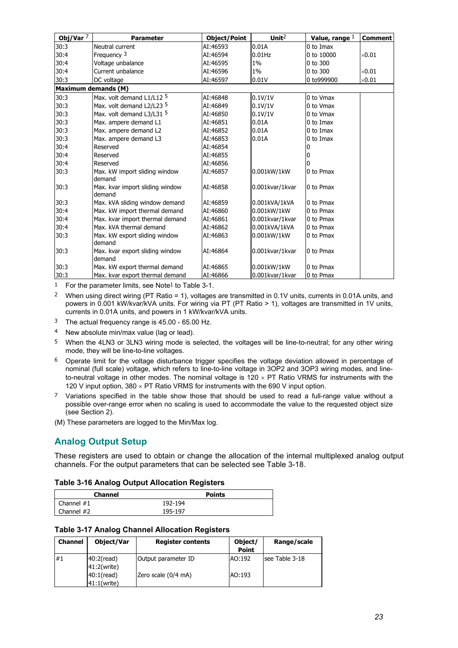| Obj/Var $^7$               | <b>Parameter</b>                          | <b>Object/Point</b> | Unit $2$        | Value, range $1$ | <b>Comment</b> |
|----------------------------|-------------------------------------------|---------------------|-----------------|------------------|----------------|
| 30:3                       | Neutral current                           | AI:46593            | 0.01A           | 0 to Imax        |                |
| 30:4                       | Frequency <sup>3</sup>                    | AI:46594            | $0.01$ Hz       | 0 to 10000       | $\times$ 0.01  |
| 30:4                       | Voltage unbalance                         | AI:46595            | $1\%$           | 0 to 300         |                |
| 30:4                       | Current unbalance                         | AI:46596            | $1\%$           | 0 to 300         | $\times 0.01$  |
| 30:3                       | DC voltage                                | AI:46597            | 0.01V           | 0 to999900       | $\times 0.01$  |
| <b>Maximum demands (M)</b> |                                           |                     |                 |                  |                |
| 30:3                       | Max. volt demand L1/L12 5                 | AI:46848            | 0.1V/1V         | 0 to Vmax        |                |
| 30:3                       | Max. volt demand L2/L23 5                 | AI:46849            | 0.1V/1V         | 0 to Vmax        |                |
| 30:3                       | Max. volt demand L3/L31 5                 | AI:46850            | 0.1V/1V         | 0 to Vmax        |                |
| 30:3                       | Max. ampere demand L1                     | AI:46851            | 0.01A           | 0 to Imax        |                |
| 30:3                       | Max. ampere demand L2                     | AI:46852            | 0.01A           | 0 to Imax        |                |
| 30:3                       | Max. ampere demand L3                     | AI:46853            | 0.01A           | 0 to Imax        |                |
| 30:4                       | Reserved                                  | AI:46854            |                 | 0                |                |
| 30:4                       | Reserved                                  | AI:46855            |                 | 0                |                |
| 30:4                       | Reserved                                  | AI:46856            |                 | ŋ                |                |
| 30:3                       | Max. kW import sliding window<br>demand   | AI:46857            | 0.001kW/1kW     | 0 to Pmax        |                |
| 30:3                       | Max. kvar import sliding window<br>demand | AI:46858            | 0.001kvar/1kvar | 0 to Pmax        |                |
| 30:3                       | Max. kVA sliding window demand            | AI:46859            | 0.001kVA/1kVA   | 0 to Pmax        |                |
| 30:4                       | Max. kW import thermal demand             | AI:46860            | 0.001kW/1kW     | 0 to Pmax        |                |
| 30:4                       | Max. kvar import thermal demand           | AI:46861            | 0.001kvar/1kvar | 0 to Pmax        |                |
| 30:4                       | Max. kVA thermal demand                   | AI:46862            | 0.001kVA/1kVA   | 0 to Pmax        |                |
| 30:3                       | Max. kW export sliding window<br>demand   | AI:46863            | 0.001kW/1kW     | 0 to Pmax        |                |
| 30:3                       | Max. kvar export sliding window<br>demand | AI:46864            | 0.001kvar/1kvar | 0 to Pmax        |                |
| 30:3                       | Max. kW export thermal demand             | AI:46865            | 0.001kW/1kW     | 0 to Pmax        |                |
| 30:3                       | Max. kvar export thermal demand           | AI:46866            | 0.001kvar/1kvar | 0 to Pmax        |                |

<sup>1</sup> For the parameter limits, see Note<sup>1</sup> to Table 3-1.

2 When using direct wiring (PT Ratio = 1), voltages are transmitted in 0.1V units, currents in 0.01A units, and powers in 0.001 kW/kvar/kVA units. For wiring via PT (PT Ratio > 1), voltages are transmitted in 1V units, currents in 0.01A units, and powers in 1 kW/kvar/kVA units.

- <sup>3</sup> The actual frequency range is 45.00 65.00 Hz.
- 4 New absolute min/max value (lag or lead).
- 5 When the 4LN3 or 3LN3 wiring mode is selected, the voltages will be line-to-neutral; for any other wiring mode, they will be line-to-line voltages.
- 6 Operate limit for the voltage disturbance trigger specifies the voltage deviation allowed in percentage of nominal (full scale) voltage, which refers to line-to-line voltage in 3OP2 and 3OP3 wiring modes, and lineto-neutral voltage in other modes. The nominal voltage is  $120 \times PT$  Ratio VRMS for instruments with the 120 V input option,  $380 \times PT$  Ratio VRMS for instruments with the 690 V input option.
- 7 Variations specified in the table show those that should be used to read a full-range value without a possible over-range error when no scaling is used to accommodate the value to the requested object size (see Section 2).

(M) These parameters are logged to the Min/Max log.

## <span id="page-22-0"></span>**Analog Output Setup**

These registers are used to obtain or change the allocation of the internal multiplexed analog output channels. For the output parameters that can be selected see Table 3-18.

#### **Table 3-16 Analog Output Allocation Registers**

| <b>Channel</b> | <b>Points</b> |
|----------------|---------------|
| Channel $#1$   | 192-194       |
| Channel $#2$   | 195-197       |

|  |  |  | <b>Table 3-17 Analog Channel Allocation Registers</b> |  |
|--|--|--|-------------------------------------------------------|--|
|--|--|--|-------------------------------------------------------|--|

| <b>Channel</b> | Object/Var                      | <b>Register contents</b> | Object/<br><b>Point</b> | Range/scale    |
|----------------|---------------------------------|--------------------------|-------------------------|----------------|
| #1             | $40:2$ (read)<br>41:2(write)    | Output parameter ID      | AO:192                  | see Table 3-18 |
|                | $40:1$ (read)<br>$41:1$ (write) | Zero scale (0/4 mA)      | AO:193                  |                |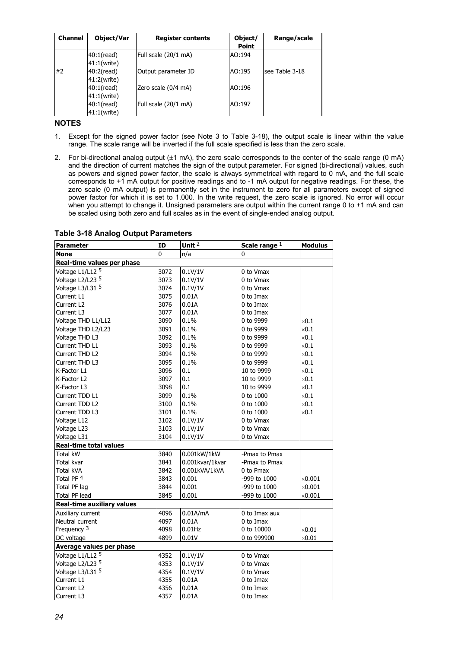| <b>Channel</b> | Object/Var     | <b>Register contents</b> | Object/<br><b>Point</b> | Range/scale    |
|----------------|----------------|--------------------------|-------------------------|----------------|
|                | $40:1$ (read)  | Full scale (20/1 mA)     | AO:194                  |                |
|                | $41:1$ (write) |                          |                         |                |
| #2             | $40:2$ (read)  | Output parameter ID      | AO:195                  | see Table 3-18 |
|                | 41:2(write)    |                          |                         |                |
|                | $40:1$ (read)  | Zero scale (0/4 mA)      | AO:196                  |                |
|                | 41:1(write)    |                          |                         |                |
|                | $40:1$ (read)  | Full scale (20/1 mA)     | AO:197                  |                |
|                | 41:1(write)    |                          |                         |                |

### **NOTES**

- 1. Except for the signed power factor (see Note 3 to Table 3-18), the output scale is linear within the value range. The scale range will be inverted if the full scale specified is less than the zero scale.
- 2. For bi-directional analog output  $(\pm 1 \text{ mA})$ , the zero scale corresponds to the center of the scale range (0 mA) and the direction of current matches the sign of the output parameter. For signed (bi-directional) values, such as powers and signed power factor, the scale is always symmetrical with regard to 0 mA, and the full scale corresponds to +1 mA output for positive readings and to -1 mA output for negative readings. For these, the zero scale (0 mA output) is permanently set in the instrument to zero for all parameters except of signed power factor for which it is set to 1.000. In the write request, the zero scale is ignored. No error will occur when you attempt to change it. Unsigned parameters are output within the current range 0 to +1 mA and can be scaled using both zero and full scales as in the event of single-ended analog output.

| <b>Parameter</b>                                     | ID          | Unit $2$           | Scale range $1$      | <b>Modulus</b> |
|------------------------------------------------------|-------------|--------------------|----------------------|----------------|
| <b>None</b>                                          | $\mathbf 0$ | n/a                | 0                    |                |
| Real-time values per phase                           |             |                    |                      |                |
| Voltage L1/L12 5                                     | 3072        | 0.1V/1V            | 0 to Vmax            |                |
| Voltage L2/L23 5                                     | 3073        | 0.1V/1V            | 0 to Vmax            |                |
| Voltage L3/L31 5                                     | 3074        | 0.1V/1V            | 0 to Vmax            |                |
| Current L1                                           | 3075        | 0.01A              | 0 to Imax            |                |
| Current L <sub>2</sub>                               | 3076        | 0.01A              | 0 to Imax            |                |
| Current L3                                           | 3077        | 0.01A              | 0 to Imax            |                |
| Voltage THD L1/L12                                   | 3090        | 0.1%               | 0 to 9999            | $\times 0.1$   |
| Voltage THD L2/L23                                   | 3091        | 0.1%               | 0 to 9999            | $\times 0.1$   |
| Voltage THD L3                                       | 3092        | 0.1%               | 0 to 9999            | $\times 0.1$   |
| Current THD L1                                       | 3093        | 0.1%               | 0 to 9999            | $\times 0.1$   |
| Current THD L2                                       | 3094        | 0.1%               | 0 to 9999            | $\times 0.1$   |
| Current THD L3                                       | 3095        | 0.1%               | 0 to 9999            | $\times 0.1$   |
| K-Factor L1                                          | 3096        | 0.1                | 10 to 9999           | $\times 0.1$   |
| K-Factor L2                                          | 3097        | 0.1                | 10 to 9999           | $\times 0.1$   |
| K-Factor L3                                          | 3098        | 0.1                | 10 to 9999           | $\times 0.1$   |
| Current TDD L1                                       | 3099        | 0.1%               | $0 \text{ to } 1000$ | $\times 0.1$   |
| Current TDD L2                                       | 3100        | 0.1%               | 0 to 1000            | $\times 0.1$   |
| Current TDD L3                                       | 3101        | 0.1%               | 0 to 1000            | $\times 0.1$   |
| Voltage L12                                          | 3102        | 0.1V/1V            | 0 to Vmax            |                |
| Voltage L23                                          | 3103        | 0.1V/1V            | 0 to Vmax            |                |
| Voltage L31                                          | 3104        | 0.1V/1V            | 0 to Vmax            |                |
| <b>Real-time total values</b>                        |             |                    |                      |                |
| <b>Total kW</b>                                      | 3840        | 0.001kW/1kW        | -Pmax to Pmax        |                |
| <b>Total kvar</b>                                    | 3841        | 0.001kvar/1kvar    | -Pmax to Pmax        |                |
| Total kVA                                            | 3842        | 0.001kVA/1kVA      | 0 to Pmax            |                |
| Total PF <sup>4</sup>                                | 3843        | 0.001              | -999 to 1000         | $\times 0.001$ |
| Total PF lag                                         | 3844        | 0.001              | -999 to 1000         | $\times$ 0.001 |
| <b>Total PF lead</b>                                 | 3845        | 0.001              | -999 to 1000         | $\times 0.001$ |
| <b>Real-time auxiliary values</b>                    |             |                    |                      |                |
| Auxiliary current                                    | 4096        | 0.01A/mA           | 0 to Imax aux        |                |
| Neutral current                                      | 4097        | 0.01A              | 0 to Imax            |                |
| Frequency 3                                          | 4098        | $0.01$ Hz          | 0 to 10000           | $\times 0.01$  |
| DC voltage                                           | 4899        | 0.01V              | 0 to 999900          | $\times$ 0.01  |
| Average values per phase                             |             |                    |                      |                |
| Voltage L1/L12 5                                     | 4352        | 0.1V/1V            | 0 to Vmax            |                |
| Voltage L2/L23 5                                     | 4353        | 0.1V/1V            | 0 to Vmax            |                |
| Voltage L3/L31 5                                     | 4354        | 0.1V/1V            | 0 to Vmax            |                |
| Current L1                                           | 4355        | 0.01A<br>0 to Imax |                      |                |
| 4356<br>0.01A<br>0 to Imax<br>Current L <sub>2</sub> |             |                    |                      |                |
| Current L3                                           | 4357        | 0.01A              | 0 to Imax            |                |

**Table 3-18 Analog Output Parameters**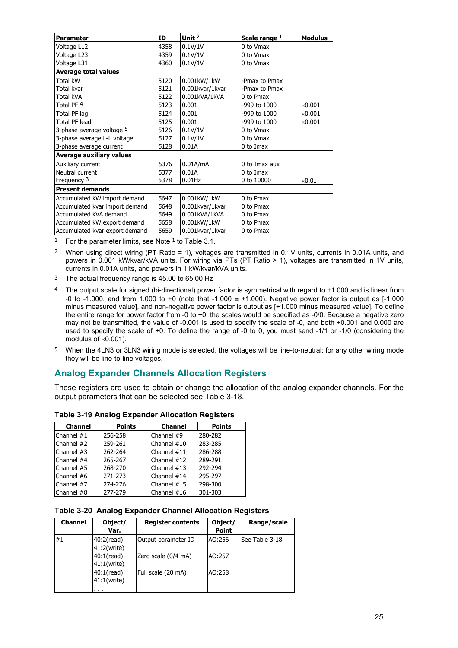| <b>Parameter</b>                | ID   | Unit $2$        | Scale range $1$ | <b>Modulus</b> |
|---------------------------------|------|-----------------|-----------------|----------------|
| Voltage L12                     | 4358 | 0.1V/1V         | 0 to Vmax       |                |
| Voltage L23                     | 4359 | 0.1V/1V         | 0 to Vmax       |                |
| Voltage L31                     | 4360 | 0.1V/1V         | 0 to Vmax       |                |
| <b>Average total values</b>     |      |                 |                 |                |
| <b>Total kW</b>                 | 5120 | 0.001kW/1kW     | -Pmax to Pmax   |                |
| Total kvar                      | 5121 | 0.001kvar/1kvar | -Pmax to Pmax   |                |
| Total kVA                       | 5122 | 0.001kVA/1kVA   | 0 to Pmax       |                |
| Total PF <sup>4</sup>           | 5123 | 0.001           | -999 to 1000    | $\times$ 0.001 |
| Total PF lag                    | 5124 | 0.001           | -999 to 1000    | $\times$ 0.001 |
| <b>Total PF lead</b>            | 5125 | 0.001           | -999 to 1000    | $\times$ 0.001 |
| 3-phase average voltage 5       | 5126 | 0.1V/1V         | 0 to Vmax       |                |
| 3-phase average L-L voltage     | 5127 | 0.1V/1V         | 0 to Vmax       |                |
| 3-phase average current         | 5128 | 0.01A           | 0 to Imax       |                |
| <b>Average auxiliary values</b> |      |                 |                 |                |
| Auxiliary current               | 5376 | 0.01A/mA        | 0 to Imax aux   |                |
| Neutral current                 | 5377 | 0.01A           | 0 to Imax       |                |
| Frequency 3                     | 5378 | $0.01$ Hz       | 0 to 10000      | $\times$ 0.01  |
| <b>Present demands</b>          |      |                 |                 |                |
| Accumulated kW import demand    | 5647 | 0.001kW/1kW     | 0 to Pmax       |                |
| Accumulated kvar import demand  | 5648 | 0.001kvar/1kvar | 0 to Pmax       |                |
| Accumulated kVA demand          | 5649 | 0.001kVA/1kVA   | 0 to Pmax       |                |
| Accumulated kW export demand    | 5658 | 0.001kW/1kW     | 0 to Pmax       |                |
| Accumulated kvar export demand  | 5659 | 0.001kvar/1kvar | 0 to Pmax       |                |

<sup>1</sup> For the parameter limits, see Note  $1$  to Table 3.1.

- 2 When using direct wiring (PT Ratio = 1), voltages are transmitted in 0.1V units, currents in 0.01A units, and powers in 0.001 kW/kvar/kVA units. For wiring via PTs (PT Ratio > 1), voltages are transmitted in 1V units, currents in 0.01A units, and powers in 1 kW/kvar/kVA units.
- <sup>3</sup> The actual frequency range is 45.00 to 65.00 Hz
- <sup>4</sup> The output scale for signed (bi-directional) power factor is symmetrical with regard to  $\pm$ 1.000 and is linear from -0 to -1.000, and from 1.000 to +0 (note that -1.000  $\equiv$  +1.000). Negative power factor is output as [-1.000 minus measured value], and non-negative power factor is output as [+1.000 minus measured value]. To define the entire range for power factor from -0 to +0, the scales would be specified as -0/0. Because a negative zero may not be transmitted, the value of -0.001 is used to specify the scale of -0, and both +0.001 and 0.000 are used to specify the scale of +0. To define the range of -0 to 0, you must send -1/1 or -1/0 (considering the modulus of  $\times$ 0.001).
- 5 When the 4LN3 or 3LN3 wiring mode is selected, the voltages will be line-to-neutral; for any other wiring mode they will be line-to-line voltages.

## <span id="page-24-0"></span>**Analog Expander Channels Allocation Registers**

These registers are used to obtain or change the allocation of the analog expander channels. For the output parameters that can be selected see Table 3-18.

| <b>Channel</b> | <b>Points</b> | <b>Channel</b> | <b>Points</b> |
|----------------|---------------|----------------|---------------|
| Channel $#1$   | 256-258       | Channel #9     | 280-282       |
| Channel $#2$   | 259-261       | Channel #10    | 283-285       |
| Channel $#3$   | 262-264       | Channel $#11$  | 286-288       |
| Channel #4     | 265-267       | Channel $#12$  | 289-291       |
| Channel #5     | 268-270       | Channel $#13$  | 292-294       |
| Channel $#6$   | 271-273       | Channel $#14$  | 295-297       |
| Channel #7     | 274-276       | Channel $#15$  | 298-300       |
| Channel #8     | 277-279       | Channel $#16$  | 301-303       |

#### **Table 3-19 Analog Expander Allocation Registers**

#### **Table 3-20 Analog Expander Channel Allocation Registers**

| <b>Channel</b> | Object/<br>Var.                      | <b>Register contents</b> | Object/<br><b>Point</b> | Range/scale    |
|----------------|--------------------------------------|--------------------------|-------------------------|----------------|
| #1             | 40:2(read)<br>41:2(write)            | Output parameter ID      | AO:256                  | See Table 3-18 |
|                | $40:1$ (read)<br>41:1(write)         | Zero scale (0/4 mA)      | AO:257                  |                |
|                | $40:1$ (read)<br>$41:1$ (write)<br>. | Full scale (20 mA)       | AO:258                  |                |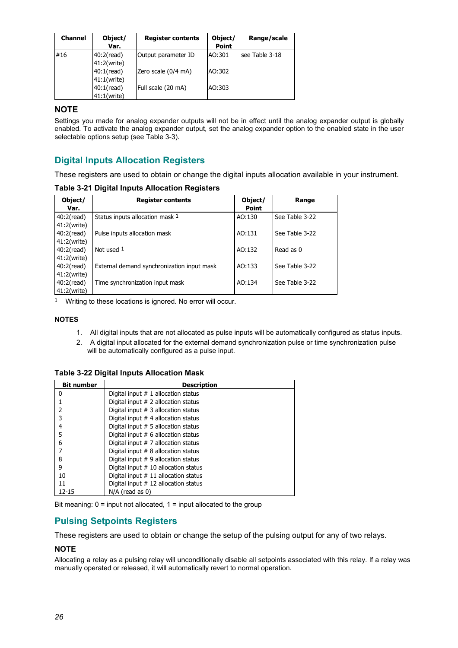| <b>Channel</b> | Object/<br>Var.                 | <b>Register contents</b> | Object/<br><b>Point</b> | Range/scale    |
|----------------|---------------------------------|--------------------------|-------------------------|----------------|
| #16            | 40:2(read)<br>41:2(write)       | Output parameter ID      | AO:301                  | see Table 3-18 |
|                | $40:1$ (read)<br>41:1(write)    | Zero scale (0/4 mA)      | AO:302                  |                |
|                | $40:1$ (read)<br>$41:1$ (write) | Full scale (20 mA)       | AO:303                  |                |

## **NOTE**

Settings you made for analog expander outputs will not be in effect until the analog expander output is globally enabled. To activate the analog expander output, set the analog expander option to the enabled state in the user selectable options setup (see Table 3-3).

## <span id="page-25-0"></span>**Digital Inputs Allocation Registers**

These registers are used to obtain or change the digital inputs allocation available in your instrument.

**Table 3-21 Digital Inputs Allocation Registers** 

| Object/<br>Var. | <b>Register contents</b>                   | Object/<br>Point | Range          |
|-----------------|--------------------------------------------|------------------|----------------|
| 40:2(read)      | Status inputs allocation mask 1            | AO:130           | See Table 3-22 |
| 41:2(write)     |                                            |                  |                |
| $40:2$ (read)   | Pulse inputs allocation mask               | AO:131           | See Table 3-22 |
| 41:2(write)     |                                            |                  |                |
| $40:2$ (read)   | Not used $1$                               | AO:132           | Read as 0      |
| 41:2(write)     |                                            |                  |                |
| $40:2$ (read)   | External demand synchronization input mask | AO:133           | See Table 3-22 |
| 41:2(write)     |                                            |                  |                |
| $40:2$ (read)   | Time synchronization input mask            | AO:134           | See Table 3-22 |
| 41:2(write)     |                                            |                  |                |

1 Writing to these locations is ignored. No error will occur.

#### **NOTES**

- 1. All digital inputs that are not allocated as pulse inputs will be automatically configured as status inputs.
- 2. A digital input allocated for the external demand synchronization pulse or time synchronization pulse will be automatically configured as a pulse input.

**Table 3-22 Digital Inputs Allocation Mask** 

| <b>Bit number</b> | <b>Description</b>                     |
|-------------------|----------------------------------------|
| ŋ                 | Digital input $# 1$ allocation status  |
|                   | Digital input $#$ 2 allocation status  |
|                   | Digital input $# 3$ allocation status  |
|                   | Digital input $#$ 4 allocation status  |
| 4                 | Digital input $# 5$ allocation status  |
| 5                 | Digital input $# 6$ allocation status  |
| 6                 | Digital input $# 7$ allocation status  |
|                   | Digital input $#8$ allocation status   |
| 8                 | Digital input $# 9$ allocation status  |
| 9                 | Digital input $#$ 10 allocation status |
| 10                | Digital input $#$ 11 allocation status |
| 11                | Digital input $#$ 12 allocation status |
| 12-15             | $N/A$ (read as 0)                      |

Bit meaning:  $0 =$  input not allocated,  $1 =$  input allocated to the group

## <span id="page-25-1"></span>**Pulsing Setpoints Registers**

These registers are used to obtain or change the setup of the pulsing output for any of two relays.

### **NOTE**

Allocating a relay as a pulsing relay will unconditionally disable all setpoints associated with this relay. If a relay was manually operated or released, it will automatically revert to normal operation.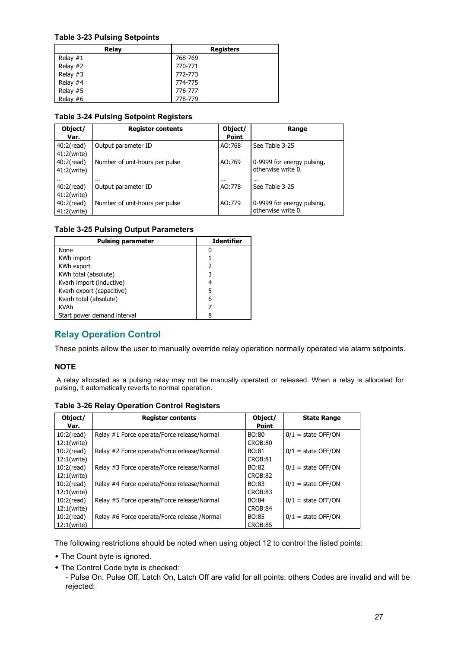#### **Table 3-23 Pulsing Setpoints**

| Relav      | <b>Registers</b> |
|------------|------------------|
| Relay $#1$ | 768-769          |
| Relay $#2$ | 770-771          |
| Relay $#3$ | 772-773          |
| Relay #4   | 774-775          |
| Relay #5   | 776-777          |
| Relay $#6$ | 778-779          |

#### **Table 3-24 Pulsing Setpoint Registers**

| Object/<br>Var. | <b>Register contents</b>       | Object/<br><b>Point</b> | Range                      |
|-----------------|--------------------------------|-------------------------|----------------------------|
| $40:2$ (read)   | Output parameter ID            | AO:768                  | See Table 3-25             |
| 41:2(write)     |                                |                         |                            |
| $40:2$ (read)   | Number of unit-hours per pulse | AO:769                  | 0-9999 for energy pulsing, |
| 41:2(write)     |                                |                         | otherwise write 0.         |
| $\cdots$        |                                | $\cdots$                | $\cdots$                   |
| $40:2$ (read)   | Output parameter ID            | AO:778                  | See Table 3-25             |
| 41:2(write)     |                                |                         |                            |
| $40:2$ (read)   | Number of unit-hours per pulse | AO:779                  | 0-9999 for energy pulsing, |
| 41:2(write)     |                                |                         | otherwise write 0.         |

#### **Table 3-25 Pulsing Output Parameters**

| <b>Pulsing parameter</b>    | Identifier |
|-----------------------------|------------|
| None                        |            |
| KWh import                  |            |
| KWh export                  | 2          |
| KWh total (absolute)        | 3          |
| Kvarh import (inductive)    |            |
| Kvarh export (capacitive)   | 5          |
| Kvarh total (absolute)      | 6          |
| <b>KVAh</b>                 |            |
| Start power demand interval |            |

## <span id="page-26-0"></span>**Relay Operation Control**

These points allow the user to manually override relay operation normally operated via alarm setpoints.

### **NOTE**

 A relay allocated as a pulsing relay may not be manually operated or released. When a relay is allocated for pulsing, it automatically reverts to normal operation.

| rable 3-20 Neiay Operation Control Negisters |                                              |                         |                      |
|----------------------------------------------|----------------------------------------------|-------------------------|----------------------|
| Object/<br>Var.                              | <b>Register contents</b>                     | Object/<br><b>Point</b> | <b>State Range</b>   |
| $10:2$ (read)<br>12:1(write)                 | Relay #1 Force operate/Force release/Normal  | BO:80<br>CROB:80        | $0/1$ = state OFF/ON |
| $10:2$ (read)<br>12:1(write)                 | Relay #2 Force operate/Force release/Normal  | BO:81<br>CROB:81        | $0/1$ = state OFF/ON |
| $10:2$ (read)<br>12:1(write)                 | Relay #3 Force operate/Force release/Normal  | BO:82<br>CROB:82        | $0/1$ = state OFF/ON |
| $10:2$ (read)<br>12:1(write)                 | Relay #4 Force operate/Force release/Normal  | BO:83<br>CROB:83        | $0/1$ = state OFF/ON |
| $10:2$ (read)<br>12:1(write)                 | Relay #5 Force operate/Force release/Normal  | BO:84<br>CROB:84        | $0/1$ = state OFF/ON |
| $10:2$ (read)<br>12:1(write)                 | Relay #6 Force operate/Force release /Normal | BO:85<br>CROB:85        | $0/1$ = state OFF/ON |

**Table 3-26 Relay Operation Control Registers** 

The following restrictions should be noted when using object 12 to control the listed points:

- The Count byte is ignored.
- The Control Code byte is checked:

- Pulse On, Pulse Off, Latch On, Latch Off are valid for all points; others Codes are invalid and will be rejected;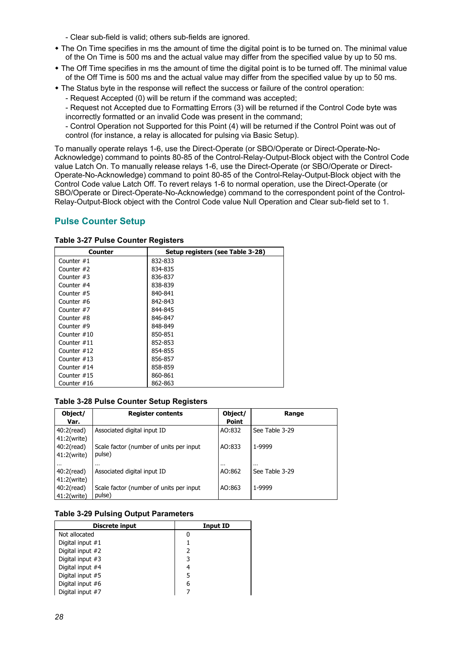- Clear sub-field is valid; others sub-fields are ignored.

- The On Time specifies in ms the amount of time the digital point is to be turned on. The minimal value of the On Time is 500 ms and the actual value may differ from the specified value by up to 50 ms.
- The Off Time specifies in ms the amount of time the digital point is to be turned off. The minimal value of the Off Time is 500 ms and the actual value may differ from the specified value by up to 50 ms.
- The Status byte in the response will reflect the success or failure of the control operation:
	- Request Accepted (0) will be return if the command was accepted;
	- Request not Accepted due to Formatting Errors (3) will be returned if the Control Code byte was incorrectly formatted or an invalid Code was present in the command;
	- Control Operation not Supported for this Point (4) will be returned if the Control Point was out of control (for instance, a relay is allocated for pulsing via Basic Setup).

To manually operate relays 1-6, use the Direct-Operate (or SBO/Operate or Direct-Operate-No-Acknowledge) command to points 80-85 of the Control-Relay-Output-Block object with the Control Code value Latch On. To manually release relays 1-6, use the Direct-Operate (or SBO/Operate or Direct-Operate-No-Acknowledge) command to point 80-85 of the Control-Relay-Output-Block object with the Control Code value Latch Off. To revert relays 1-6 to normal operation, use the Direct-Operate (or SBO/Operate or Direct-Operate-No-Acknowledge) command to the correspondent point of the Control-Relay-Output-Block object with the Control Code value Null Operation and Clear sub-field set to 1.

## <span id="page-27-0"></span>**Pulse Counter Setup**

| Counter       | Setup registers (see Table 3-28) |
|---------------|----------------------------------|
| Counter $#1$  | 832-833                          |
| Counter #2    | 834-835                          |
| Counter $#3$  | 836-837                          |
| Counter #4    | 838-839                          |
| Counter #5    | 840-841                          |
| Counter #6    | 842-843                          |
| Counter #7    | 844-845                          |
| Counter #8    | 846-847                          |
| Counter #9    | 848-849                          |
| Counter $#10$ | 850-851                          |
| Counter $#11$ | 852-853                          |
| Counter $#12$ | 854-855                          |
| Counter $#13$ | 856-857                          |
| Counter $#14$ | 858-859                          |
| Counter #15   | 860-861                          |
| Counter #16   | 862-863                          |

### **Table 3-27 Pulse Counter Registers**

#### **Table 3-28 Pulse Counter Setup Registers**

| Object/<br>Var.     | <b>Register contents</b>                | Object/<br><b>Point</b> | Range          |
|---------------------|-----------------------------------------|-------------------------|----------------|
| $40:2(\text{read})$ | Associated digital input ID             | AO:832                  | See Table 3-29 |
| 41:2(write)         |                                         |                         |                |
| $40:2$ (read)       | Scale factor (number of units per input | AO:833                  | 1-9999         |
| 41:2(write)         | pulse)                                  |                         |                |
| $\cdots$            | $\cdots$                                | $\cdots$                | $\cdots$       |
| $40:2$ (read)       | Associated digital input ID             | AO:862                  | See Table 3-29 |
| 41:2(write)         |                                         |                         |                |
| $40:2$ (read)       | Scale factor (number of units per input | AO:863                  | 1-9999         |
| 41:2(write)         | pulse)                                  |                         |                |

#### **Table 3-29 Pulsing Output Parameters**

| Discrete input   | <b>Input ID</b> |
|------------------|-----------------|
| Not allocated    |                 |
| Digital input #1 |                 |
| Digital input #2 | 2               |
| Digital input #3 | 3               |
| Digital input #4 | 4               |
| Digital input #5 | 5               |
| Digital input #6 | 6               |
| Digital input #7 |                 |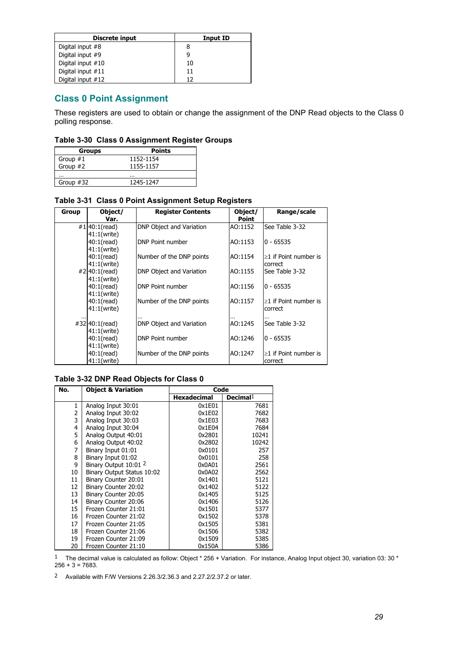| Discrete input    | <b>Input ID</b> |
|-------------------|-----------------|
| Digital input #8  | 8               |
| Digital input #9  | q               |
| Digital input #10 | 10              |
| Digital input #11 | 11              |
| Digital input #12 | 12              |

## <span id="page-28-0"></span>**Class 0 Point Assignment**

These registers are used to obtain or change the assignment of the DNP Read objects to the Class 0 polling response.

## **Table 3-30 Class 0 Assignment Register Groups**

| <b>Points</b> |
|---------------|
| 1152-1154     |
| 1155-1157     |
|               |
| 1245-1247     |
|               |

## **Table 3-31 Class 0 Point Assignment Setup Registers**

| Group    | Object/<br>Var.                 | <b>Register Contents</b> | Object/<br><b>Point</b> | Range/scale                            |
|----------|---------------------------------|--------------------------|-------------------------|----------------------------------------|
|          | #1 $40:1$ (read)<br>41:1(write) | DNP Object and Variation | AO:1152                 | See Table 3-32                         |
|          | $40:1$ (read)<br>41:1(write)    | DNP Point number         | AO:1153                 | $0 - 65535$                            |
|          | $40:1$ (read)<br>41:1(write)    | Number of the DNP points | AO:1154                 | $>1$ if Point number is<br>correct     |
|          | #2 40:1(read)<br>41:1(write)    | DNP Object and Variation | AO:1155                 | See Table 3-32                         |
|          | $40:1$ (read)<br>41:1(write)    | DNP Point number         | AO:1156                 | $0 - 65535$                            |
|          | $40:1$ (read)<br>41:1(write)    | Number of the DNP points | AO:1157                 | $>1$ if Point number is<br>correct     |
| $\cdots$ | #32 40:1(read)<br>41:1(write)   | DNP Object and Variation | AO:1245                 | See Table 3-32                         |
|          | $40:1$ (read)<br>41:1(write)    | DNP Point number         | AO:1246                 | $0 - 65535$                            |
|          | $40:1$ (read)<br>41:1(write)    | Number of the DNP points | AO:1247                 | $\geq$ 1 if Point number is<br>correct |

### **Table 3-32 DNP Read Objects for Class 0**

| No.          | <b>Object &amp; Variation</b> | Code               |                      |  |
|--------------|-------------------------------|--------------------|----------------------|--|
|              |                               | <b>Hexadecimal</b> | Decimal <sup>1</sup> |  |
| $\mathbf{1}$ | Analog Input 30:01            | 0x1E01             | 7681                 |  |
| 2            | Analog Input 30:02            | 0x1E02             | 7682                 |  |
| 3            | Analog Input 30:03            | 0x1E03             | 7683                 |  |
| 4            | Analog Input 30:04            | 0x1E04             | 7684                 |  |
| 5            | Analog Output 40:01           | 0x2801             | 10241                |  |
| 6            | Analog Output 40:02           | 0x2802             | 10242                |  |
| 7            | Binary Input 01:01            | 0x0101             | 257                  |  |
| 8            | Binary Input 01:02            | 0x0101             | 258                  |  |
| 9            | Binary Output 10:01 2         | 0x0A01             | 2561                 |  |
| 10           | Binary Output Status 10:02    | 0x0A02             | 2562                 |  |
| 11           | Binary Counter 20:01          | 0x1401             | 5121                 |  |
| 12           | Binary Counter 20:02          | 0x1402             | 5122                 |  |
| 13           | Binary Counter 20:05          | 0x1405             | 5125                 |  |
| 14           | Binary Counter 20:06          | 0x1406             | 5126                 |  |
| 15           | Frozen Counter 21:01          | 0x1501             | 5377                 |  |
| 16           | Frozen Counter 21:02          | 0x1502             | 5378                 |  |
| 17           | Frozen Counter 21:05          | 0x1505             | 5381                 |  |
| 18           | Frozen Counter 21:06          | 0x1506             | 5382                 |  |
| 19           | Frozen Counter 21:09          | 0x1509             | 5385                 |  |
| 20           | Frozen Counter 21:10          | 0x150A             | 5386                 |  |

1 The decimal value is calculated as follow: Object \* 256 + Variation. For instance, Analog Input object 30, variation 03: 30 \*  $256 + 3 = 7683.$ 

2 Available with F/W Versions 2.26.3/2.36.3 and 2.27.2/2.37.2 or later.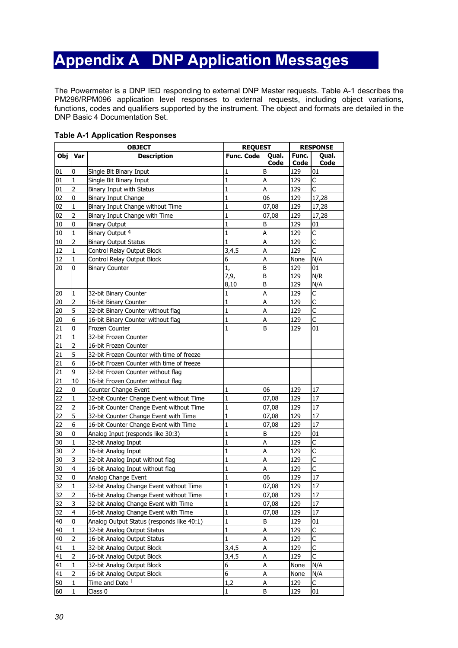## **Appendix A DNP Application Messages**

<span id="page-29-0"></span>The Powermeter is a DNP IED responding to external DNP Master requests. Table A-1 describes the PM296/RPM096 application level responses to external requests, including object variations, functions, codes and qualifiers supported by the instrument. The object and formats are detailed in the DNP Basic 4 Documentation Set.

| Func.<br><b>Description</b><br><b>Func. Code</b><br>Qual.<br>Qual.<br>Obj<br>Var<br>Code<br>Code<br>Code<br>B<br>01<br>1<br>129<br>01<br>0<br>Single Bit Binary Input<br>$\mathbf{1}$<br>A<br>129<br>С<br>01<br>1<br>Single Bit Binary Input<br>C<br>$\overline{2}$<br>$\mathbf{1}$<br>Α<br>01<br><b>Binary Input with Status</b><br>129<br>02<br>$\mathbf{1}$<br>06<br>0<br>Binary Input Change<br>129<br>17,28<br>02<br>$\mathbf{1}$<br>07,08<br>Binary Input Change without Time<br>129<br>17,28<br>1<br>02<br>$\overline{2}$<br>$\mathbf{1}$<br>Binary Input Change with Time<br>07,08<br>129<br>17,28<br>$\mathbf{1}$<br>B<br>10<br>0<br>129<br>01<br><b>Binary Output</b><br>C<br>Binary Output <sup>4</sup><br>10<br>$\mathbf{1}$<br>1<br>A<br>129<br>A<br>$\mathsf C$<br>$\overline{2}$<br>$\mathbf{1}$<br>10<br><b>Binary Output Status</b><br>129<br>$\mathsf{C}$<br>12<br>3,4,5<br>A<br>Control Relay Output Block<br>129<br>1<br>A<br>12<br>N/A<br>1<br>Control Relay Output Block<br>6<br>None<br>1,<br>$\sf B$<br>20<br>129<br>0<br><b>Binary Counter</b><br>01<br>N/R<br>7,9,<br>B<br>129<br>8,10<br>B<br>129<br>N/A<br>A<br>129<br>C<br>20<br>1<br>32-bit Binary Counter<br>1<br>C<br>2<br>A<br>129<br>20<br>16-bit Binary Counter<br>1<br>A<br>C<br>20<br>5<br>32-bit Binary Counter without flag<br>$\mathbf{1}$<br>129<br>C<br>20<br>1<br>A<br>129<br>6<br>16-bit Binary Counter without flag<br>$\mathbf{1}$<br>B<br>21<br>0<br>129<br>01<br>Frozen Counter<br>21<br>1<br>32-bit Frozen Counter<br>21<br>2<br>16-bit Frozen Counter<br>5<br>21<br>32-bit Frozen Counter with time of freeze<br>21<br>6<br>16-bit Frozen Counter with time of freeze<br>21<br>9<br>32-bit Frozen Counter without flag<br>21<br>16-bit Frozen Counter without flag<br>10<br>22<br>0<br>Counter Change Event<br>06<br>17<br>129<br>1<br>07,08<br>22<br>$\mathbf{1}$<br>32-bit Counter Change Event without Time<br>1<br>129<br>17<br>22<br>$\overline{2}$<br>1<br>07,08<br>129<br>17<br>16-bit Counter Change Event without Time<br>22<br>5<br>$\mathbf{1}$<br>32-bit Counter Change Event with Time<br>07,08<br>129<br>17<br>22<br>$\mathbf{1}$<br>6<br>07,08<br>17<br>16-bit Counter Change Event with Time<br>129<br>$\mathbf{1}$<br>B<br>30<br>0<br>Analog Input (responds like 30:3)<br>129<br>01<br>30<br>32-bit Analog Input<br>1<br>A<br>129<br>C<br>1<br>$\overline{C}$<br>$\overline{2}$<br>$\mathbf{1}$<br>A<br>30<br>16-bit Analog Input<br>129<br>C<br>$\mathbf{1}$<br>A<br>3<br>30<br>32-bit Analog Input without flag<br>129<br>C<br>$\overline{4}$<br>$\mathbf{1}$<br>A<br>129<br>30<br>16-bit Analog Input without flag<br>06<br>17<br>32<br>0<br>$\mathbf{1}$<br>Analog Change Event<br>129<br>32<br>11<br>$\mathbf{1}$<br>07,08<br>129<br>32-bit Analog Change Event without Time<br>17<br>2<br>$\mathbf 1$<br>32<br>129<br>17<br>16-bit Analog Change Event without Time<br>07,08<br>$\mathbf{1}$<br>32<br>3<br>32-bit Analog Change Event with Time<br>07,08<br>129<br>17<br>$\mathbf 1$<br>$\overline{\mathsf{4}}$<br>32<br>16-bit Analog Change Event with Time<br>07,08<br>17<br>129<br>Analog Output Status (responds like 40:1)<br>1<br>40<br>0<br>В<br>129<br>01<br>1<br>40<br>A<br>C<br>32-bit Analog Output Status<br>129<br>1<br>$\overline{C}$<br>$\mathbf{1}$<br>A<br>$\overline{2}$<br>40<br>16-bit Analog Output Status<br>129<br>C<br>3,4,5<br>A<br>$\mathbf{1}$<br>41<br>32-bit Analog Output Block<br>129<br>C<br>2<br>3,4,5<br>A<br>41<br>16-bit Analog Output Block<br>129<br>A<br>32-bit Analog Output Block<br>6<br>41<br>$\mathbf{1}$<br>N/A<br>None<br>6<br>A<br>41<br>$\overline{2}$<br>16-bit Analog Output Block<br>N/A<br>None<br>A<br>C<br>50<br>Time and Date 1<br>1,2<br>129<br>1 |    |   | <b>OBJECT</b> | <b>REQUEST</b> |   | <b>RESPONSE</b> |    |
|--------------------------------------------------------------------------------------------------------------------------------------------------------------------------------------------------------------------------------------------------------------------------------------------------------------------------------------------------------------------------------------------------------------------------------------------------------------------------------------------------------------------------------------------------------------------------------------------------------------------------------------------------------------------------------------------------------------------------------------------------------------------------------------------------------------------------------------------------------------------------------------------------------------------------------------------------------------------------------------------------------------------------------------------------------------------------------------------------------------------------------------------------------------------------------------------------------------------------------------------------------------------------------------------------------------------------------------------------------------------------------------------------------------------------------------------------------------------------------------------------------------------------------------------------------------------------------------------------------------------------------------------------------------------------------------------------------------------------------------------------------------------------------------------------------------------------------------------------------------------------------------------------------------------------------------------------------------------------------------------------------------------------------------------------------------------------------------------------------------------------------------------------------------------------------------------------------------------------------------------------------------------------------------------------------------------------------------------------------------------------------------------------------------------------------------------------------------------------------------------------------------------------------------------------------------------------------------------------------------------------------------------------------------------------------------------------------------------------------------------------------------------------------------------------------------------------------------------------------------------------------------------------------------------------------------------------------------------------------------------------------------------------------------------------------------------------------------------------------------------------------------------------------------------------------------------------------------------------------------------------------------------------------------------------------------------------------------------------------------------------------------------------------------------------------------------------------------------------------------------------------------------------------------------------------------------------------------------------------------------------------------------------------------------------------------------------------------------------------------|----|---|---------------|----------------|---|-----------------|----|
|                                                                                                                                                                                                                                                                                                                                                                                                                                                                                                                                                                                                                                                                                                                                                                                                                                                                                                                                                                                                                                                                                                                                                                                                                                                                                                                                                                                                                                                                                                                                                                                                                                                                                                                                                                                                                                                                                                                                                                                                                                                                                                                                                                                                                                                                                                                                                                                                                                                                                                                                                                                                                                                                                                                                                                                                                                                                                                                                                                                                                                                                                                                                                                                                                                                                                                                                                                                                                                                                                                                                                                                                                                                                                                                                      |    |   |               |                |   |                 |    |
|                                                                                                                                                                                                                                                                                                                                                                                                                                                                                                                                                                                                                                                                                                                                                                                                                                                                                                                                                                                                                                                                                                                                                                                                                                                                                                                                                                                                                                                                                                                                                                                                                                                                                                                                                                                                                                                                                                                                                                                                                                                                                                                                                                                                                                                                                                                                                                                                                                                                                                                                                                                                                                                                                                                                                                                                                                                                                                                                                                                                                                                                                                                                                                                                                                                                                                                                                                                                                                                                                                                                                                                                                                                                                                                                      |    |   |               |                |   |                 |    |
|                                                                                                                                                                                                                                                                                                                                                                                                                                                                                                                                                                                                                                                                                                                                                                                                                                                                                                                                                                                                                                                                                                                                                                                                                                                                                                                                                                                                                                                                                                                                                                                                                                                                                                                                                                                                                                                                                                                                                                                                                                                                                                                                                                                                                                                                                                                                                                                                                                                                                                                                                                                                                                                                                                                                                                                                                                                                                                                                                                                                                                                                                                                                                                                                                                                                                                                                                                                                                                                                                                                                                                                                                                                                                                                                      |    |   |               |                |   |                 |    |
|                                                                                                                                                                                                                                                                                                                                                                                                                                                                                                                                                                                                                                                                                                                                                                                                                                                                                                                                                                                                                                                                                                                                                                                                                                                                                                                                                                                                                                                                                                                                                                                                                                                                                                                                                                                                                                                                                                                                                                                                                                                                                                                                                                                                                                                                                                                                                                                                                                                                                                                                                                                                                                                                                                                                                                                                                                                                                                                                                                                                                                                                                                                                                                                                                                                                                                                                                                                                                                                                                                                                                                                                                                                                                                                                      |    |   |               |                |   |                 |    |
|                                                                                                                                                                                                                                                                                                                                                                                                                                                                                                                                                                                                                                                                                                                                                                                                                                                                                                                                                                                                                                                                                                                                                                                                                                                                                                                                                                                                                                                                                                                                                                                                                                                                                                                                                                                                                                                                                                                                                                                                                                                                                                                                                                                                                                                                                                                                                                                                                                                                                                                                                                                                                                                                                                                                                                                                                                                                                                                                                                                                                                                                                                                                                                                                                                                                                                                                                                                                                                                                                                                                                                                                                                                                                                                                      |    |   |               |                |   |                 |    |
|                                                                                                                                                                                                                                                                                                                                                                                                                                                                                                                                                                                                                                                                                                                                                                                                                                                                                                                                                                                                                                                                                                                                                                                                                                                                                                                                                                                                                                                                                                                                                                                                                                                                                                                                                                                                                                                                                                                                                                                                                                                                                                                                                                                                                                                                                                                                                                                                                                                                                                                                                                                                                                                                                                                                                                                                                                                                                                                                                                                                                                                                                                                                                                                                                                                                                                                                                                                                                                                                                                                                                                                                                                                                                                                                      |    |   |               |                |   |                 |    |
|                                                                                                                                                                                                                                                                                                                                                                                                                                                                                                                                                                                                                                                                                                                                                                                                                                                                                                                                                                                                                                                                                                                                                                                                                                                                                                                                                                                                                                                                                                                                                                                                                                                                                                                                                                                                                                                                                                                                                                                                                                                                                                                                                                                                                                                                                                                                                                                                                                                                                                                                                                                                                                                                                                                                                                                                                                                                                                                                                                                                                                                                                                                                                                                                                                                                                                                                                                                                                                                                                                                                                                                                                                                                                                                                      |    |   |               |                |   |                 |    |
|                                                                                                                                                                                                                                                                                                                                                                                                                                                                                                                                                                                                                                                                                                                                                                                                                                                                                                                                                                                                                                                                                                                                                                                                                                                                                                                                                                                                                                                                                                                                                                                                                                                                                                                                                                                                                                                                                                                                                                                                                                                                                                                                                                                                                                                                                                                                                                                                                                                                                                                                                                                                                                                                                                                                                                                                                                                                                                                                                                                                                                                                                                                                                                                                                                                                                                                                                                                                                                                                                                                                                                                                                                                                                                                                      |    |   |               |                |   |                 |    |
|                                                                                                                                                                                                                                                                                                                                                                                                                                                                                                                                                                                                                                                                                                                                                                                                                                                                                                                                                                                                                                                                                                                                                                                                                                                                                                                                                                                                                                                                                                                                                                                                                                                                                                                                                                                                                                                                                                                                                                                                                                                                                                                                                                                                                                                                                                                                                                                                                                                                                                                                                                                                                                                                                                                                                                                                                                                                                                                                                                                                                                                                                                                                                                                                                                                                                                                                                                                                                                                                                                                                                                                                                                                                                                                                      |    |   |               |                |   |                 |    |
|                                                                                                                                                                                                                                                                                                                                                                                                                                                                                                                                                                                                                                                                                                                                                                                                                                                                                                                                                                                                                                                                                                                                                                                                                                                                                                                                                                                                                                                                                                                                                                                                                                                                                                                                                                                                                                                                                                                                                                                                                                                                                                                                                                                                                                                                                                                                                                                                                                                                                                                                                                                                                                                                                                                                                                                                                                                                                                                                                                                                                                                                                                                                                                                                                                                                                                                                                                                                                                                                                                                                                                                                                                                                                                                                      |    |   |               |                |   |                 |    |
|                                                                                                                                                                                                                                                                                                                                                                                                                                                                                                                                                                                                                                                                                                                                                                                                                                                                                                                                                                                                                                                                                                                                                                                                                                                                                                                                                                                                                                                                                                                                                                                                                                                                                                                                                                                                                                                                                                                                                                                                                                                                                                                                                                                                                                                                                                                                                                                                                                                                                                                                                                                                                                                                                                                                                                                                                                                                                                                                                                                                                                                                                                                                                                                                                                                                                                                                                                                                                                                                                                                                                                                                                                                                                                                                      |    |   |               |                |   |                 |    |
|                                                                                                                                                                                                                                                                                                                                                                                                                                                                                                                                                                                                                                                                                                                                                                                                                                                                                                                                                                                                                                                                                                                                                                                                                                                                                                                                                                                                                                                                                                                                                                                                                                                                                                                                                                                                                                                                                                                                                                                                                                                                                                                                                                                                                                                                                                                                                                                                                                                                                                                                                                                                                                                                                                                                                                                                                                                                                                                                                                                                                                                                                                                                                                                                                                                                                                                                                                                                                                                                                                                                                                                                                                                                                                                                      |    |   |               |                |   |                 |    |
|                                                                                                                                                                                                                                                                                                                                                                                                                                                                                                                                                                                                                                                                                                                                                                                                                                                                                                                                                                                                                                                                                                                                                                                                                                                                                                                                                                                                                                                                                                                                                                                                                                                                                                                                                                                                                                                                                                                                                                                                                                                                                                                                                                                                                                                                                                                                                                                                                                                                                                                                                                                                                                                                                                                                                                                                                                                                                                                                                                                                                                                                                                                                                                                                                                                                                                                                                                                                                                                                                                                                                                                                                                                                                                                                      |    |   |               |                |   |                 |    |
|                                                                                                                                                                                                                                                                                                                                                                                                                                                                                                                                                                                                                                                                                                                                                                                                                                                                                                                                                                                                                                                                                                                                                                                                                                                                                                                                                                                                                                                                                                                                                                                                                                                                                                                                                                                                                                                                                                                                                                                                                                                                                                                                                                                                                                                                                                                                                                                                                                                                                                                                                                                                                                                                                                                                                                                                                                                                                                                                                                                                                                                                                                                                                                                                                                                                                                                                                                                                                                                                                                                                                                                                                                                                                                                                      |    |   |               |                |   |                 |    |
|                                                                                                                                                                                                                                                                                                                                                                                                                                                                                                                                                                                                                                                                                                                                                                                                                                                                                                                                                                                                                                                                                                                                                                                                                                                                                                                                                                                                                                                                                                                                                                                                                                                                                                                                                                                                                                                                                                                                                                                                                                                                                                                                                                                                                                                                                                                                                                                                                                                                                                                                                                                                                                                                                                                                                                                                                                                                                                                                                                                                                                                                                                                                                                                                                                                                                                                                                                                                                                                                                                                                                                                                                                                                                                                                      |    |   |               |                |   |                 |    |
|                                                                                                                                                                                                                                                                                                                                                                                                                                                                                                                                                                                                                                                                                                                                                                                                                                                                                                                                                                                                                                                                                                                                                                                                                                                                                                                                                                                                                                                                                                                                                                                                                                                                                                                                                                                                                                                                                                                                                                                                                                                                                                                                                                                                                                                                                                                                                                                                                                                                                                                                                                                                                                                                                                                                                                                                                                                                                                                                                                                                                                                                                                                                                                                                                                                                                                                                                                                                                                                                                                                                                                                                                                                                                                                                      |    |   |               |                |   |                 |    |
|                                                                                                                                                                                                                                                                                                                                                                                                                                                                                                                                                                                                                                                                                                                                                                                                                                                                                                                                                                                                                                                                                                                                                                                                                                                                                                                                                                                                                                                                                                                                                                                                                                                                                                                                                                                                                                                                                                                                                                                                                                                                                                                                                                                                                                                                                                                                                                                                                                                                                                                                                                                                                                                                                                                                                                                                                                                                                                                                                                                                                                                                                                                                                                                                                                                                                                                                                                                                                                                                                                                                                                                                                                                                                                                                      |    |   |               |                |   |                 |    |
|                                                                                                                                                                                                                                                                                                                                                                                                                                                                                                                                                                                                                                                                                                                                                                                                                                                                                                                                                                                                                                                                                                                                                                                                                                                                                                                                                                                                                                                                                                                                                                                                                                                                                                                                                                                                                                                                                                                                                                                                                                                                                                                                                                                                                                                                                                                                                                                                                                                                                                                                                                                                                                                                                                                                                                                                                                                                                                                                                                                                                                                                                                                                                                                                                                                                                                                                                                                                                                                                                                                                                                                                                                                                                                                                      |    |   |               |                |   |                 |    |
|                                                                                                                                                                                                                                                                                                                                                                                                                                                                                                                                                                                                                                                                                                                                                                                                                                                                                                                                                                                                                                                                                                                                                                                                                                                                                                                                                                                                                                                                                                                                                                                                                                                                                                                                                                                                                                                                                                                                                                                                                                                                                                                                                                                                                                                                                                                                                                                                                                                                                                                                                                                                                                                                                                                                                                                                                                                                                                                                                                                                                                                                                                                                                                                                                                                                                                                                                                                                                                                                                                                                                                                                                                                                                                                                      |    |   |               |                |   |                 |    |
|                                                                                                                                                                                                                                                                                                                                                                                                                                                                                                                                                                                                                                                                                                                                                                                                                                                                                                                                                                                                                                                                                                                                                                                                                                                                                                                                                                                                                                                                                                                                                                                                                                                                                                                                                                                                                                                                                                                                                                                                                                                                                                                                                                                                                                                                                                                                                                                                                                                                                                                                                                                                                                                                                                                                                                                                                                                                                                                                                                                                                                                                                                                                                                                                                                                                                                                                                                                                                                                                                                                                                                                                                                                                                                                                      |    |   |               |                |   |                 |    |
|                                                                                                                                                                                                                                                                                                                                                                                                                                                                                                                                                                                                                                                                                                                                                                                                                                                                                                                                                                                                                                                                                                                                                                                                                                                                                                                                                                                                                                                                                                                                                                                                                                                                                                                                                                                                                                                                                                                                                                                                                                                                                                                                                                                                                                                                                                                                                                                                                                                                                                                                                                                                                                                                                                                                                                                                                                                                                                                                                                                                                                                                                                                                                                                                                                                                                                                                                                                                                                                                                                                                                                                                                                                                                                                                      |    |   |               |                |   |                 |    |
|                                                                                                                                                                                                                                                                                                                                                                                                                                                                                                                                                                                                                                                                                                                                                                                                                                                                                                                                                                                                                                                                                                                                                                                                                                                                                                                                                                                                                                                                                                                                                                                                                                                                                                                                                                                                                                                                                                                                                                                                                                                                                                                                                                                                                                                                                                                                                                                                                                                                                                                                                                                                                                                                                                                                                                                                                                                                                                                                                                                                                                                                                                                                                                                                                                                                                                                                                                                                                                                                                                                                                                                                                                                                                                                                      |    |   |               |                |   |                 |    |
|                                                                                                                                                                                                                                                                                                                                                                                                                                                                                                                                                                                                                                                                                                                                                                                                                                                                                                                                                                                                                                                                                                                                                                                                                                                                                                                                                                                                                                                                                                                                                                                                                                                                                                                                                                                                                                                                                                                                                                                                                                                                                                                                                                                                                                                                                                                                                                                                                                                                                                                                                                                                                                                                                                                                                                                                                                                                                                                                                                                                                                                                                                                                                                                                                                                                                                                                                                                                                                                                                                                                                                                                                                                                                                                                      |    |   |               |                |   |                 |    |
|                                                                                                                                                                                                                                                                                                                                                                                                                                                                                                                                                                                                                                                                                                                                                                                                                                                                                                                                                                                                                                                                                                                                                                                                                                                                                                                                                                                                                                                                                                                                                                                                                                                                                                                                                                                                                                                                                                                                                                                                                                                                                                                                                                                                                                                                                                                                                                                                                                                                                                                                                                                                                                                                                                                                                                                                                                                                                                                                                                                                                                                                                                                                                                                                                                                                                                                                                                                                                                                                                                                                                                                                                                                                                                                                      |    |   |               |                |   |                 |    |
|                                                                                                                                                                                                                                                                                                                                                                                                                                                                                                                                                                                                                                                                                                                                                                                                                                                                                                                                                                                                                                                                                                                                                                                                                                                                                                                                                                                                                                                                                                                                                                                                                                                                                                                                                                                                                                                                                                                                                                                                                                                                                                                                                                                                                                                                                                                                                                                                                                                                                                                                                                                                                                                                                                                                                                                                                                                                                                                                                                                                                                                                                                                                                                                                                                                                                                                                                                                                                                                                                                                                                                                                                                                                                                                                      |    |   |               |                |   |                 |    |
|                                                                                                                                                                                                                                                                                                                                                                                                                                                                                                                                                                                                                                                                                                                                                                                                                                                                                                                                                                                                                                                                                                                                                                                                                                                                                                                                                                                                                                                                                                                                                                                                                                                                                                                                                                                                                                                                                                                                                                                                                                                                                                                                                                                                                                                                                                                                                                                                                                                                                                                                                                                                                                                                                                                                                                                                                                                                                                                                                                                                                                                                                                                                                                                                                                                                                                                                                                                                                                                                                                                                                                                                                                                                                                                                      |    |   |               |                |   |                 |    |
|                                                                                                                                                                                                                                                                                                                                                                                                                                                                                                                                                                                                                                                                                                                                                                                                                                                                                                                                                                                                                                                                                                                                                                                                                                                                                                                                                                                                                                                                                                                                                                                                                                                                                                                                                                                                                                                                                                                                                                                                                                                                                                                                                                                                                                                                                                                                                                                                                                                                                                                                                                                                                                                                                                                                                                                                                                                                                                                                                                                                                                                                                                                                                                                                                                                                                                                                                                                                                                                                                                                                                                                                                                                                                                                                      |    |   |               |                |   |                 |    |
|                                                                                                                                                                                                                                                                                                                                                                                                                                                                                                                                                                                                                                                                                                                                                                                                                                                                                                                                                                                                                                                                                                                                                                                                                                                                                                                                                                                                                                                                                                                                                                                                                                                                                                                                                                                                                                                                                                                                                                                                                                                                                                                                                                                                                                                                                                                                                                                                                                                                                                                                                                                                                                                                                                                                                                                                                                                                                                                                                                                                                                                                                                                                                                                                                                                                                                                                                                                                                                                                                                                                                                                                                                                                                                                                      |    |   |               |                |   |                 |    |
|                                                                                                                                                                                                                                                                                                                                                                                                                                                                                                                                                                                                                                                                                                                                                                                                                                                                                                                                                                                                                                                                                                                                                                                                                                                                                                                                                                                                                                                                                                                                                                                                                                                                                                                                                                                                                                                                                                                                                                                                                                                                                                                                                                                                                                                                                                                                                                                                                                                                                                                                                                                                                                                                                                                                                                                                                                                                                                                                                                                                                                                                                                                                                                                                                                                                                                                                                                                                                                                                                                                                                                                                                                                                                                                                      |    |   |               |                |   |                 |    |
|                                                                                                                                                                                                                                                                                                                                                                                                                                                                                                                                                                                                                                                                                                                                                                                                                                                                                                                                                                                                                                                                                                                                                                                                                                                                                                                                                                                                                                                                                                                                                                                                                                                                                                                                                                                                                                                                                                                                                                                                                                                                                                                                                                                                                                                                                                                                                                                                                                                                                                                                                                                                                                                                                                                                                                                                                                                                                                                                                                                                                                                                                                                                                                                                                                                                                                                                                                                                                                                                                                                                                                                                                                                                                                                                      |    |   |               |                |   |                 |    |
|                                                                                                                                                                                                                                                                                                                                                                                                                                                                                                                                                                                                                                                                                                                                                                                                                                                                                                                                                                                                                                                                                                                                                                                                                                                                                                                                                                                                                                                                                                                                                                                                                                                                                                                                                                                                                                                                                                                                                                                                                                                                                                                                                                                                                                                                                                                                                                                                                                                                                                                                                                                                                                                                                                                                                                                                                                                                                                                                                                                                                                                                                                                                                                                                                                                                                                                                                                                                                                                                                                                                                                                                                                                                                                                                      |    |   |               |                |   |                 |    |
|                                                                                                                                                                                                                                                                                                                                                                                                                                                                                                                                                                                                                                                                                                                                                                                                                                                                                                                                                                                                                                                                                                                                                                                                                                                                                                                                                                                                                                                                                                                                                                                                                                                                                                                                                                                                                                                                                                                                                                                                                                                                                                                                                                                                                                                                                                                                                                                                                                                                                                                                                                                                                                                                                                                                                                                                                                                                                                                                                                                                                                                                                                                                                                                                                                                                                                                                                                                                                                                                                                                                                                                                                                                                                                                                      |    |   |               |                |   |                 |    |
|                                                                                                                                                                                                                                                                                                                                                                                                                                                                                                                                                                                                                                                                                                                                                                                                                                                                                                                                                                                                                                                                                                                                                                                                                                                                                                                                                                                                                                                                                                                                                                                                                                                                                                                                                                                                                                                                                                                                                                                                                                                                                                                                                                                                                                                                                                                                                                                                                                                                                                                                                                                                                                                                                                                                                                                                                                                                                                                                                                                                                                                                                                                                                                                                                                                                                                                                                                                                                                                                                                                                                                                                                                                                                                                                      |    |   |               |                |   |                 |    |
|                                                                                                                                                                                                                                                                                                                                                                                                                                                                                                                                                                                                                                                                                                                                                                                                                                                                                                                                                                                                                                                                                                                                                                                                                                                                                                                                                                                                                                                                                                                                                                                                                                                                                                                                                                                                                                                                                                                                                                                                                                                                                                                                                                                                                                                                                                                                                                                                                                                                                                                                                                                                                                                                                                                                                                                                                                                                                                                                                                                                                                                                                                                                                                                                                                                                                                                                                                                                                                                                                                                                                                                                                                                                                                                                      |    |   |               |                |   |                 |    |
|                                                                                                                                                                                                                                                                                                                                                                                                                                                                                                                                                                                                                                                                                                                                                                                                                                                                                                                                                                                                                                                                                                                                                                                                                                                                                                                                                                                                                                                                                                                                                                                                                                                                                                                                                                                                                                                                                                                                                                                                                                                                                                                                                                                                                                                                                                                                                                                                                                                                                                                                                                                                                                                                                                                                                                                                                                                                                                                                                                                                                                                                                                                                                                                                                                                                                                                                                                                                                                                                                                                                                                                                                                                                                                                                      |    |   |               |                |   |                 |    |
|                                                                                                                                                                                                                                                                                                                                                                                                                                                                                                                                                                                                                                                                                                                                                                                                                                                                                                                                                                                                                                                                                                                                                                                                                                                                                                                                                                                                                                                                                                                                                                                                                                                                                                                                                                                                                                                                                                                                                                                                                                                                                                                                                                                                                                                                                                                                                                                                                                                                                                                                                                                                                                                                                                                                                                                                                                                                                                                                                                                                                                                                                                                                                                                                                                                                                                                                                                                                                                                                                                                                                                                                                                                                                                                                      |    |   |               |                |   |                 |    |
|                                                                                                                                                                                                                                                                                                                                                                                                                                                                                                                                                                                                                                                                                                                                                                                                                                                                                                                                                                                                                                                                                                                                                                                                                                                                                                                                                                                                                                                                                                                                                                                                                                                                                                                                                                                                                                                                                                                                                                                                                                                                                                                                                                                                                                                                                                                                                                                                                                                                                                                                                                                                                                                                                                                                                                                                                                                                                                                                                                                                                                                                                                                                                                                                                                                                                                                                                                                                                                                                                                                                                                                                                                                                                                                                      |    |   |               |                |   |                 |    |
|                                                                                                                                                                                                                                                                                                                                                                                                                                                                                                                                                                                                                                                                                                                                                                                                                                                                                                                                                                                                                                                                                                                                                                                                                                                                                                                                                                                                                                                                                                                                                                                                                                                                                                                                                                                                                                                                                                                                                                                                                                                                                                                                                                                                                                                                                                                                                                                                                                                                                                                                                                                                                                                                                                                                                                                                                                                                                                                                                                                                                                                                                                                                                                                                                                                                                                                                                                                                                                                                                                                                                                                                                                                                                                                                      |    |   |               |                |   |                 |    |
|                                                                                                                                                                                                                                                                                                                                                                                                                                                                                                                                                                                                                                                                                                                                                                                                                                                                                                                                                                                                                                                                                                                                                                                                                                                                                                                                                                                                                                                                                                                                                                                                                                                                                                                                                                                                                                                                                                                                                                                                                                                                                                                                                                                                                                                                                                                                                                                                                                                                                                                                                                                                                                                                                                                                                                                                                                                                                                                                                                                                                                                                                                                                                                                                                                                                                                                                                                                                                                                                                                                                                                                                                                                                                                                                      |    |   |               |                |   |                 |    |
|                                                                                                                                                                                                                                                                                                                                                                                                                                                                                                                                                                                                                                                                                                                                                                                                                                                                                                                                                                                                                                                                                                                                                                                                                                                                                                                                                                                                                                                                                                                                                                                                                                                                                                                                                                                                                                                                                                                                                                                                                                                                                                                                                                                                                                                                                                                                                                                                                                                                                                                                                                                                                                                                                                                                                                                                                                                                                                                                                                                                                                                                                                                                                                                                                                                                                                                                                                                                                                                                                                                                                                                                                                                                                                                                      |    |   |               |                |   |                 |    |
|                                                                                                                                                                                                                                                                                                                                                                                                                                                                                                                                                                                                                                                                                                                                                                                                                                                                                                                                                                                                                                                                                                                                                                                                                                                                                                                                                                                                                                                                                                                                                                                                                                                                                                                                                                                                                                                                                                                                                                                                                                                                                                                                                                                                                                                                                                                                                                                                                                                                                                                                                                                                                                                                                                                                                                                                                                                                                                                                                                                                                                                                                                                                                                                                                                                                                                                                                                                                                                                                                                                                                                                                                                                                                                                                      |    |   |               |                |   |                 |    |
|                                                                                                                                                                                                                                                                                                                                                                                                                                                                                                                                                                                                                                                                                                                                                                                                                                                                                                                                                                                                                                                                                                                                                                                                                                                                                                                                                                                                                                                                                                                                                                                                                                                                                                                                                                                                                                                                                                                                                                                                                                                                                                                                                                                                                                                                                                                                                                                                                                                                                                                                                                                                                                                                                                                                                                                                                                                                                                                                                                                                                                                                                                                                                                                                                                                                                                                                                                                                                                                                                                                                                                                                                                                                                                                                      |    |   |               |                |   |                 |    |
|                                                                                                                                                                                                                                                                                                                                                                                                                                                                                                                                                                                                                                                                                                                                                                                                                                                                                                                                                                                                                                                                                                                                                                                                                                                                                                                                                                                                                                                                                                                                                                                                                                                                                                                                                                                                                                                                                                                                                                                                                                                                                                                                                                                                                                                                                                                                                                                                                                                                                                                                                                                                                                                                                                                                                                                                                                                                                                                                                                                                                                                                                                                                                                                                                                                                                                                                                                                                                                                                                                                                                                                                                                                                                                                                      |    |   |               |                |   |                 |    |
|                                                                                                                                                                                                                                                                                                                                                                                                                                                                                                                                                                                                                                                                                                                                                                                                                                                                                                                                                                                                                                                                                                                                                                                                                                                                                                                                                                                                                                                                                                                                                                                                                                                                                                                                                                                                                                                                                                                                                                                                                                                                                                                                                                                                                                                                                                                                                                                                                                                                                                                                                                                                                                                                                                                                                                                                                                                                                                                                                                                                                                                                                                                                                                                                                                                                                                                                                                                                                                                                                                                                                                                                                                                                                                                                      |    |   |               |                |   |                 |    |
|                                                                                                                                                                                                                                                                                                                                                                                                                                                                                                                                                                                                                                                                                                                                                                                                                                                                                                                                                                                                                                                                                                                                                                                                                                                                                                                                                                                                                                                                                                                                                                                                                                                                                                                                                                                                                                                                                                                                                                                                                                                                                                                                                                                                                                                                                                                                                                                                                                                                                                                                                                                                                                                                                                                                                                                                                                                                                                                                                                                                                                                                                                                                                                                                                                                                                                                                                                                                                                                                                                                                                                                                                                                                                                                                      |    |   |               |                |   |                 |    |
|                                                                                                                                                                                                                                                                                                                                                                                                                                                                                                                                                                                                                                                                                                                                                                                                                                                                                                                                                                                                                                                                                                                                                                                                                                                                                                                                                                                                                                                                                                                                                                                                                                                                                                                                                                                                                                                                                                                                                                                                                                                                                                                                                                                                                                                                                                                                                                                                                                                                                                                                                                                                                                                                                                                                                                                                                                                                                                                                                                                                                                                                                                                                                                                                                                                                                                                                                                                                                                                                                                                                                                                                                                                                                                                                      |    |   |               |                |   |                 |    |
|                                                                                                                                                                                                                                                                                                                                                                                                                                                                                                                                                                                                                                                                                                                                                                                                                                                                                                                                                                                                                                                                                                                                                                                                                                                                                                                                                                                                                                                                                                                                                                                                                                                                                                                                                                                                                                                                                                                                                                                                                                                                                                                                                                                                                                                                                                                                                                                                                                                                                                                                                                                                                                                                                                                                                                                                                                                                                                                                                                                                                                                                                                                                                                                                                                                                                                                                                                                                                                                                                                                                                                                                                                                                                                                                      |    |   |               |                |   |                 |    |
|                                                                                                                                                                                                                                                                                                                                                                                                                                                                                                                                                                                                                                                                                                                                                                                                                                                                                                                                                                                                                                                                                                                                                                                                                                                                                                                                                                                                                                                                                                                                                                                                                                                                                                                                                                                                                                                                                                                                                                                                                                                                                                                                                                                                                                                                                                                                                                                                                                                                                                                                                                                                                                                                                                                                                                                                                                                                                                                                                                                                                                                                                                                                                                                                                                                                                                                                                                                                                                                                                                                                                                                                                                                                                                                                      |    |   |               |                |   |                 |    |
|                                                                                                                                                                                                                                                                                                                                                                                                                                                                                                                                                                                                                                                                                                                                                                                                                                                                                                                                                                                                                                                                                                                                                                                                                                                                                                                                                                                                                                                                                                                                                                                                                                                                                                                                                                                                                                                                                                                                                                                                                                                                                                                                                                                                                                                                                                                                                                                                                                                                                                                                                                                                                                                                                                                                                                                                                                                                                                                                                                                                                                                                                                                                                                                                                                                                                                                                                                                                                                                                                                                                                                                                                                                                                                                                      |    |   |               |                |   |                 |    |
|                                                                                                                                                                                                                                                                                                                                                                                                                                                                                                                                                                                                                                                                                                                                                                                                                                                                                                                                                                                                                                                                                                                                                                                                                                                                                                                                                                                                                                                                                                                                                                                                                                                                                                                                                                                                                                                                                                                                                                                                                                                                                                                                                                                                                                                                                                                                                                                                                                                                                                                                                                                                                                                                                                                                                                                                                                                                                                                                                                                                                                                                                                                                                                                                                                                                                                                                                                                                                                                                                                                                                                                                                                                                                                                                      | 60 | 1 | Class 0       | $\mathbf{1}$   | B | 129             | 01 |

#### **Table A-1 Application Responses**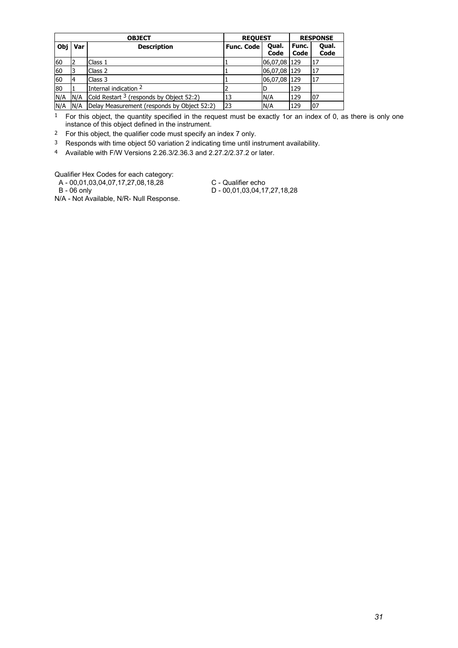|     |     | <b>OBJECT</b>                               | <b>REOUEST</b>    |               |               | <b>RESPONSE</b> |
|-----|-----|---------------------------------------------|-------------------|---------------|---------------|-----------------|
| Obj | Var | <b>Description</b>                          | <b>Func. Code</b> | Qual.<br>Code | Func.<br>Code | Qual.<br>Code   |
| 60  | 12  | Class 1                                     |                   | 06,07,08 129  |               | 17              |
| 60  |     | Class 2                                     |                   | 06,07,08 129  |               | 17              |
| 60  | 14  | Class 3                                     |                   | 06,07,08 129  |               | 17              |
| 80  |     | Internal indication 2                       |                   |               | 129           |                 |
| N/A | N/A | Cold Restart $3$ (responds by Object 52:2)  | 13                | N/A           | 129           | 07              |
| N/A | N/A | Delay Measurement (responds by Object 52:2) | 23                | N/A           | 129           | 07              |

<sup>1</sup> For this object, the quantity specified in the request must be exactly 1or an index of 0, as there is only one instance of this object defined in the instrument.

2 For this object, the qualifier code must specify an index 7 only.

3 Responds with time object 50 variation 2 indicating time until instrument availability.

4 Available with F/W Versions 2.26.3/2.36.3 and 2.27.2/2.37.2 or later.

Qualifier Hex Codes for each category:

A - 00,01,03,04,07,17,27,08,18,28 C - Qualifier echo

N/A - Not Available, N/R- Null Response.

B - 06 only D - 00,01,03,04,17,27,18,28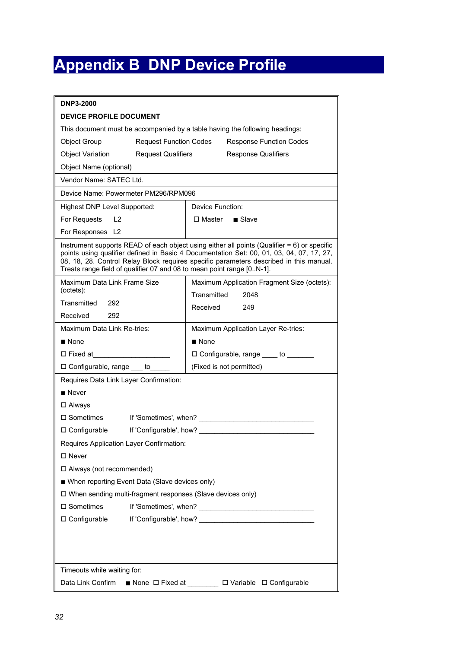# **Appendix B DNP Device Profile**

<span id="page-31-0"></span>

| <b>DNP3-2000</b>                                                            |                                                                                                                                                                                                                                                                                   |  |  |  |
|-----------------------------------------------------------------------------|-----------------------------------------------------------------------------------------------------------------------------------------------------------------------------------------------------------------------------------------------------------------------------------|--|--|--|
| <b>DEVICE PROFILE DOCUMENT</b>                                              |                                                                                                                                                                                                                                                                                   |  |  |  |
| This document must be accompanied by a table having the following headings: |                                                                                                                                                                                                                                                                                   |  |  |  |
| <b>Object Group</b><br><b>Request Function Codes</b>                        | <b>Response Function Codes</b>                                                                                                                                                                                                                                                    |  |  |  |
| Object Variation<br><b>Request Qualifiers</b>                               | <b>Response Qualifiers</b>                                                                                                                                                                                                                                                        |  |  |  |
| Object Name (optional)                                                      |                                                                                                                                                                                                                                                                                   |  |  |  |
| Vendor Name: SATEC Ltd.                                                     |                                                                                                                                                                                                                                                                                   |  |  |  |
| Device Name: Powermeter PM296/RPM096                                        |                                                                                                                                                                                                                                                                                   |  |  |  |
| Highest DNP Level Supported:                                                | Device Function:                                                                                                                                                                                                                                                                  |  |  |  |
| For Requests<br>L <sub>2</sub>                                              | □ Master ■ Slave                                                                                                                                                                                                                                                                  |  |  |  |
| For Responses L2                                                            |                                                                                                                                                                                                                                                                                   |  |  |  |
| Treats range field of qualifier 07 and 08 to mean point range [0N-1].       | Instrument supports READ of each object using either all points (Qualifier = 6) or specific<br>points using qualifier defined in Basic 4 Documentation Set: 00, 01, 03, 04, 07, 17, 27,<br>08, 18, 28. Control Relay Block requires specific parameters described in this manual. |  |  |  |
| Maximum Data Link Frame Size                                                | Maximum Application Fragment Size (octets):                                                                                                                                                                                                                                       |  |  |  |
| (octets):                                                                   | Transmitted<br>2048                                                                                                                                                                                                                                                               |  |  |  |
| Transmitted<br>292                                                          | Received<br>249                                                                                                                                                                                                                                                                   |  |  |  |
| Received<br>292<br>Maximum Data Link Re-tries:                              |                                                                                                                                                                                                                                                                                   |  |  |  |
|                                                                             | Maximum Application Layer Re-tries:<br>$\blacksquare$ None                                                                                                                                                                                                                        |  |  |  |
| $\blacksquare$ None                                                         |                                                                                                                                                                                                                                                                                   |  |  |  |
| □ Fixed at<br>□ Configurable, range ___ to____                              | □ Configurable, range ____ to ______<br>(Fixed is not permitted)                                                                                                                                                                                                                  |  |  |  |
| Requires Data Link Layer Confirmation:                                      |                                                                                                                                                                                                                                                                                   |  |  |  |
| $\blacksquare$ Never                                                        |                                                                                                                                                                                                                                                                                   |  |  |  |
| $\square$ Always                                                            |                                                                                                                                                                                                                                                                                   |  |  |  |
| □ Sometimes                                                                 | If 'Sometimes', when?<br><u>If</u> 'Sometimes', when?                                                                                                                                                                                                                             |  |  |  |
| □ Configurable                                                              |                                                                                                                                                                                                                                                                                   |  |  |  |
| Requires Application Layer Confirmation:                                    |                                                                                                                                                                                                                                                                                   |  |  |  |
| $\square$ Never                                                             |                                                                                                                                                                                                                                                                                   |  |  |  |
| □ Always (not recommended)                                                  |                                                                                                                                                                                                                                                                                   |  |  |  |
| ■ When reporting Event Data (Slave devices only)                            |                                                                                                                                                                                                                                                                                   |  |  |  |
| □ When sending multi-fragment responses (Slave devices only)                |                                                                                                                                                                                                                                                                                   |  |  |  |
| $\square$ Sometimes                                                         |                                                                                                                                                                                                                                                                                   |  |  |  |
| □ Configurable                                                              | If 'Configurable', how?                                                                                                                                                                                                                                                           |  |  |  |
|                                                                             |                                                                                                                                                                                                                                                                                   |  |  |  |
| Timeouts while waiting for:                                                 |                                                                                                                                                                                                                                                                                   |  |  |  |
| Data Link Confirm ■ None ロ Fixed at _______ ロ Variable ロ Configurable       |                                                                                                                                                                                                                                                                                   |  |  |  |
|                                                                             |                                                                                                                                                                                                                                                                                   |  |  |  |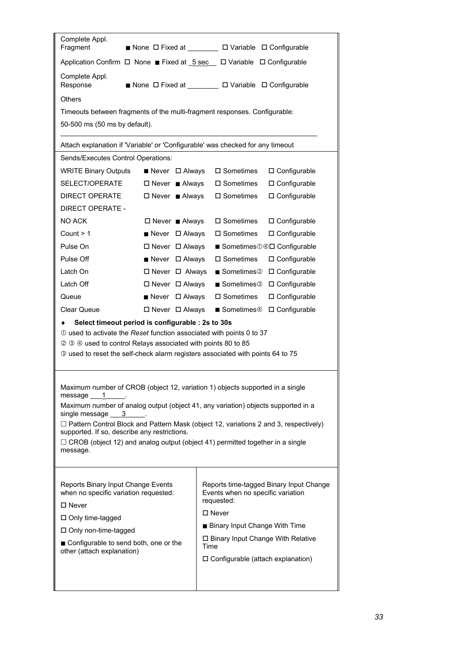| Complete Appl.<br>Fragment                                                                                                                                                                                                                                                                                                                                                                                                                                         | ■ None □ Fixed at ________ □ Variable □ Configurable                                        |  |  |  |  |
|--------------------------------------------------------------------------------------------------------------------------------------------------------------------------------------------------------------------------------------------------------------------------------------------------------------------------------------------------------------------------------------------------------------------------------------------------------------------|---------------------------------------------------------------------------------------------|--|--|--|--|
| Application Confirm $\Box$ None Fixed at $5 \text{ sec}$ $\Box$ Variable $\Box$ Configurable                                                                                                                                                                                                                                                                                                                                                                       |                                                                                             |  |  |  |  |
| Complete Appl.<br>■ None ロ Fixed at ________ ロ Variable ロ Configurable<br>Response                                                                                                                                                                                                                                                                                                                                                                                 |                                                                                             |  |  |  |  |
| <b>Others</b>                                                                                                                                                                                                                                                                                                                                                                                                                                                      |                                                                                             |  |  |  |  |
| Timeouts between fragments of the multi-fragment responses. Configurable:                                                                                                                                                                                                                                                                                                                                                                                          |                                                                                             |  |  |  |  |
| 50-500 ms (50 ms by default).                                                                                                                                                                                                                                                                                                                                                                                                                                      |                                                                                             |  |  |  |  |
| Attach explanation if 'Variable' or 'Configurable' was checked for any timeout                                                                                                                                                                                                                                                                                                                                                                                     |                                                                                             |  |  |  |  |
| Sends/Executes Control Operations:                                                                                                                                                                                                                                                                                                                                                                                                                                 |                                                                                             |  |  |  |  |
| <b>WRITE Binary Outputs</b><br>$\blacksquare$ Never $\Box$ Always                                                                                                                                                                                                                                                                                                                                                                                                  | $\square$ Sometimes<br>$\square$ Configurable                                               |  |  |  |  |
| SELECT/OPERATE<br>$\Box$ Never Always                                                                                                                                                                                                                                                                                                                                                                                                                              | $\square$ Sometimes<br>$\square$ Configurable                                               |  |  |  |  |
| DIRECT OPERATE<br>$\square$ Never $\square$ Always                                                                                                                                                                                                                                                                                                                                                                                                                 | $\square$ Sometimes<br>$\Box$ Configurable                                                  |  |  |  |  |
| <b>DIRECT OPERATE -</b>                                                                                                                                                                                                                                                                                                                                                                                                                                            |                                                                                             |  |  |  |  |
| <b>NO ACK</b><br>$\Box$ Never Always                                                                                                                                                                                                                                                                                                                                                                                                                               | $\square$ Sometimes<br>$\Box$ Configurable                                                  |  |  |  |  |
| Count $> 1$<br>$\blacksquare$ Never $\Box$ Always                                                                                                                                                                                                                                                                                                                                                                                                                  | $\square$ Sometimes<br>$\square$ Configurable                                               |  |  |  |  |
| Pulse On<br>$\Box$ Never $\Box$ Always                                                                                                                                                                                                                                                                                                                                                                                                                             | ■ Sometimes <sup>14</sup> 9□ Configurable                                                   |  |  |  |  |
| Pulse Off<br>$\blacksquare$ Never $\Box$ Always                                                                                                                                                                                                                                                                                                                                                                                                                    | $\square$ Sometimes<br>$\square$ Configurable                                               |  |  |  |  |
| Latch On<br>$\Box$ Never $\Box$ Always                                                                                                                                                                                                                                                                                                                                                                                                                             | ■ Sometimes2 □ Configurable                                                                 |  |  |  |  |
| Latch Off<br>□ Never □ Always                                                                                                                                                                                                                                                                                                                                                                                                                                      | ■ Sometimes <sup>3</sup> ロ Configurable                                                     |  |  |  |  |
| Never $\Box$ Always<br>Queue                                                                                                                                                                                                                                                                                                                                                                                                                                       | $\square$ Sometimes<br>□ Configurable                                                       |  |  |  |  |
| <b>Clear Queue</b><br>■ Sometimes $\circledcirc$<br>□ Configurable<br>$\Box$ Never $\Box$ Always                                                                                                                                                                                                                                                                                                                                                                   |                                                                                             |  |  |  |  |
| Select timeout period is configurable : 2s to 30s<br>10 used to activate the Reset function associated with points 0 to 37<br>2 3 4 used to control Relays associated with points 80 to 85<br>3 used to reset the self-check alarm registers associated with points 64 to 75                                                                                                                                                                                       |                                                                                             |  |  |  |  |
| Maximum number of CROB (object 12, variation 1) objects supported in a single<br>message<br>1<br>Maximum number of analog output (object 41, any variation) objects supported in a<br>single message 3<br>supported. If so, describe any restrictions.<br>$\Box$ CROB (object 12) and analog output (object 41) permitted together in a single<br>message.                                                                                                         | $\Box$ Pattern Control Block and Pattern Mask (object 12, variations 2 and 3, respectively) |  |  |  |  |
| Reports Binary Input Change Events<br>Reports time-tagged Binary Input Change<br>when no specific variation requested:<br>Events when no specific variation<br>requested:<br>$\square$ Never<br>$\square$ Never<br>□ Only time-tagged<br>Binary Input Change With Time<br>□ Only non-time-tagged<br>□ Binary Input Change With Relative<br>Configurable to send both, one or the<br>Time<br>other (attach explanation)<br>$\Box$ Configurable (attach explanation) |                                                                                             |  |  |  |  |